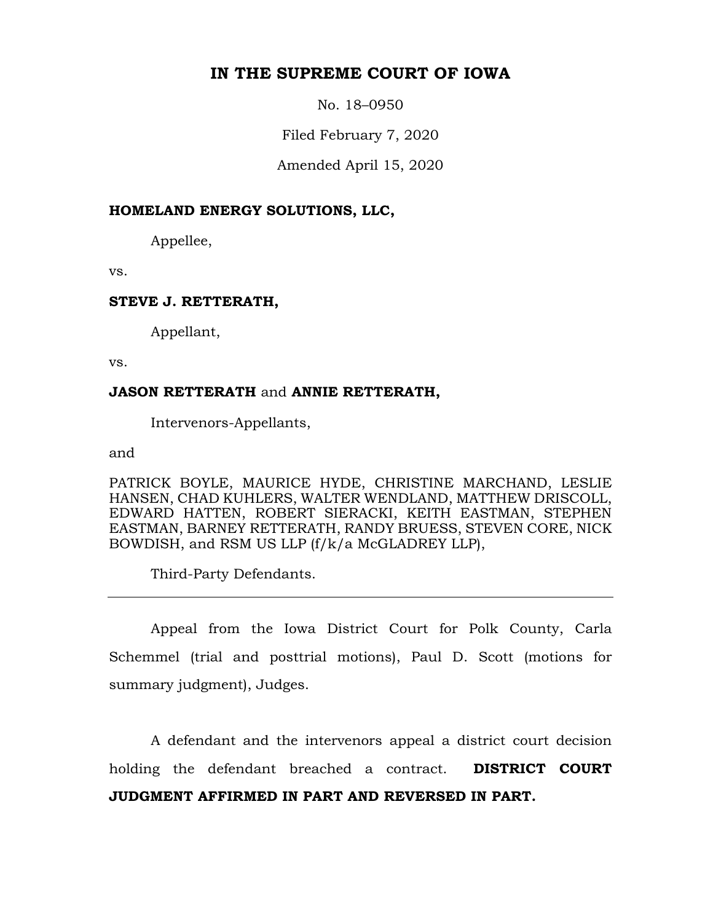# **IN THE SUPREME COURT OF IOWA**

No. 18–0950

Filed February 7, 2020

Amended April 15, 2020

## **HOMELAND ENERGY SOLUTIONS, LLC,**

Appellee,

vs.

### **STEVE J. RETTERATH,**

Appellant,

vs.

### **JASON RETTERATH** and **ANNIE RETTERATH,**

Intervenors-Appellants,

and

PATRICK BOYLE, MAURICE HYDE, CHRISTINE MARCHAND, LESLIE HANSEN, CHAD KUHLERS, WALTER WENDLAND, MATTHEW DRISCOLL, EDWARD HATTEN, ROBERT SIERACKI, KEITH EASTMAN, STEPHEN EASTMAN, BARNEY RETTERATH, RANDY BRUESS, STEVEN CORE, NICK BOWDISH, and RSM US LLP (f/k/a McGLADREY LLP),

Third-Party Defendants.

Appeal from the Iowa District Court for Polk County, Carla Schemmel (trial and posttrial motions), Paul D. Scott (motions for summary judgment), Judges.

A defendant and the intervenors appeal a district court decision holding the defendant breached a contract. **DISTRICT COURT JUDGMENT AFFIRMED IN PART AND REVERSED IN PART.**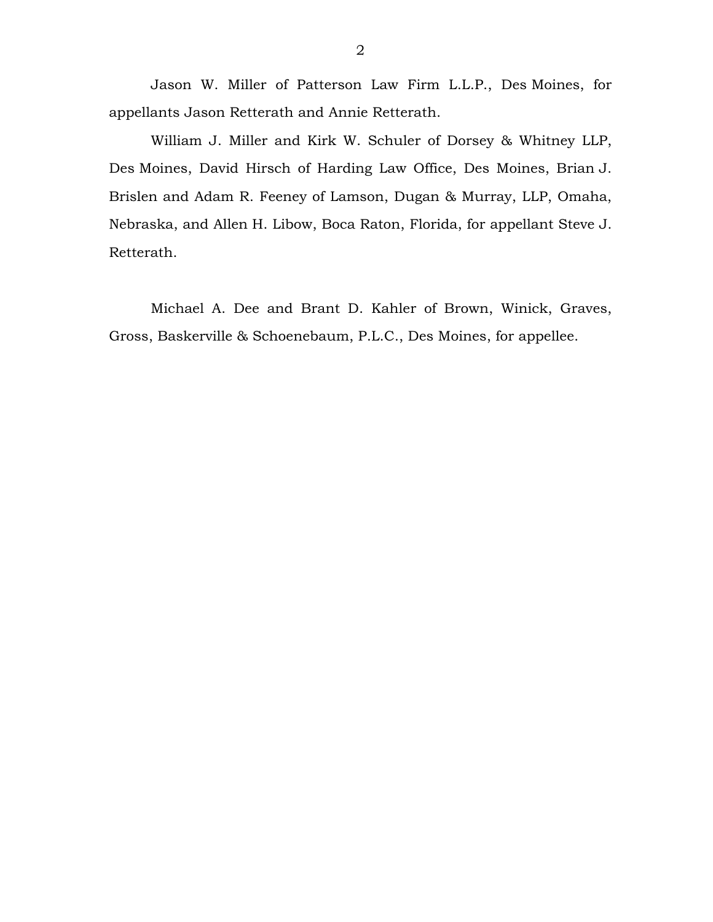Jason W. Miller of Patterson Law Firm L.L.P., Des Moines, for appellants Jason Retterath and Annie Retterath.

William J. Miller and Kirk W. Schuler of Dorsey & Whitney LLP, Des Moines, David Hirsch of Harding Law Office, Des Moines, Brian J. Brislen and Adam R. Feeney of Lamson, Dugan & Murray, LLP, Omaha, Nebraska, and Allen H. Libow, Boca Raton, Florida, for appellant Steve J. Retterath.

Michael A. Dee and Brant D. Kahler of Brown, Winick, Graves, Gross, Baskerville & Schoenebaum, P.L.C., Des Moines, for appellee.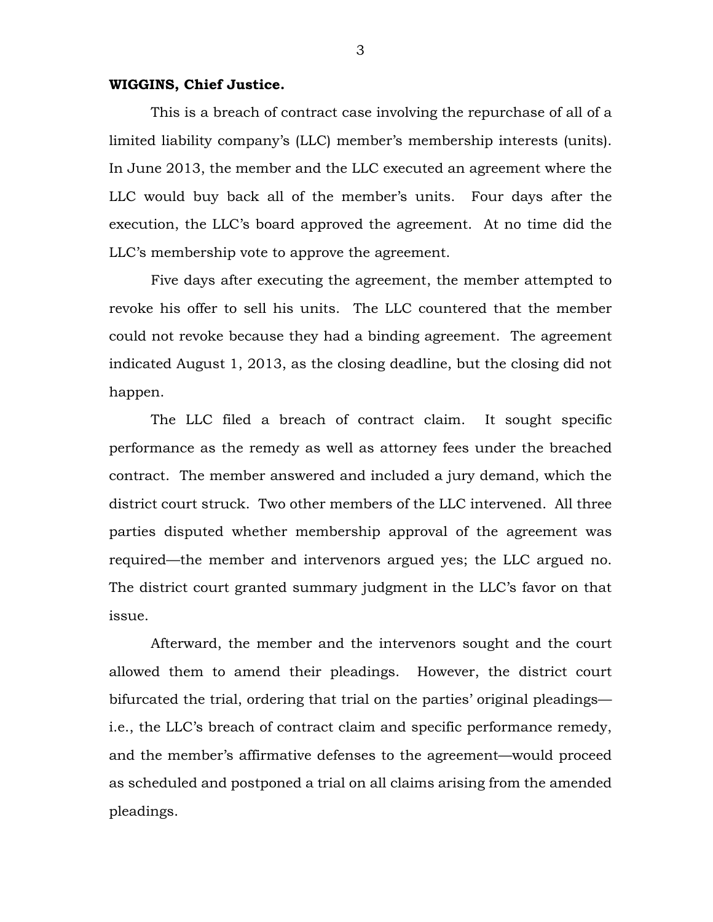### **WIGGINS, Chief Justice.**

This is a breach of contract case involving the repurchase of all of a limited liability company's (LLC) member's membership interests (units). In June 2013, the member and the LLC executed an agreement where the LLC would buy back all of the member's units. Four days after the execution, the LLC's board approved the agreement. At no time did the LLC's membership vote to approve the agreement.

Five days after executing the agreement, the member attempted to revoke his offer to sell his units. The LLC countered that the member could not revoke because they had a binding agreement. The agreement indicated August 1, 2013, as the closing deadline, but the closing did not happen.

The LLC filed a breach of contract claim. It sought specific performance as the remedy as well as attorney fees under the breached contract. The member answered and included a jury demand, which the district court struck. Two other members of the LLC intervened. All three parties disputed whether membership approval of the agreement was required—the member and intervenors argued yes; the LLC argued no. The district court granted summary judgment in the LLC's favor on that issue.

Afterward, the member and the intervenors sought and the court allowed them to amend their pleadings. However, the district court bifurcated the trial, ordering that trial on the parties' original pleadings i.e., the LLC's breach of contract claim and specific performance remedy, and the member's affirmative defenses to the agreement—would proceed as scheduled and postponed a trial on all claims arising from the amended pleadings.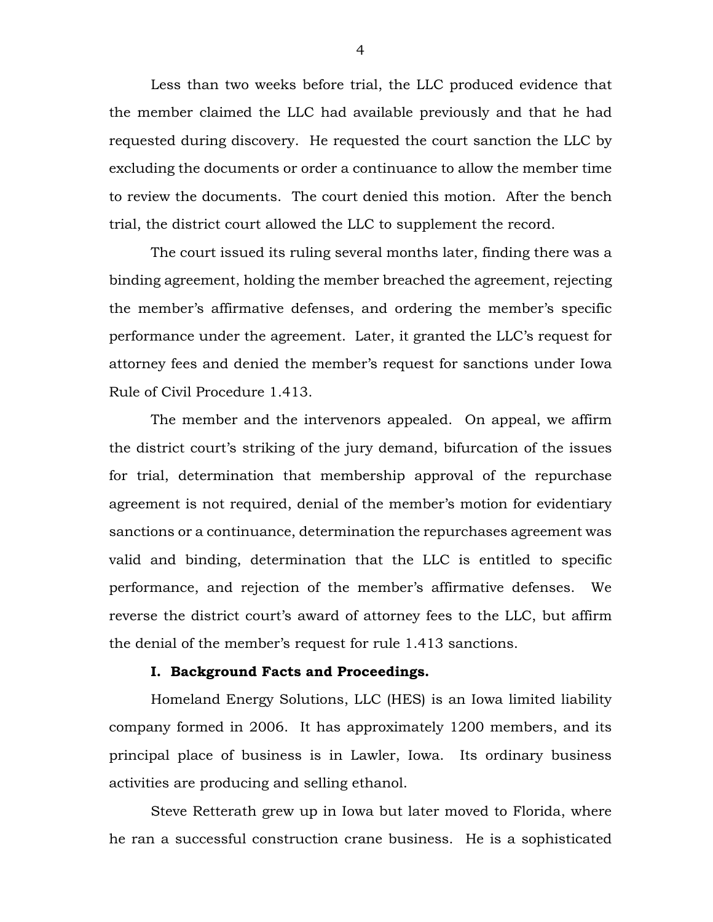Less than two weeks before trial, the LLC produced evidence that the member claimed the LLC had available previously and that he had requested during discovery. He requested the court sanction the LLC by excluding the documents or order a continuance to allow the member time to review the documents. The court denied this motion. After the bench trial, the district court allowed the LLC to supplement the record.

The court issued its ruling several months later, finding there was a binding agreement, holding the member breached the agreement, rejecting the member's affirmative defenses, and ordering the member's specific performance under the agreement. Later, it granted the LLC's request for attorney fees and denied the member's request for sanctions under Iowa Rule of Civil Procedure 1.413.

The member and the intervenors appealed. On appeal, we affirm the district court's striking of the jury demand, bifurcation of the issues for trial, determination that membership approval of the repurchase agreement is not required, denial of the member's motion for evidentiary sanctions or a continuance, determination the repurchases agreement was valid and binding, determination that the LLC is entitled to specific performance, and rejection of the member's affirmative defenses. We reverse the district court's award of attorney fees to the LLC, but affirm the denial of the member's request for rule 1.413 sanctions.

### **I. Background Facts and Proceedings.**

Homeland Energy Solutions, LLC (HES) is an Iowa limited liability company formed in 2006. It has approximately 1200 members, and its principal place of business is in Lawler, Iowa. Its ordinary business activities are producing and selling ethanol.

Steve Retterath grew up in Iowa but later moved to Florida, where he ran a successful construction crane business. He is a sophisticated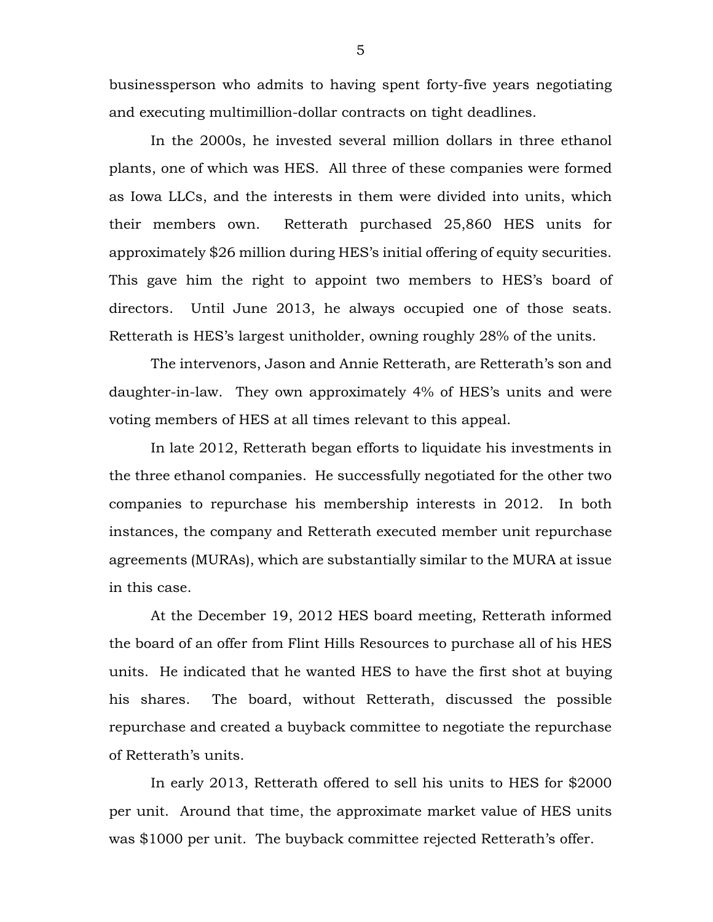businessperson who admits to having spent forty-five years negotiating and executing multimillion-dollar contracts on tight deadlines.

In the 2000s, he invested several million dollars in three ethanol plants, one of which was HES. All three of these companies were formed as Iowa LLCs, and the interests in them were divided into units, which their members own. Retterath purchased 25,860 HES units for approximately \$26 million during HES's initial offering of equity securities. This gave him the right to appoint two members to HES's board of directors. Until June 2013, he always occupied one of those seats. Retterath is HES's largest unitholder, owning roughly 28% of the units.

The intervenors, Jason and Annie Retterath, are Retterath's son and daughter-in-law. They own approximately 4% of HES's units and were voting members of HES at all times relevant to this appeal.

In late 2012, Retterath began efforts to liquidate his investments in the three ethanol companies. He successfully negotiated for the other two companies to repurchase his membership interests in 2012. In both instances, the company and Retterath executed member unit repurchase agreements (MURAs), which are substantially similar to the MURA at issue in this case.

At the December 19, 2012 HES board meeting, Retterath informed the board of an offer from Flint Hills Resources to purchase all of his HES units. He indicated that he wanted HES to have the first shot at buying his shares. The board, without Retterath, discussed the possible repurchase and created a buyback committee to negotiate the repurchase of Retterath's units.

In early 2013, Retterath offered to sell his units to HES for \$2000 per unit. Around that time, the approximate market value of HES units was \$1000 per unit. The buyback committee rejected Retterath's offer.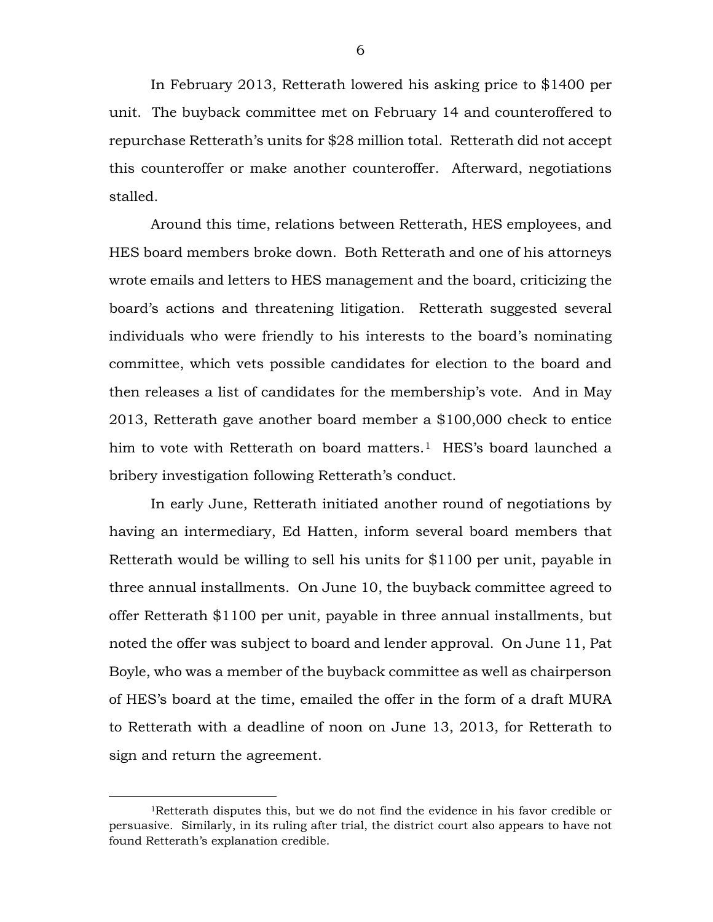In February 2013, Retterath lowered his asking price to \$1400 per unit. The buyback committee met on February 14 and counteroffered to repurchase Retterath's units for \$28 million total. Retterath did not accept this counteroffer or make another counteroffer. Afterward, negotiations stalled.

Around this time, relations between Retterath, HES employees, and HES board members broke down. Both Retterath and one of his attorneys wrote emails and letters to HES management and the board, criticizing the board's actions and threatening litigation. Retterath suggested several individuals who were friendly to his interests to the board's nominating committee, which vets possible candidates for election to the board and then releases a list of candidates for the membership's vote. And in May 2013, Retterath gave another board member a \$100,000 check to entice him to vote with Retterath on board matters.<sup>[1](#page-5-0)</sup> HES's board launched a bribery investigation following Retterath's conduct.

In early June, Retterath initiated another round of negotiations by having an intermediary, Ed Hatten, inform several board members that Retterath would be willing to sell his units for \$1100 per unit, payable in three annual installments. On June 10, the buyback committee agreed to offer Retterath \$1100 per unit, payable in three annual installments, but noted the offer was subject to board and lender approval. On June 11, Pat Boyle, who was a member of the buyback committee as well as chairperson of HES's board at the time, emailed the offer in the form of a draft MURA to Retterath with a deadline of noon on June 13, 2013, for Retterath to sign and return the agreement.

<span id="page-5-0"></span> <sup>1</sup>Retterath disputes this, but we do not find the evidence in his favor credible or persuasive. Similarly, in its ruling after trial, the district court also appears to have not found Retterath's explanation credible.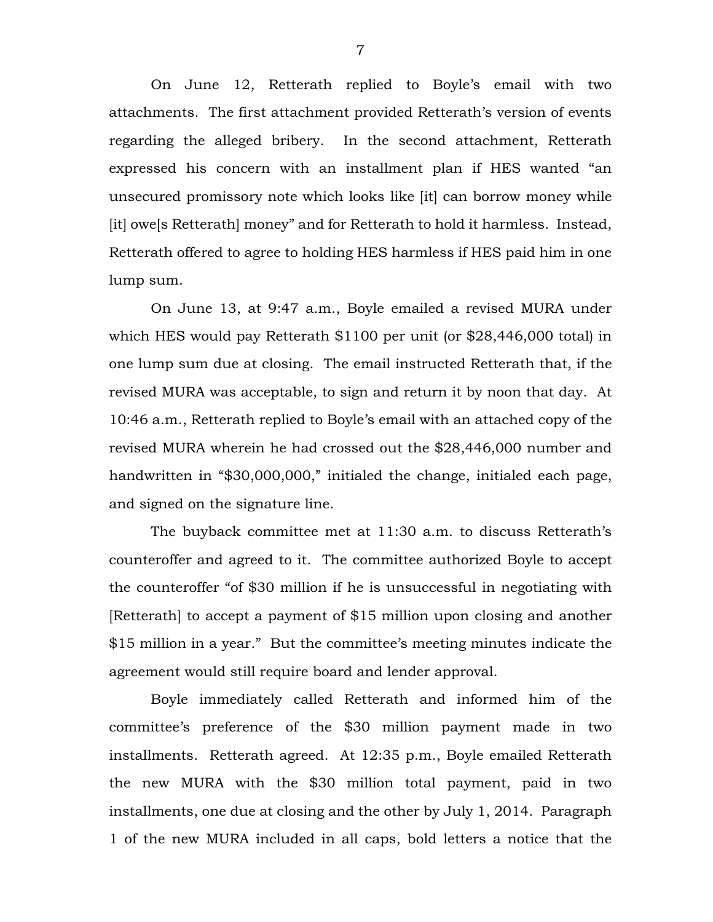On June 12, Retterath replied to Boyle's email with two attachments. The first attachment provided Retterath's version of events regarding the alleged bribery. In the second attachment, Retterath expressed his concern with an installment plan if HES wanted "an unsecured promissory note which looks like [it] can borrow money while [it] owe[s Retterath] money" and for Retterath to hold it harmless. Instead, Retterath offered to agree to holding HES harmless if HES paid him in one lump sum.

On June 13, at 9:47 a.m., Boyle emailed a revised MURA under which HES would pay Retterath \$1100 per unit (or \$28,446,000 total) in one lump sum due at closing. The email instructed Retterath that, if the revised MURA was acceptable, to sign and return it by noon that day. At 10:46 a.m., Retterath replied to Boyle's email with an attached copy of the revised MURA wherein he had crossed out the \$28,446,000 number and handwritten in "\$30,000,000," initialed the change, initialed each page, and signed on the signature line.

The buyback committee met at 11:30 a.m. to discuss Retterath's counteroffer and agreed to it. The committee authorized Boyle to accept the counteroffer "of \$30 million if he is unsuccessful in negotiating with [Retterath] to accept a payment of \$15 million upon closing and another \$15 million in a year." But the committee's meeting minutes indicate the agreement would still require board and lender approval.

Boyle immediately called Retterath and informed him of the committee's preference of the \$30 million payment made in two installments. Retterath agreed. At 12:35 p.m., Boyle emailed Retterath the new MURA with the \$30 million total payment, paid in two installments, one due at closing and the other by July 1, 2014. Paragraph 1 of the new MURA included in all caps, bold letters a notice that the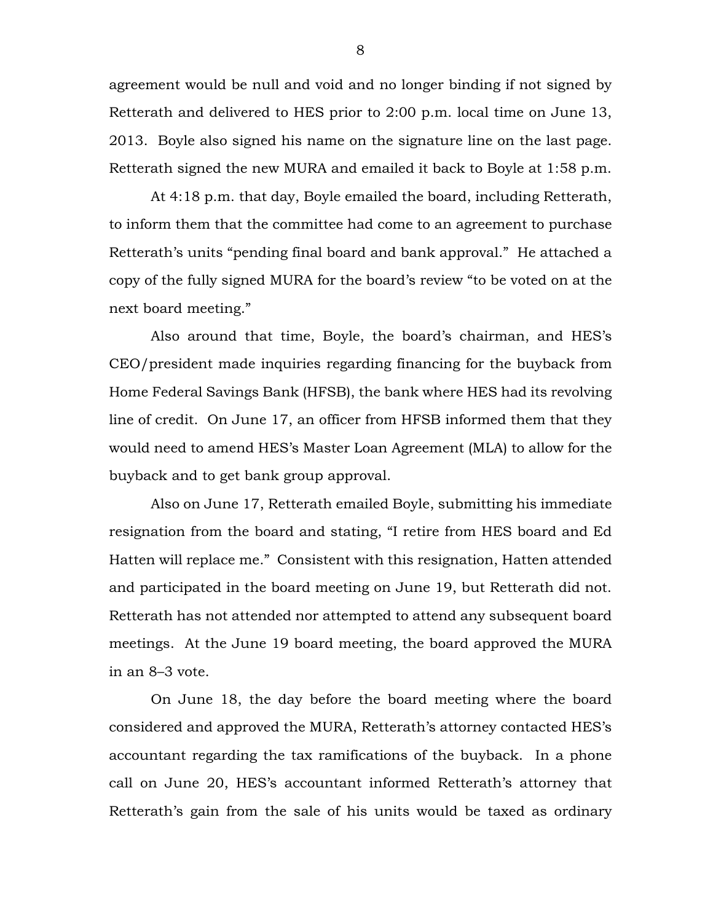agreement would be null and void and no longer binding if not signed by Retterath and delivered to HES prior to 2:00 p.m. local time on June 13, 2013. Boyle also signed his name on the signature line on the last page. Retterath signed the new MURA and emailed it back to Boyle at 1:58 p.m.

At 4:18 p.m. that day, Boyle emailed the board, including Retterath, to inform them that the committee had come to an agreement to purchase Retterath's units "pending final board and bank approval." He attached a copy of the fully signed MURA for the board's review "to be voted on at the next board meeting."

Also around that time, Boyle, the board's chairman, and HES's CEO/president made inquiries regarding financing for the buyback from Home Federal Savings Bank (HFSB), the bank where HES had its revolving line of credit. On June 17, an officer from HFSB informed them that they would need to amend HES's Master Loan Agreement (MLA) to allow for the buyback and to get bank group approval.

Also on June 17, Retterath emailed Boyle, submitting his immediate resignation from the board and stating, "I retire from HES board and Ed Hatten will replace me." Consistent with this resignation, Hatten attended and participated in the board meeting on June 19, but Retterath did not. Retterath has not attended nor attempted to attend any subsequent board meetings. At the June 19 board meeting, the board approved the MURA in an 8–3 vote.

On June 18, the day before the board meeting where the board considered and approved the MURA, Retterath's attorney contacted HES's accountant regarding the tax ramifications of the buyback. In a phone call on June 20, HES's accountant informed Retterath's attorney that Retterath's gain from the sale of his units would be taxed as ordinary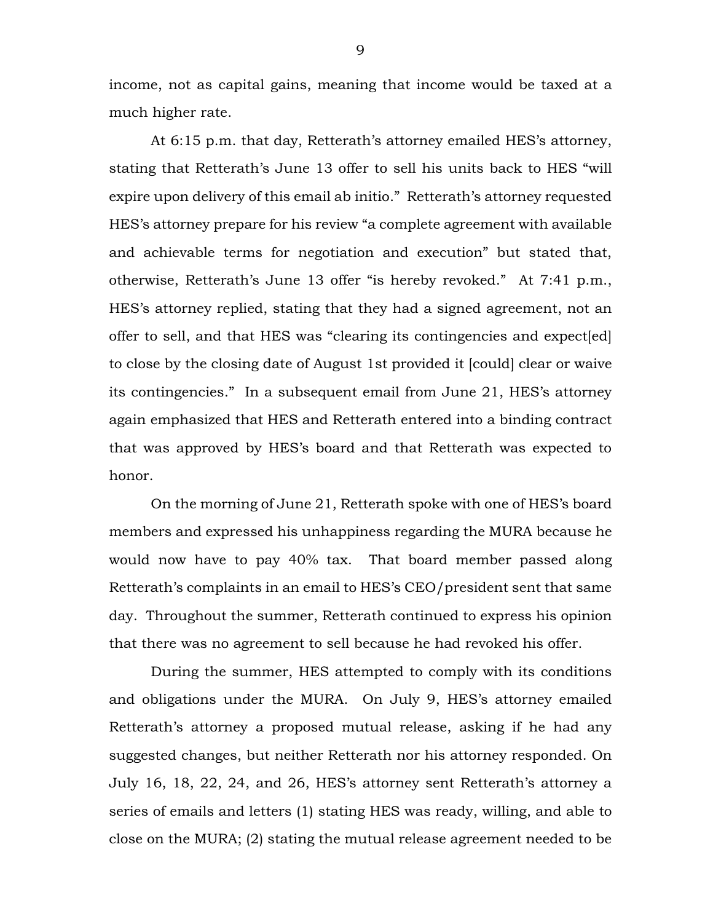income, not as capital gains, meaning that income would be taxed at a much higher rate.

At 6:15 p.m. that day, Retterath's attorney emailed HES's attorney, stating that Retterath's June 13 offer to sell his units back to HES "will expire upon delivery of this email ab initio." Retterath's attorney requested HES's attorney prepare for his review "a complete agreement with available and achievable terms for negotiation and execution" but stated that, otherwise, Retterath's June 13 offer "is hereby revoked." At 7:41 p.m., HES's attorney replied, stating that they had a signed agreement, not an offer to sell, and that HES was "clearing its contingencies and expect[ed] to close by the closing date of August 1st provided it [could] clear or waive its contingencies." In a subsequent email from June 21, HES's attorney again emphasized that HES and Retterath entered into a binding contract that was approved by HES's board and that Retterath was expected to honor.

On the morning of June 21, Retterath spoke with one of HES's board members and expressed his unhappiness regarding the MURA because he would now have to pay 40% tax. That board member passed along Retterath's complaints in an email to HES's CEO/president sent that same day. Throughout the summer, Retterath continued to express his opinion that there was no agreement to sell because he had revoked his offer.

During the summer, HES attempted to comply with its conditions and obligations under the MURA. On July 9, HES's attorney emailed Retterath's attorney a proposed mutual release, asking if he had any suggested changes, but neither Retterath nor his attorney responded. On July 16, 18, 22, 24, and 26, HES's attorney sent Retterath's attorney a series of emails and letters (1) stating HES was ready, willing, and able to close on the MURA; (2) stating the mutual release agreement needed to be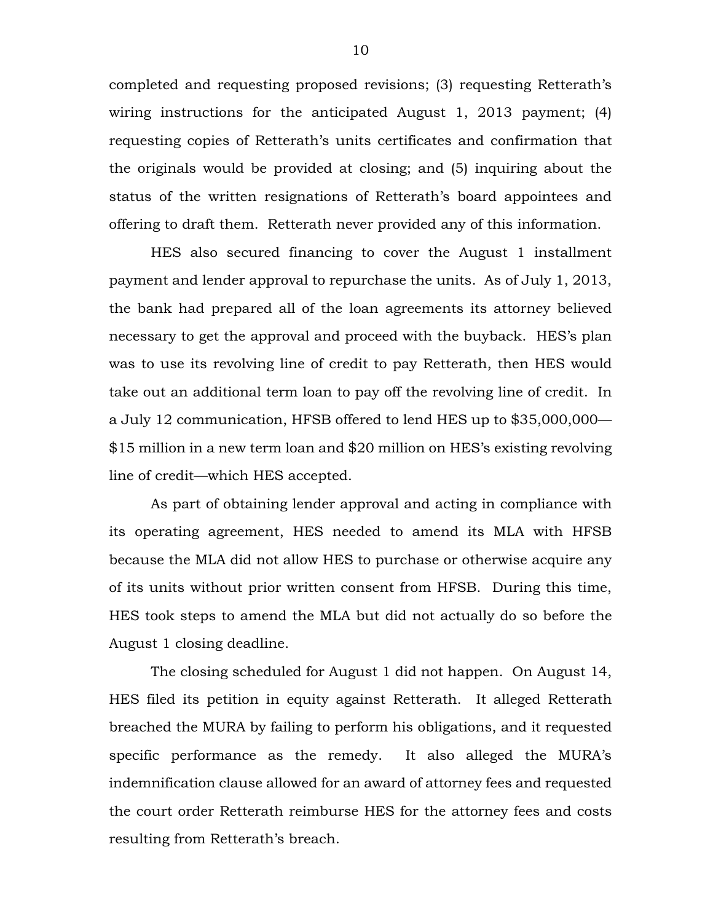completed and requesting proposed revisions; (3) requesting Retterath's wiring instructions for the anticipated August 1, 2013 payment; (4) requesting copies of Retterath's units certificates and confirmation that the originals would be provided at closing; and (5) inquiring about the status of the written resignations of Retterath's board appointees and offering to draft them. Retterath never provided any of this information.

HES also secured financing to cover the August 1 installment payment and lender approval to repurchase the units. As of July 1, 2013, the bank had prepared all of the loan agreements its attorney believed necessary to get the approval and proceed with the buyback. HES's plan was to use its revolving line of credit to pay Retterath, then HES would take out an additional term loan to pay off the revolving line of credit. In a July 12 communication, HFSB offered to lend HES up to \$35,000,000— \$15 million in a new term loan and \$20 million on HES's existing revolving line of credit—which HES accepted.

As part of obtaining lender approval and acting in compliance with its operating agreement, HES needed to amend its MLA with HFSB because the MLA did not allow HES to purchase or otherwise acquire any of its units without prior written consent from HFSB. During this time, HES took steps to amend the MLA but did not actually do so before the August 1 closing deadline.

The closing scheduled for August 1 did not happen. On August 14, HES filed its petition in equity against Retterath. It alleged Retterath breached the MURA by failing to perform his obligations, and it requested specific performance as the remedy. It also alleged the MURA's indemnification clause allowed for an award of attorney fees and requested the court order Retterath reimburse HES for the attorney fees and costs resulting from Retterath's breach.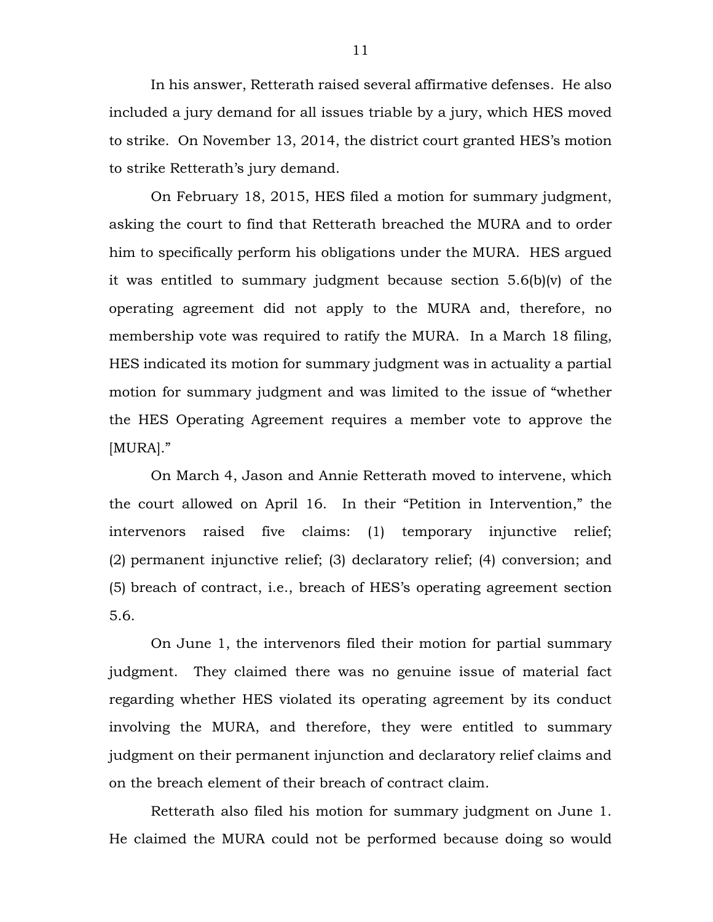In his answer, Retterath raised several affirmative defenses. He also included a jury demand for all issues triable by a jury, which HES moved to strike. On November 13, 2014, the district court granted HES's motion to strike Retterath's jury demand.

On February 18, 2015, HES filed a motion for summary judgment, asking the court to find that Retterath breached the MURA and to order him to specifically perform his obligations under the MURA. HES argued it was entitled to summary judgment because section 5.6(b)(v) of the operating agreement did not apply to the MURA and, therefore, no membership vote was required to ratify the MURA. In a March 18 filing, HES indicated its motion for summary judgment was in actuality a partial motion for summary judgment and was limited to the issue of "whether the HES Operating Agreement requires a member vote to approve the [MURA]."

On March 4, Jason and Annie Retterath moved to intervene, which the court allowed on April 16. In their "Petition in Intervention," the intervenors raised five claims: (1) temporary injunctive relief; (2) permanent injunctive relief; (3) declaratory relief; (4) conversion; and (5) breach of contract, i.e., breach of HES's operating agreement section 5.6.

On June 1, the intervenors filed their motion for partial summary judgment. They claimed there was no genuine issue of material fact regarding whether HES violated its operating agreement by its conduct involving the MURA, and therefore, they were entitled to summary judgment on their permanent injunction and declaratory relief claims and on the breach element of their breach of contract claim.

Retterath also filed his motion for summary judgment on June 1. He claimed the MURA could not be performed because doing so would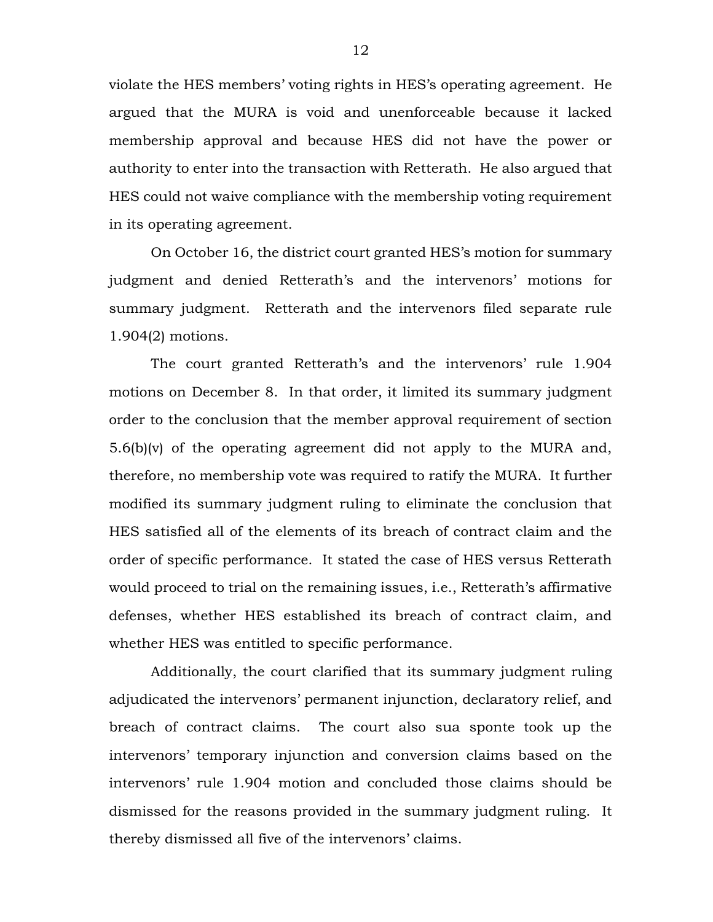violate the HES members' voting rights in HES's operating agreement. He argued that the MURA is void and unenforceable because it lacked membership approval and because HES did not have the power or authority to enter into the transaction with Retterath. He also argued that HES could not waive compliance with the membership voting requirement in its operating agreement.

On October 16, the district court granted HES's motion for summary judgment and denied Retterath's and the intervenors' motions for summary judgment. Retterath and the intervenors filed separate rule 1.904(2) motions.

The court granted Retterath's and the intervenors' rule 1.904 motions on December 8. In that order, it limited its summary judgment order to the conclusion that the member approval requirement of section 5.6(b)(v) of the operating agreement did not apply to the MURA and, therefore, no membership vote was required to ratify the MURA. It further modified its summary judgment ruling to eliminate the conclusion that HES satisfied all of the elements of its breach of contract claim and the order of specific performance. It stated the case of HES versus Retterath would proceed to trial on the remaining issues, i.e., Retterath's affirmative defenses, whether HES established its breach of contract claim, and whether HES was entitled to specific performance.

Additionally, the court clarified that its summary judgment ruling adjudicated the intervenors' permanent injunction, declaratory relief, and breach of contract claims. The court also sua sponte took up the intervenors' temporary injunction and conversion claims based on the intervenors' rule 1.904 motion and concluded those claims should be dismissed for the reasons provided in the summary judgment ruling. It thereby dismissed all five of the intervenors' claims.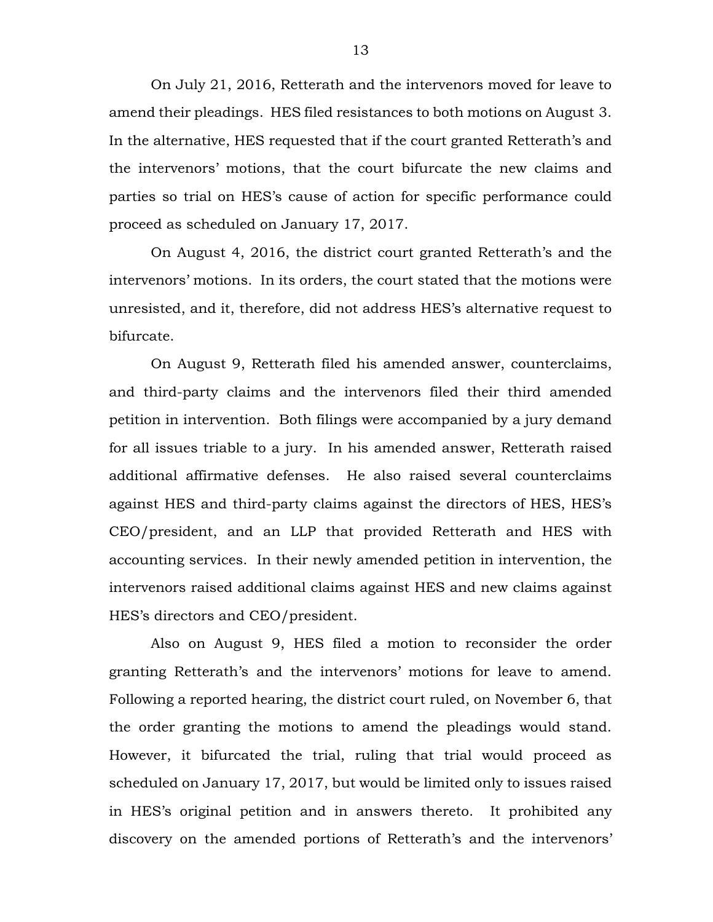On July 21, 2016, Retterath and the intervenors moved for leave to amend their pleadings. HES filed resistances to both motions on August 3. In the alternative, HES requested that if the court granted Retterath's and the intervenors' motions, that the court bifurcate the new claims and parties so trial on HES's cause of action for specific performance could proceed as scheduled on January 17, 2017.

On August 4, 2016, the district court granted Retterath's and the intervenors' motions. In its orders, the court stated that the motions were unresisted, and it, therefore, did not address HES's alternative request to bifurcate.

On August 9, Retterath filed his amended answer, counterclaims, and third-party claims and the intervenors filed their third amended petition in intervention. Both filings were accompanied by a jury demand for all issues triable to a jury. In his amended answer, Retterath raised additional affirmative defenses. He also raised several counterclaims against HES and third-party claims against the directors of HES, HES's CEO/president, and an LLP that provided Retterath and HES with accounting services. In their newly amended petition in intervention, the intervenors raised additional claims against HES and new claims against HES's directors and CEO/president.

Also on August 9, HES filed a motion to reconsider the order granting Retterath's and the intervenors' motions for leave to amend. Following a reported hearing, the district court ruled, on November 6, that the order granting the motions to amend the pleadings would stand. However, it bifurcated the trial, ruling that trial would proceed as scheduled on January 17, 2017, but would be limited only to issues raised in HES's original petition and in answers thereto. It prohibited any discovery on the amended portions of Retterath's and the intervenors'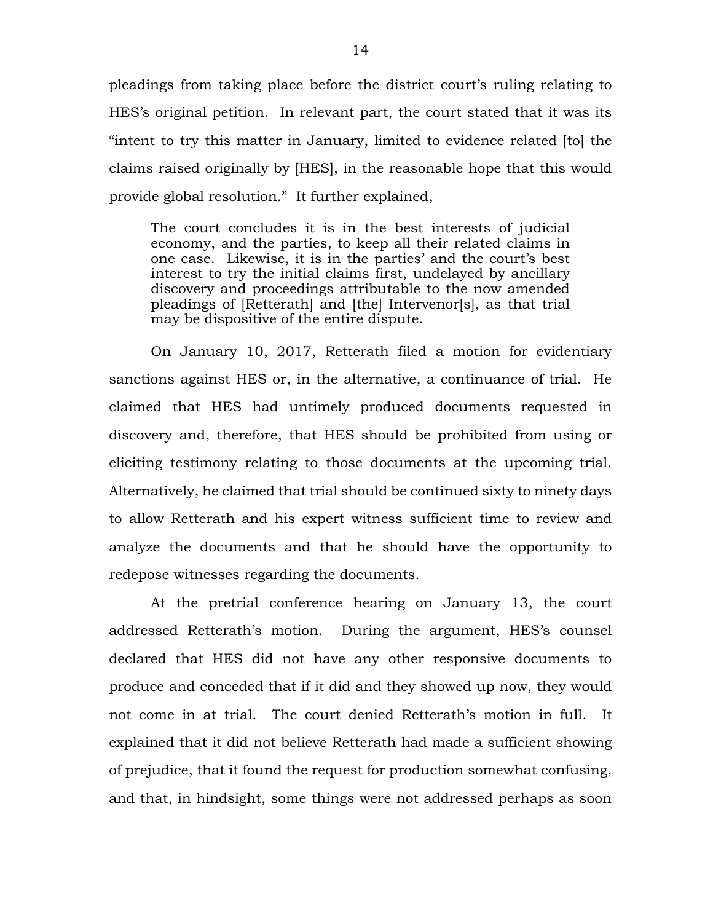pleadings from taking place before the district court's ruling relating to HES's original petition. In relevant part, the court stated that it was its "intent to try this matter in January, limited to evidence related [to] the claims raised originally by [HES], in the reasonable hope that this would provide global resolution." It further explained,

The court concludes it is in the best interests of judicial economy, and the parties, to keep all their related claims in one case. Likewise, it is in the parties' and the court's best interest to try the initial claims first, undelayed by ancillary discovery and proceedings attributable to the now amended pleadings of [Retterath] and [the] Intervenor[s], as that trial may be dispositive of the entire dispute.

On January 10, 2017, Retterath filed a motion for evidentiary sanctions against HES or, in the alternative, a continuance of trial. He claimed that HES had untimely produced documents requested in discovery and, therefore, that HES should be prohibited from using or eliciting testimony relating to those documents at the upcoming trial. Alternatively, he claimed that trial should be continued sixty to ninety days to allow Retterath and his expert witness sufficient time to review and analyze the documents and that he should have the opportunity to redepose witnesses regarding the documents.

At the pretrial conference hearing on January 13, the court addressed Retterath's motion. During the argument, HES's counsel declared that HES did not have any other responsive documents to produce and conceded that if it did and they showed up now, they would not come in at trial. The court denied Retterath's motion in full. It explained that it did not believe Retterath had made a sufficient showing of prejudice, that it found the request for production somewhat confusing, and that, in hindsight, some things were not addressed perhaps as soon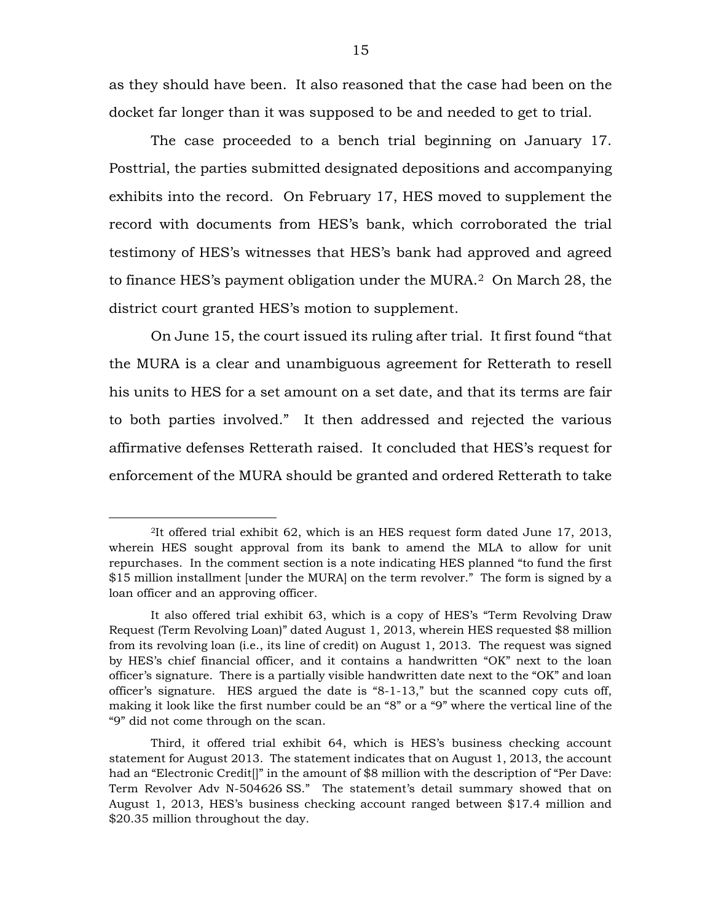as they should have been. It also reasoned that the case had been on the docket far longer than it was supposed to be and needed to get to trial.

The case proceeded to a bench trial beginning on January 17. Posttrial, the parties submitted designated depositions and accompanying exhibits into the record. On February 17, HES moved to supplement the record with documents from HES's bank, which corroborated the trial testimony of HES's witnesses that HES's bank had approved and agreed to finance HES's payment obligation under the MURA.[2](#page-14-0) On March 28, the district court granted HES's motion to supplement.

On June 15, the court issued its ruling after trial. It first found "that the MURA is a clear and unambiguous agreement for Retterath to resell his units to HES for a set amount on a set date, and that its terms are fair to both parties involved." It then addressed and rejected the various affirmative defenses Retterath raised. It concluded that HES's request for enforcement of the MURA should be granted and ordered Retterath to take

<span id="page-14-0"></span> <sup>2</sup>It offered trial exhibit 62, which is an HES request form dated June 17, 2013, wherein HES sought approval from its bank to amend the MLA to allow for unit repurchases. In the comment section is a note indicating HES planned "to fund the first \$15 million installment [under the MURA] on the term revolver." The form is signed by a loan officer and an approving officer.

It also offered trial exhibit 63, which is a copy of HES's "Term Revolving Draw Request (Term Revolving Loan)" dated August 1, 2013, wherein HES requested \$8 million from its revolving loan (i.e., its line of credit) on August 1, 2013. The request was signed by HES's chief financial officer, and it contains a handwritten "OK" next to the loan officer's signature. There is a partially visible handwritten date next to the "OK" and loan officer's signature. HES argued the date is "8-1-13," but the scanned copy cuts off, making it look like the first number could be an "8" or a "9" where the vertical line of the "9" did not come through on the scan.

Third, it offered trial exhibit 64, which is HES's business checking account statement for August 2013. The statement indicates that on August 1, 2013, the account had an "Electronic Credit[]" in the amount of \$8 million with the description of "Per Dave: Term Revolver Adv N-504626 SS." The statement's detail summary showed that on August 1, 2013, HES's business checking account ranged between \$17.4 million and \$20.35 million throughout the day.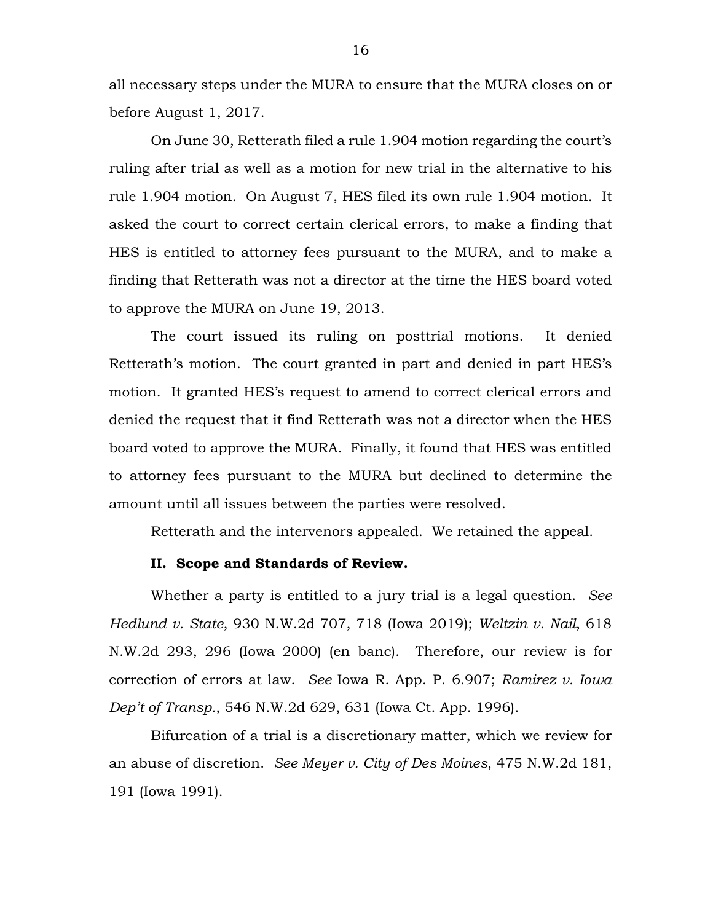all necessary steps under the MURA to ensure that the MURA closes on or before August 1, 2017.

On June 30, Retterath filed a rule 1.904 motion regarding the court's ruling after trial as well as a motion for new trial in the alternative to his rule 1.904 motion. On August 7, HES filed its own rule 1.904 motion. It asked the court to correct certain clerical errors, to make a finding that HES is entitled to attorney fees pursuant to the MURA, and to make a finding that Retterath was not a director at the time the HES board voted to approve the MURA on June 19, 2013.

The court issued its ruling on posttrial motions. It denied Retterath's motion. The court granted in part and denied in part HES's motion. It granted HES's request to amend to correct clerical errors and denied the request that it find Retterath was not a director when the HES board voted to approve the MURA. Finally, it found that HES was entitled to attorney fees pursuant to the MURA but declined to determine the amount until all issues between the parties were resolved.

Retterath and the intervenors appealed. We retained the appeal.

# **II. Scope and Standards of Review.**

Whether a party is entitled to a jury trial is a legal question. *See Hedlund v. State*, 930 N.W.2d 707, 718 (Iowa 2019); *Weltzin v. Nail*, 618 N.W.2d 293, 296 (Iowa 2000) (en banc). Therefore, our review is for correction of errors at law. *See* Iowa R. App. P. 6.907; *Ramirez v. Iowa Dep't of Transp.*, 546 N.W.2d 629, 631 (Iowa Ct. App. 1996).

Bifurcation of a trial is a discretionary matter, which we review for an abuse of discretion. *See Meyer v. City of Des Moines*, 475 N.W.2d 181, 191 (Iowa 1991).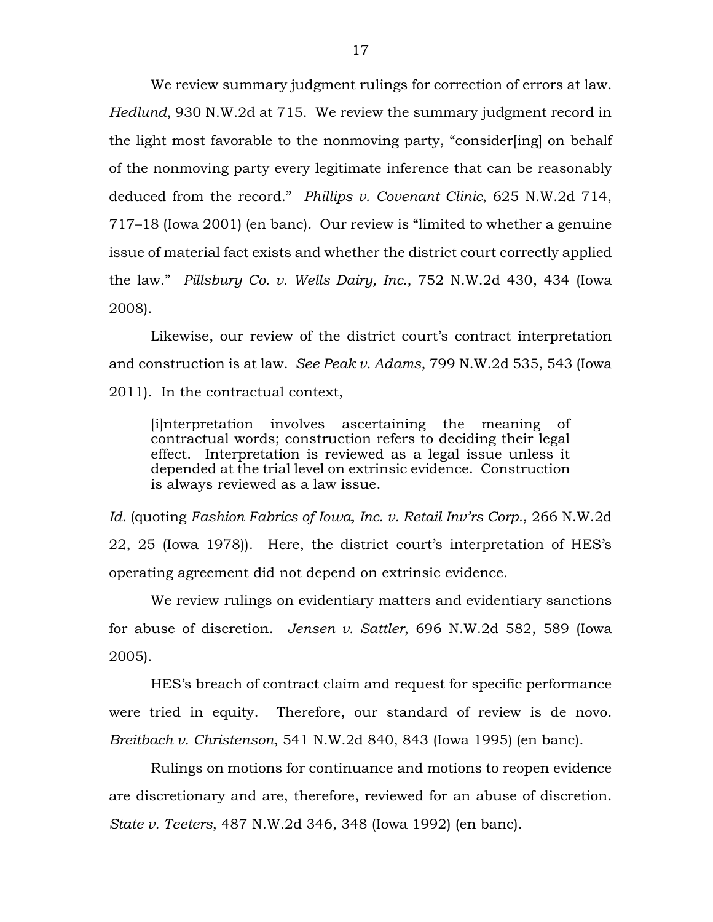We review summary judgment rulings for correction of errors at law. *Hedlund*, 930 N.W.2d at 715. We review the summary judgment record in the light most favorable to the nonmoving party, "consider[ing] on behalf of the nonmoving party every legitimate inference that can be reasonably deduced from the record." *Phillips v. Covenant Clinic*, 625 N.W.2d 714, 717–18 (Iowa 2001) (en banc). Our review is "limited to whether a genuine issue of material fact exists and whether the district court correctly applied the law." *Pillsbury Co. v. Wells Dairy, Inc.*, 752 N.W.2d 430, 434 (Iowa 2008).

Likewise, our review of the district court's contract interpretation and construction is at law. *See Peak v. Adams*, 799 N.W.2d 535, 543 (Iowa 2011). In the contractual context,

[i]nterpretation involves ascertaining the meaning of contractual words; construction refers to deciding their legal effect. Interpretation is reviewed as a legal issue unless it depended at the trial level on extrinsic evidence. Construction is always reviewed as a law issue.

*Id.* (quoting *Fashion Fabrics of Iowa, Inc. v. Retail Inv'rs Corp.*, 266 N.W.2d 22, 25 (Iowa 1978)). Here, the district court's interpretation of HES's operating agreement did not depend on extrinsic evidence.

We review rulings on evidentiary matters and evidentiary sanctions for abuse of discretion. *Jensen v. Sattler*, 696 N.W.2d 582, 589 (Iowa 2005).

HES's breach of contract claim and request for specific performance were tried in equity. Therefore, our standard of review is de novo. *Breitbach v. Christenson*, 541 N.W.2d 840, 843 (Iowa 1995) (en banc).

Rulings on motions for continuance and motions to reopen evidence are discretionary and are, therefore, reviewed for an abuse of discretion. *State v. Teeters*, 487 N.W.2d 346, 348 (Iowa 1992) (en banc).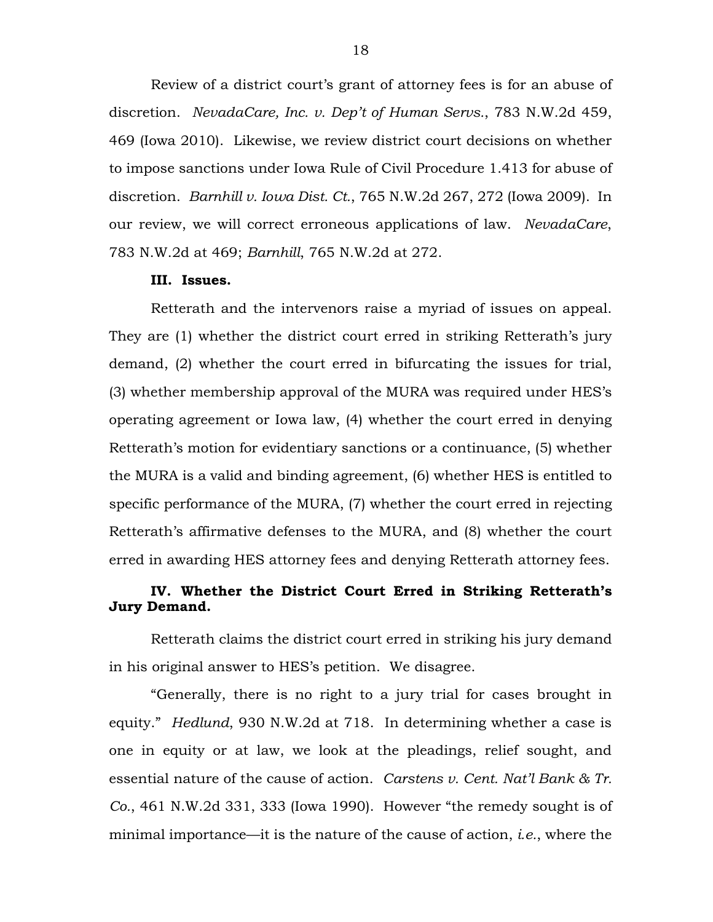Review of a district court's grant of attorney fees is for an abuse of discretion. *NevadaCare, Inc. v. Dep't of Human Servs.*, 783 N.W.2d 459, 469 (Iowa 2010). Likewise, we review district court decisions on whether to impose sanctions under Iowa Rule of Civil Procedure 1.413 for abuse of discretion. *Barnhill v. Iowa Dist. Ct.*, 765 N.W.2d 267, 272 (Iowa 2009). In our review, we will correct erroneous applications of law. *NevadaCare*, 783 N.W.2d at 469; *Barnhill*, 765 N.W.2d at 272.

#### **III. Issues.**

Retterath and the intervenors raise a myriad of issues on appeal. They are (1) whether the district court erred in striking Retterath's jury demand, (2) whether the court erred in bifurcating the issues for trial, (3) whether membership approval of the MURA was required under HES's operating agreement or Iowa law, (4) whether the court erred in denying Retterath's motion for evidentiary sanctions or a continuance, (5) whether the MURA is a valid and binding agreement, (6) whether HES is entitled to specific performance of the MURA, (7) whether the court erred in rejecting Retterath's affirmative defenses to the MURA, and (8) whether the court erred in awarding HES attorney fees and denying Retterath attorney fees.

# **IV. Whether the District Court Erred in Striking Retterath's Jury Demand.**

Retterath claims the district court erred in striking his jury demand in his original answer to HES's petition. We disagree.

"Generally, there is no right to a jury trial for cases brought in equity." *Hedlund*, 930 N.W.2d at 718. In determining whether a case is one in equity or at law, we look at the pleadings, relief sought, and essential nature of the cause of action. *Carstens v. Cent. Nat'l Bank & Tr. Co.*, 461 N.W.2d 331, 333 (Iowa 1990). However "the remedy sought is of minimal importance—it is the nature of the cause of action, *i.e.*, where the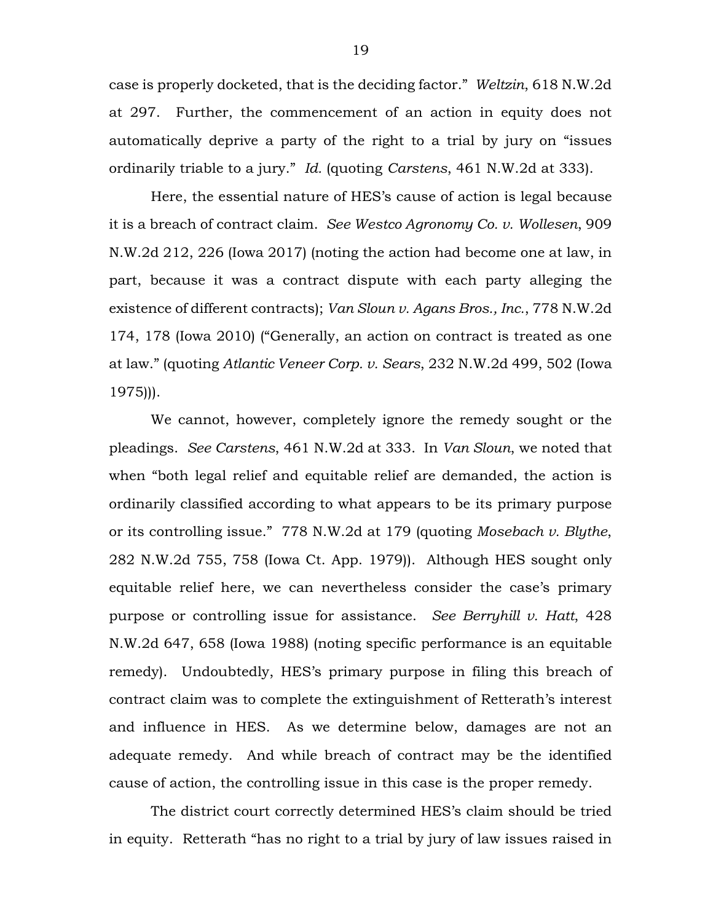case is properly docketed, that is the deciding factor." *Weltzin*, 618 N.W.2d at 297. Further, the commencement of an action in equity does not automatically deprive a party of the right to a trial by jury on "issues ordinarily triable to a jury." *Id.* (quoting *Carstens*, 461 N.W.2d at 333).

Here, the essential nature of HES's cause of action is legal because it is a breach of contract claim. *See Westco Agronomy Co. v. Wollesen*, 909 N.W.2d 212, 226 (Iowa 2017) (noting the action had become one at law, in part, because it was a contract dispute with each party alleging the existence of different contracts); *Van Sloun v. Agans Bros., Inc.*, 778 N.W.2d 174, 178 (Iowa 2010) ("Generally, an action on contract is treated as one at law." (quoting *Atlantic Veneer Corp. v. Sears*, 232 N.W.2d 499, 502 (Iowa 1975))).

We cannot, however, completely ignore the remedy sought or the pleadings. *See Carstens*, 461 N.W.2d at 333. In *Van Sloun*, we noted that when "both legal relief and equitable relief are demanded, the action is ordinarily classified according to what appears to be its primary purpose or its controlling issue." 778 N.W.2d at 179 (quoting *Mosebach v. Blythe*, 282 N.W.2d 755, 758 (Iowa Ct. App. 1979)). Although HES sought only equitable relief here, we can nevertheless consider the case's primary purpose or controlling issue for assistance. *See Berryhill v. Hatt*, 428 N.W.2d 647, 658 (Iowa 1988) (noting specific performance is an equitable remedy). Undoubtedly, HES's primary purpose in filing this breach of contract claim was to complete the extinguishment of Retterath's interest and influence in HES. As we determine below, damages are not an adequate remedy. And while breach of contract may be the identified cause of action, the controlling issue in this case is the proper remedy.

The district court correctly determined HES's claim should be tried in equity. Retterath "has no right to a trial by jury of law issues raised in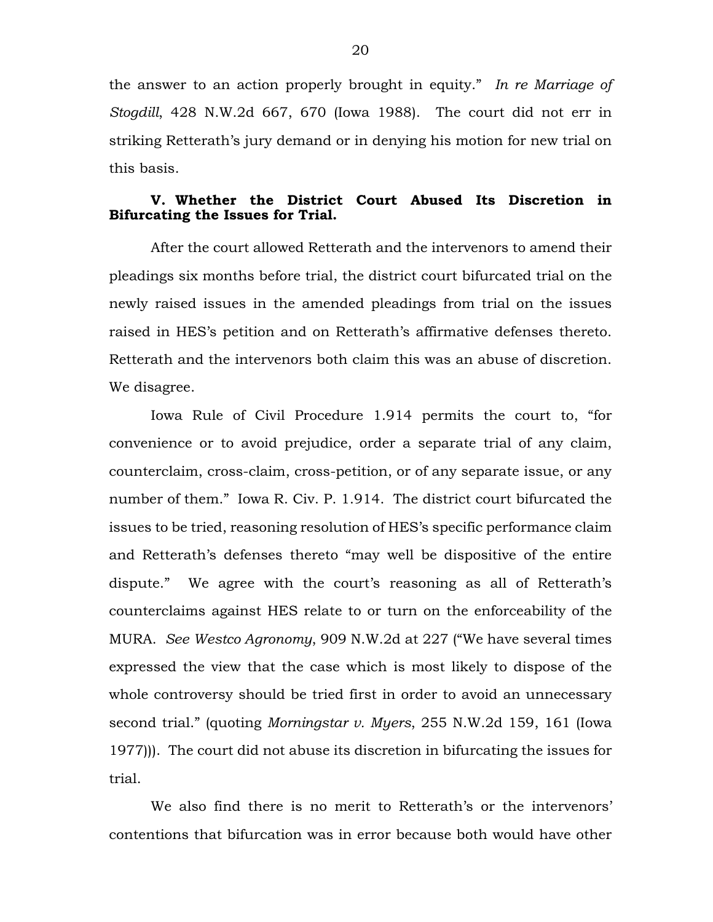the answer to an action properly brought in equity." *In re Marriage of Stogdill*, 428 N.W.2d 667, 670 (Iowa 1988). The court did not err in striking Retterath's jury demand or in denying his motion for new trial on this basis.

# **V. Whether the District Court Abused Its Discretion in Bifurcating the Issues for Trial.**

After the court allowed Retterath and the intervenors to amend their pleadings six months before trial, the district court bifurcated trial on the newly raised issues in the amended pleadings from trial on the issues raised in HES's petition and on Retterath's affirmative defenses thereto. Retterath and the intervenors both claim this was an abuse of discretion. We disagree.

Iowa Rule of Civil Procedure 1.914 permits the court to, "for convenience or to avoid prejudice, order a separate trial of any claim, counterclaim, cross-claim, cross-petition, or of any separate issue, or any number of them." Iowa R. Civ. P. 1.914. The district court bifurcated the issues to be tried, reasoning resolution of HES's specific performance claim and Retterath's defenses thereto "may well be dispositive of the entire dispute." We agree with the court's reasoning as all of Retterath's counterclaims against HES relate to or turn on the enforceability of the MURA. *See Westco Agronomy*, 909 N.W.2d at 227 ("We have several times expressed the view that the case which is most likely to dispose of the whole controversy should be tried first in order to avoid an unnecessary second trial." (quoting *Morningstar v. Myers*, 255 N.W.2d 159, 161 (Iowa 1977))). The court did not abuse its discretion in bifurcating the issues for trial.

We also find there is no merit to Retterath's or the intervenors' contentions that bifurcation was in error because both would have other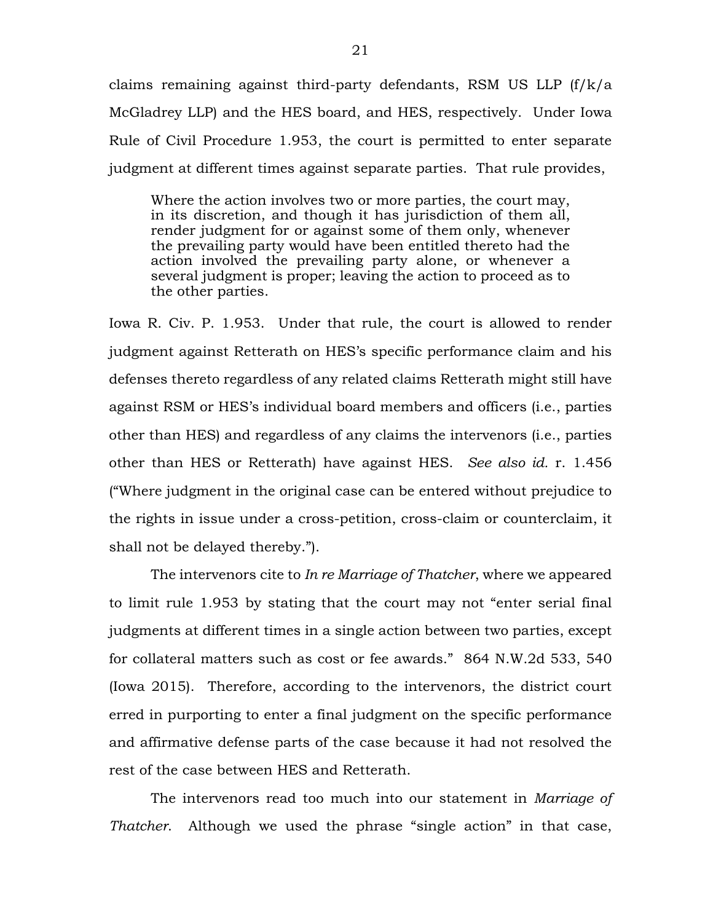claims remaining against third-party defendants, RSM US LLP (f/k/a McGladrey LLP) and the HES board, and HES, respectively. Under Iowa Rule of Civil Procedure 1.953, the court is permitted to enter separate judgment at different times against separate parties. That rule provides,

Where the action involves two or more parties, the court may, in its discretion, and though it has jurisdiction of them all, render judgment for or against some of them only, whenever the prevailing party would have been entitled thereto had the action involved the prevailing party alone, or whenever a several judgment is proper; leaving the action to proceed as to the other parties.

Iowa R. Civ. P. 1.953. Under that rule, the court is allowed to render judgment against Retterath on HES's specific performance claim and his defenses thereto regardless of any related claims Retterath might still have against RSM or HES's individual board members and officers (i.e., parties other than HES) and regardless of any claims the intervenors (i.e., parties other than HES or Retterath) have against HES. *See also id.* r. 1.456 ("Where judgment in the original case can be entered without prejudice to the rights in issue under a cross-petition, cross-claim or counterclaim, it shall not be delayed thereby.").

The intervenors cite to *In re Marriage of Thatcher*, where we appeared to limit rule 1.953 by stating that the court may not "enter serial final judgments at different times in a single action between two parties, except for collateral matters such as cost or fee awards." 864 N.W.2d 533, 540 (Iowa 2015). Therefore, according to the intervenors, the district court erred in purporting to enter a final judgment on the specific performance and affirmative defense parts of the case because it had not resolved the rest of the case between HES and Retterath.

The intervenors read too much into our statement in *Marriage of Thatcher*. Although we used the phrase "single action" in that case,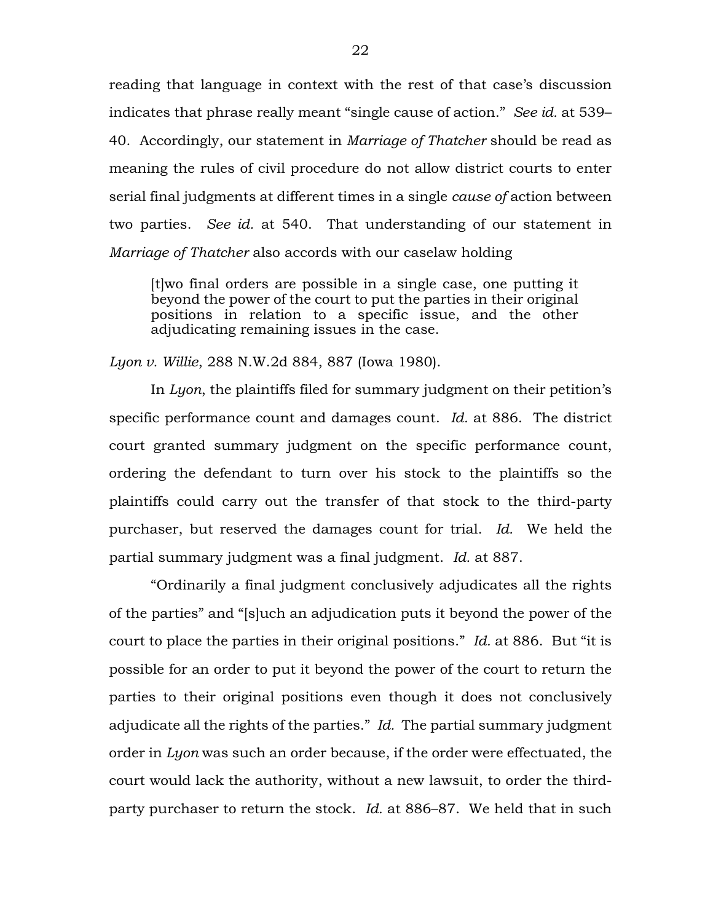reading that language in context with the rest of that case's discussion indicates that phrase really meant "single cause of action." *See id.* at 539– 40. Accordingly, our statement in *Marriage of Thatcher* should be read as meaning the rules of civil procedure do not allow district courts to enter serial final judgments at different times in a single *cause of* action between two parties. *See id.* at 540. That understanding of our statement in *Marriage of Thatcher* also accords with our caselaw holding

[t]wo final orders are possible in a single case, one putting it beyond the power of the court to put the parties in their original positions in relation to a specific issue, and the other adjudicating remaining issues in the case.

*Lyon v. Willie*, 288 N.W.2d 884, 887 (Iowa 1980).

In *Lyon*, the plaintiffs filed for summary judgment on their petition's specific performance count and damages count. *Id.* at 886. The district court granted summary judgment on the specific performance count, ordering the defendant to turn over his stock to the plaintiffs so the plaintiffs could carry out the transfer of that stock to the third-party purchaser, but reserved the damages count for trial. *Id.* We held the partial summary judgment was a final judgment. *Id.* at 887.

"Ordinarily a final judgment conclusively adjudicates all the rights of the parties" and "[s]uch an adjudication puts it beyond the power of the court to place the parties in their original positions." *Id.* at 886. But "it is possible for an order to put it beyond the power of the court to return the parties to their original positions even though it does not conclusively adjudicate all the rights of the parties." *Id.* The partial summary judgment order in *Lyon* was such an order because, if the order were effectuated, the court would lack the authority, without a new lawsuit, to order the thirdparty purchaser to return the stock. *Id.* at 886–87. We held that in such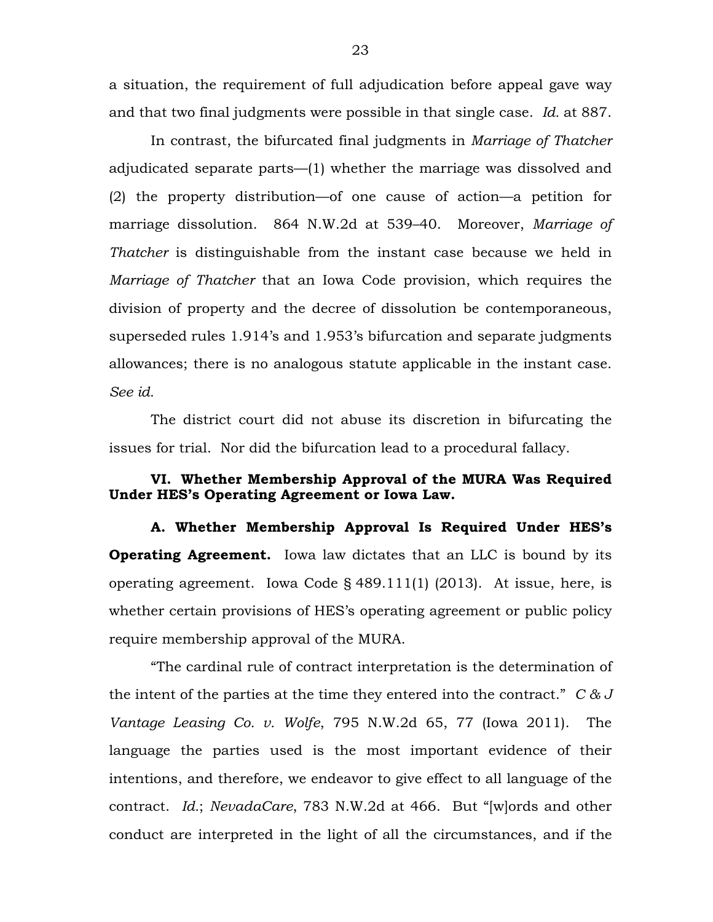a situation, the requirement of full adjudication before appeal gave way and that two final judgments were possible in that single case. *Id.* at 887.

In contrast, the bifurcated final judgments in *Marriage of Thatcher* adjudicated separate parts—(1) whether the marriage was dissolved and (2) the property distribution—of one cause of action—a petition for marriage dissolution. 864 N.W.2d at 539–40. Moreover, *Marriage of Thatcher* is distinguishable from the instant case because we held in *Marriage of Thatcher* that an Iowa Code provision, which requires the division of property and the decree of dissolution be contemporaneous, superseded rules 1.914's and 1.953's bifurcation and separate judgments allowances; there is no analogous statute applicable in the instant case. *See id.*

The district court did not abuse its discretion in bifurcating the issues for trial. Nor did the bifurcation lead to a procedural fallacy.

## **VI. Whether Membership Approval of the MURA Was Required Under HES's Operating Agreement or Iowa Law.**

**A. Whether Membership Approval Is Required Under HES's Operating Agreement.** Iowa law dictates that an LLC is bound by its operating agreement. Iowa Code § 489.111(1) (2013). At issue, here, is whether certain provisions of HES's operating agreement or public policy require membership approval of the MURA.

"The cardinal rule of contract interpretation is the determination of the intent of the parties at the time they entered into the contract." *C & J Vantage Leasing Co. v. Wolfe*, 795 N.W.2d 65, 77 (Iowa 2011). The language the parties used is the most important evidence of their intentions, and therefore, we endeavor to give effect to all language of the contract. *Id.*; *NevadaCare*, 783 N.W.2d at 466. But "[w]ords and other conduct are interpreted in the light of all the circumstances, and if the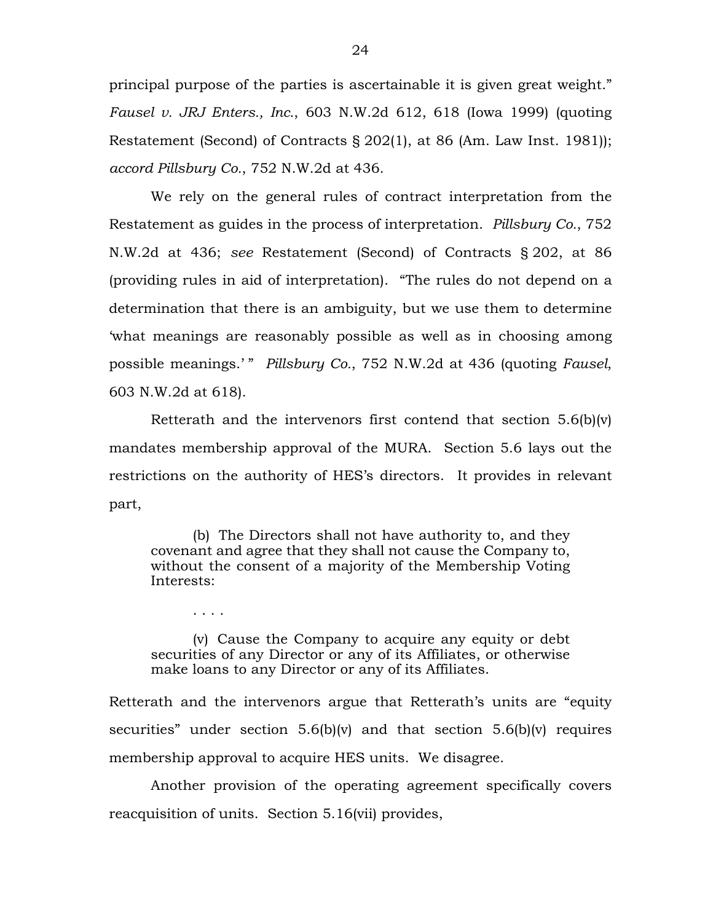principal purpose of the parties is ascertainable it is given great weight." *Fausel v. JRJ Enters., Inc.*, 603 N.W.2d 612, 618 (Iowa 1999) (quoting Restatement (Second) of Contracts § 202(1), at 86 (Am. Law Inst. 1981)); *accord Pillsbury Co.*, 752 N.W.2d at 436.

We rely on the general rules of contract interpretation from the Restatement as guides in the process of interpretation. *Pillsbury Co.*, 752 N.W.2d at 436; *see* Restatement (Second) of Contracts § 202, at 86 (providing rules in aid of interpretation). "The rules do not depend on a determination that there is an ambiguity, but we use them to determine 'what meanings are reasonably possible as well as in choosing among possible meanings.' " *Pillsbury Co.*, 752 N.W.2d at 436 (quoting *Fausel*, 603 N.W.2d at 618).

Retterath and the intervenors first contend that section 5.6(b)(v) mandates membership approval of the MURA. Section 5.6 lays out the restrictions on the authority of HES's directors. It provides in relevant part,

(b) The Directors shall not have authority to, and they covenant and agree that they shall not cause the Company to, without the consent of a majority of the Membership Voting Interests:

(v) Cause the Company to acquire any equity or debt securities of any Director or any of its Affiliates, or otherwise make loans to any Director or any of its Affiliates.

. . . .

Retterath and the intervenors argue that Retterath's units are "equity securities" under section  $5.6(b)(v)$  and that section  $5.6(b)(v)$  requires membership approval to acquire HES units. We disagree.

Another provision of the operating agreement specifically covers reacquisition of units. Section 5.16(vii) provides,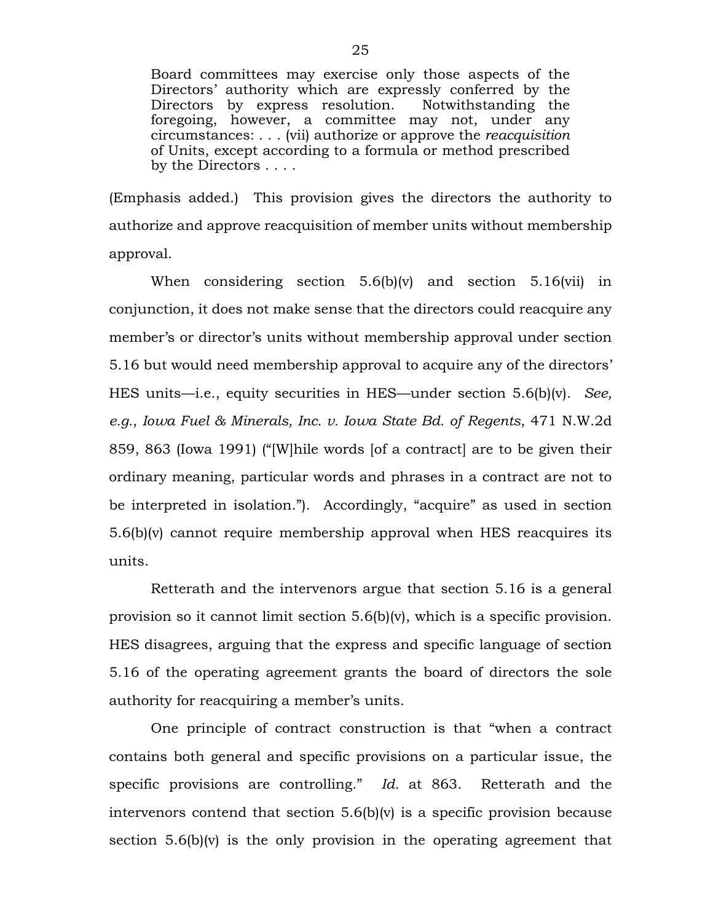Board committees may exercise only those aspects of the Directors' authority which are expressly conferred by the Directors by express resolution. Notwithstanding the foregoing, however, a committee may not, under any circumstances: . . . (vii) authorize or approve the *reacquisition* of Units, except according to a formula or method prescribed by the Directors . . . .

(Emphasis added.) This provision gives the directors the authority to authorize and approve reacquisition of member units without membership approval.

When considering section 5.6(b)(v) and section 5.16(vii) in conjunction, it does not make sense that the directors could reacquire any member's or director's units without membership approval under section 5.16 but would need membership approval to acquire any of the directors' HES units—i.e., equity securities in HES—under section 5.6(b)(v). *See, e.g.*, *Iowa Fuel & Minerals, Inc. v. Iowa State Bd. of Regents*, 471 N.W.2d 859, 863 (Iowa 1991) ("[W]hile words [of a contract] are to be given their ordinary meaning, particular words and phrases in a contract are not to be interpreted in isolation."). Accordingly, "acquire" as used in section 5.6(b)(v) cannot require membership approval when HES reacquires its units.

Retterath and the intervenors argue that section 5.16 is a general provision so it cannot limit section 5.6(b)(v), which is a specific provision. HES disagrees, arguing that the express and specific language of section 5.16 of the operating agreement grants the board of directors the sole authority for reacquiring a member's units.

One principle of contract construction is that "when a contract contains both general and specific provisions on a particular issue, the specific provisions are controlling." *Id.* at 863. Retterath and the intervenors contend that section 5.6(b)(v) is a specific provision because section 5.6(b)(v) is the only provision in the operating agreement that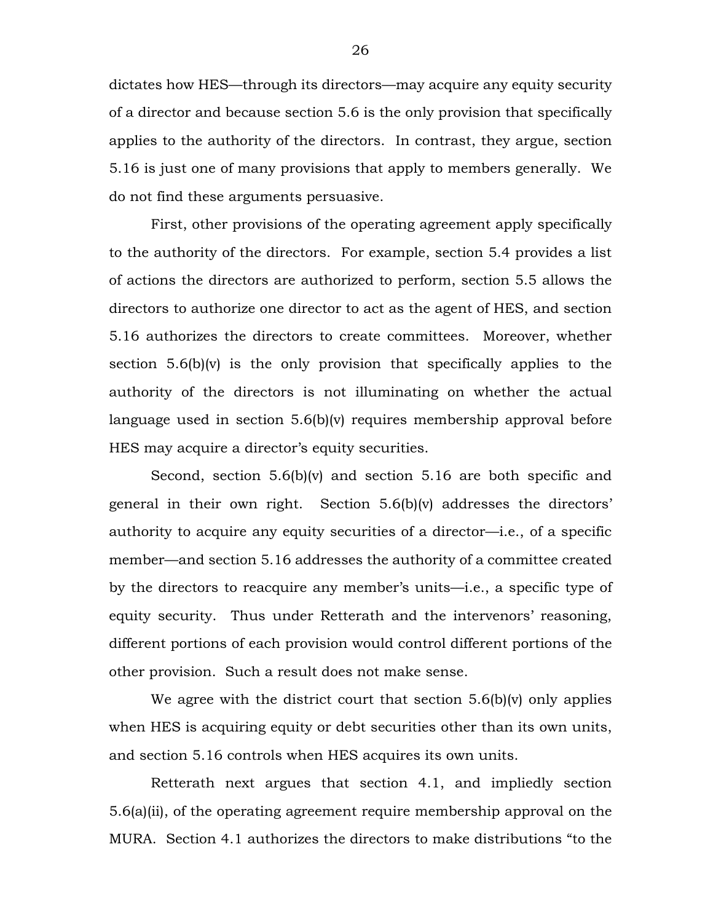dictates how HES—through its directors—may acquire any equity security of a director and because section 5.6 is the only provision that specifically applies to the authority of the directors. In contrast, they argue, section 5.16 is just one of many provisions that apply to members generally. We do not find these arguments persuasive.

First, other provisions of the operating agreement apply specifically to the authority of the directors. For example, section 5.4 provides a list of actions the directors are authorized to perform, section 5.5 allows the directors to authorize one director to act as the agent of HES, and section 5.16 authorizes the directors to create committees. Moreover, whether section 5.6(b)(v) is the only provision that specifically applies to the authority of the directors is not illuminating on whether the actual language used in section 5.6(b)(v) requires membership approval before HES may acquire a director's equity securities.

Second, section 5.6(b)(v) and section 5.16 are both specific and general in their own right. Section 5.6(b)(v) addresses the directors' authority to acquire any equity securities of a director—i.e., of a specific member—and section 5.16 addresses the authority of a committee created by the directors to reacquire any member's units—i.e., a specific type of equity security. Thus under Retterath and the intervenors' reasoning, different portions of each provision would control different portions of the other provision. Such a result does not make sense.

We agree with the district court that section 5.6(b)(v) only applies when HES is acquiring equity or debt securities other than its own units, and section 5.16 controls when HES acquires its own units.

Retterath next argues that section 4.1, and impliedly section 5.6(a)(ii), of the operating agreement require membership approval on the MURA. Section 4.1 authorizes the directors to make distributions "to the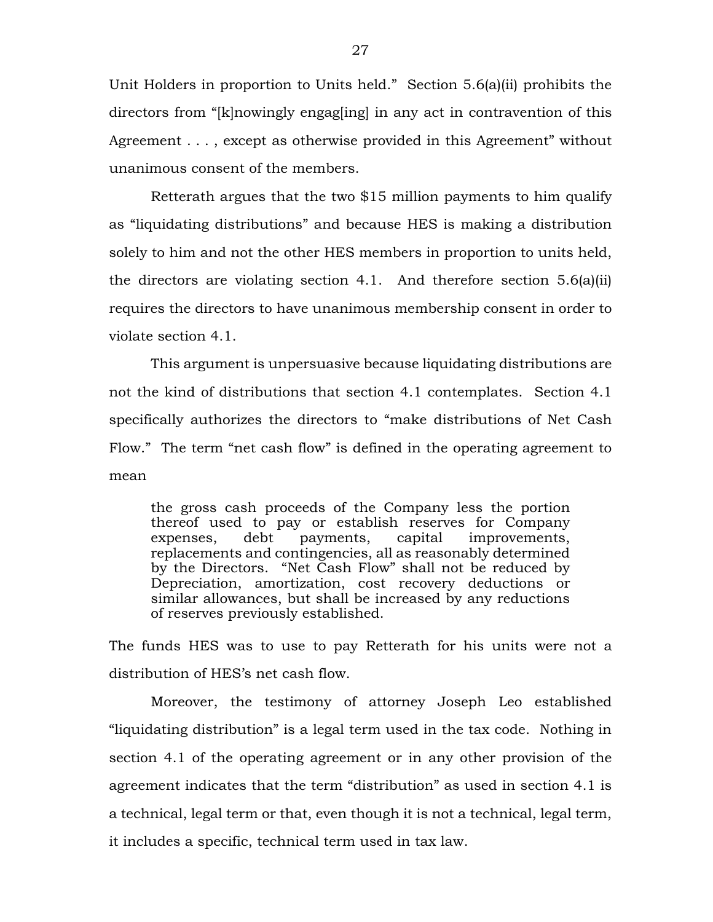Unit Holders in proportion to Units held." Section 5.6(a)(ii) prohibits the directors from "[k]nowingly engag[ing] in any act in contravention of this Agreement . . . , except as otherwise provided in this Agreement" without unanimous consent of the members.

Retterath argues that the two \$15 million payments to him qualify as "liquidating distributions" and because HES is making a distribution solely to him and not the other HES members in proportion to units held, the directors are violating section 4.1. And therefore section 5.6(a)(ii) requires the directors to have unanimous membership consent in order to violate section 4.1.

This argument is unpersuasive because liquidating distributions are not the kind of distributions that section 4.1 contemplates. Section 4.1 specifically authorizes the directors to "make distributions of Net Cash Flow." The term "net cash flow" is defined in the operating agreement to mean

the gross cash proceeds of the Company less the portion thereof used to pay or establish reserves for Company expenses, debt payments, capital improvements, replacements and contingencies, all as reasonably determined by the Directors. "Net Cash Flow" shall not be reduced by Depreciation, amortization, cost recovery deductions or similar allowances, but shall be increased by any reductions of reserves previously established.

The funds HES was to use to pay Retterath for his units were not a distribution of HES's net cash flow.

Moreover, the testimony of attorney Joseph Leo established "liquidating distribution" is a legal term used in the tax code. Nothing in section 4.1 of the operating agreement or in any other provision of the agreement indicates that the term "distribution" as used in section 4.1 is a technical, legal term or that, even though it is not a technical, legal term, it includes a specific, technical term used in tax law.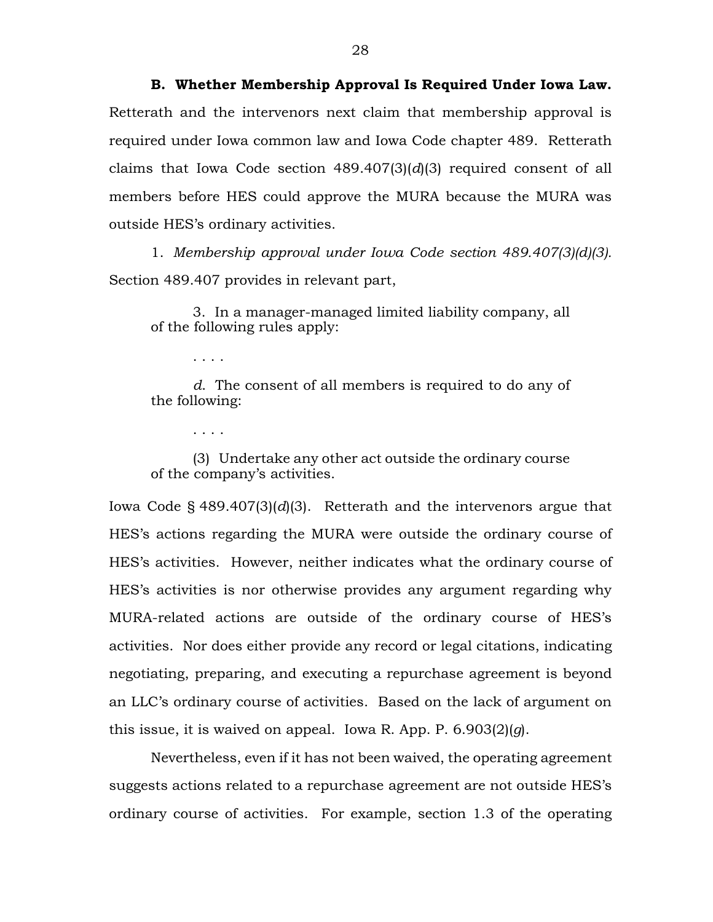**B. Whether Membership Approval Is Required Under Iowa Law.** Retterath and the intervenors next claim that membership approval is required under Iowa common law and Iowa Code chapter 489. Retterath claims that Iowa Code section 489.407(3)(*d*)(3) required consent of all members before HES could approve the MURA because the MURA was outside HES's ordinary activities.

1. *Membership approval under Iowa Code section 489.407(3)(d)(3).* Section 489.407 provides in relevant part,

3. In a manager-managed limited liability company, all of the following rules apply:

. . . .

*d*. The consent of all members is required to do any of the following:

. . . .

(3) Undertake any other act outside the ordinary course of the company's activities.

Iowa Code § 489.407(3)(*d*)(3). Retterath and the intervenors argue that HES's actions regarding the MURA were outside the ordinary course of HES's activities. However, neither indicates what the ordinary course of HES's activities is nor otherwise provides any argument regarding why MURA-related actions are outside of the ordinary course of HES's activities. Nor does either provide any record or legal citations, indicating negotiating, preparing, and executing a repurchase agreement is beyond an LLC's ordinary course of activities. Based on the lack of argument on this issue, it is waived on appeal. Iowa R. App. P. 6.903(2)(*g*).

Nevertheless, even if it has not been waived, the operating agreement suggests actions related to a repurchase agreement are not outside HES's ordinary course of activities. For example, section 1.3 of the operating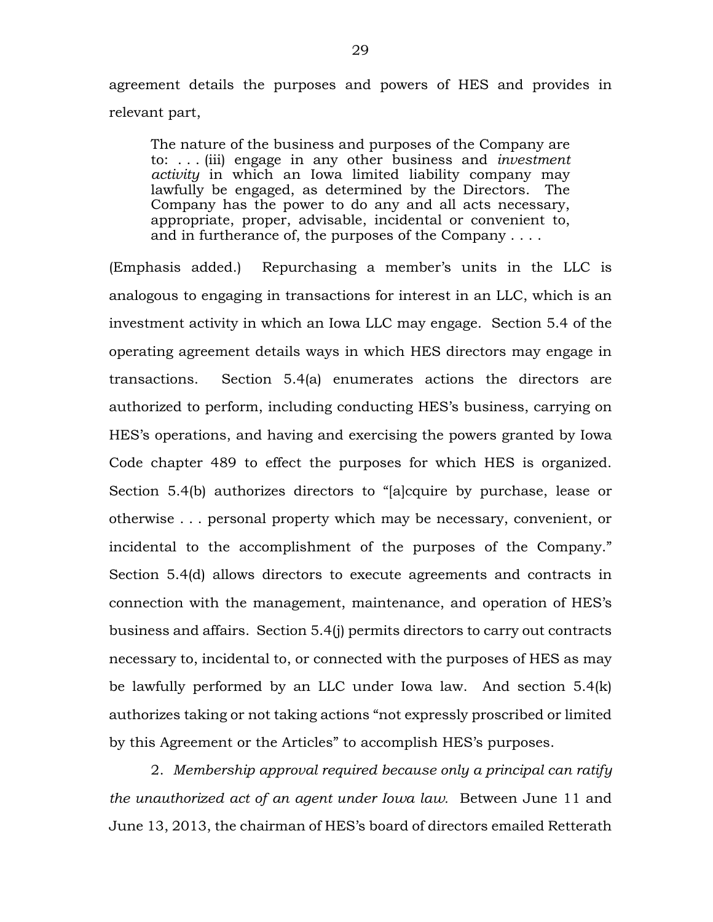agreement details the purposes and powers of HES and provides in relevant part,

The nature of the business and purposes of the Company are to: . . . (iii) engage in any other business and *investment activity* in which an Iowa limited liability company may lawfully be engaged, as determined by the Directors. The Company has the power to do any and all acts necessary, appropriate, proper, advisable, incidental or convenient to, and in furtherance of, the purposes of the Company . . . .

(Emphasis added.) Repurchasing a member's units in the LLC is analogous to engaging in transactions for interest in an LLC, which is an investment activity in which an Iowa LLC may engage. Section 5.4 of the operating agreement details ways in which HES directors may engage in transactions. Section 5.4(a) enumerates actions the directors are authorized to perform, including conducting HES's business, carrying on HES's operations, and having and exercising the powers granted by Iowa Code chapter 489 to effect the purposes for which HES is organized. Section 5.4(b) authorizes directors to "[a]cquire by purchase, lease or otherwise . . . personal property which may be necessary, convenient, or incidental to the accomplishment of the purposes of the Company." Section 5.4(d) allows directors to execute agreements and contracts in connection with the management, maintenance, and operation of HES's business and affairs. Section 5.4(j) permits directors to carry out contracts necessary to, incidental to, or connected with the purposes of HES as may be lawfully performed by an LLC under Iowa law. And section 5.4(k) authorizes taking or not taking actions "not expressly proscribed or limited by this Agreement or the Articles" to accomplish HES's purposes.

2. *Membership approval required because only a principal can ratify the unauthorized act of an agent under Iowa law.* Between June 11 and June 13, 2013, the chairman of HES's board of directors emailed Retterath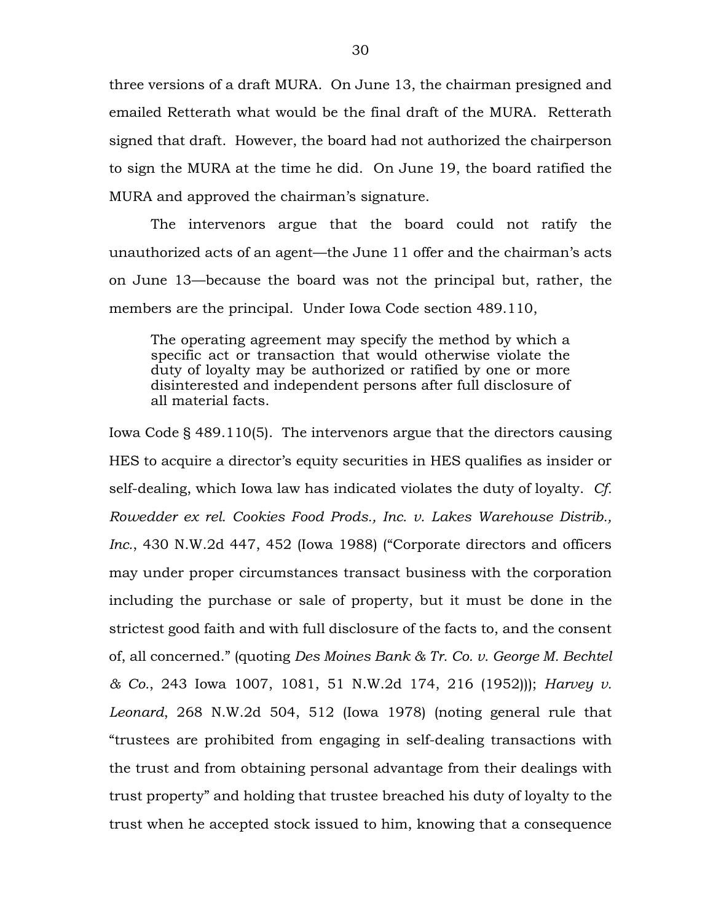three versions of a draft MURA. On June 13, the chairman presigned and emailed Retterath what would be the final draft of the MURA. Retterath signed that draft. However, the board had not authorized the chairperson to sign the MURA at the time he did. On June 19, the board ratified the MURA and approved the chairman's signature.

The intervenors argue that the board could not ratify the unauthorized acts of an agent—the June 11 offer and the chairman's acts on June 13—because the board was not the principal but, rather, the members are the principal. Under Iowa Code section 489.110,

The operating agreement may specify the method by which a specific act or transaction that would otherwise violate the duty of loyalty may be authorized or ratified by one or more disinterested and independent persons after full disclosure of all material facts.

Iowa Code § 489.110(5). The intervenors argue that the directors causing HES to acquire a director's equity securities in HES qualifies as insider or self-dealing, which Iowa law has indicated violates the duty of loyalty. *Cf. Rowedder ex rel. Cookies Food Prods., Inc. v. Lakes Warehouse Distrib., Inc.*, 430 N.W.2d 447, 452 (Iowa 1988) ("Corporate directors and officers may under proper circumstances transact business with the corporation including the purchase or sale of property, but it must be done in the strictest good faith and with full disclosure of the facts to, and the consent of, all concerned." (quoting *Des Moines Bank & Tr. Co. v. George M. Bechtel & Co.*, 243 Iowa 1007, 1081, 51 N.W.2d 174, 216 (1952))); *Harvey v. Leonard*, 268 N.W.2d 504, 512 (Iowa 1978) (noting general rule that "trustees are prohibited from engaging in self-dealing transactions with the trust and from obtaining personal advantage from their dealings with trust property" and holding that trustee breached his duty of loyalty to the trust when he accepted stock issued to him, knowing that a consequence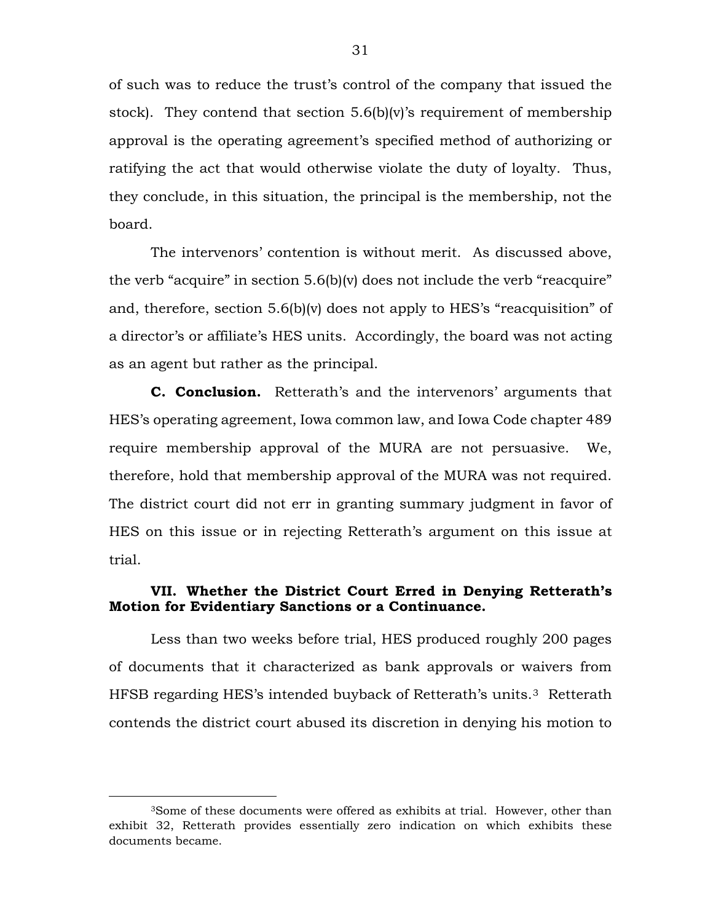of such was to reduce the trust's control of the company that issued the stock). They contend that section  $5.6(b)(v)$ 's requirement of membership approval is the operating agreement's specified method of authorizing or ratifying the act that would otherwise violate the duty of loyalty. Thus, they conclude, in this situation, the principal is the membership, not the board.

The intervenors' contention is without merit. As discussed above, the verb "acquire" in section 5.6(b)(v) does not include the verb "reacquire" and, therefore, section 5.6(b)(v) does not apply to HES's "reacquisition" of a director's or affiliate's HES units. Accordingly, the board was not acting as an agent but rather as the principal.

**C. Conclusion.** Retterath's and the intervenors' arguments that HES's operating agreement, Iowa common law, and Iowa Code chapter 489 require membership approval of the MURA are not persuasive. We, therefore, hold that membership approval of the MURA was not required. The district court did not err in granting summary judgment in favor of HES on this issue or in rejecting Retterath's argument on this issue at trial.

## **VII. Whether the District Court Erred in Denying Retterath's Motion for Evidentiary Sanctions or a Continuance.**

Less than two weeks before trial, HES produced roughly 200 pages of documents that it characterized as bank approvals or waivers from HFSB regarding HES's intended buyback of Retterath's units.[3](#page-30-0) Retterath contends the district court abused its discretion in denying his motion to

<span id="page-30-0"></span> <sup>3</sup>Some of these documents were offered as exhibits at trial. However, other than exhibit 32, Retterath provides essentially zero indication on which exhibits these documents became.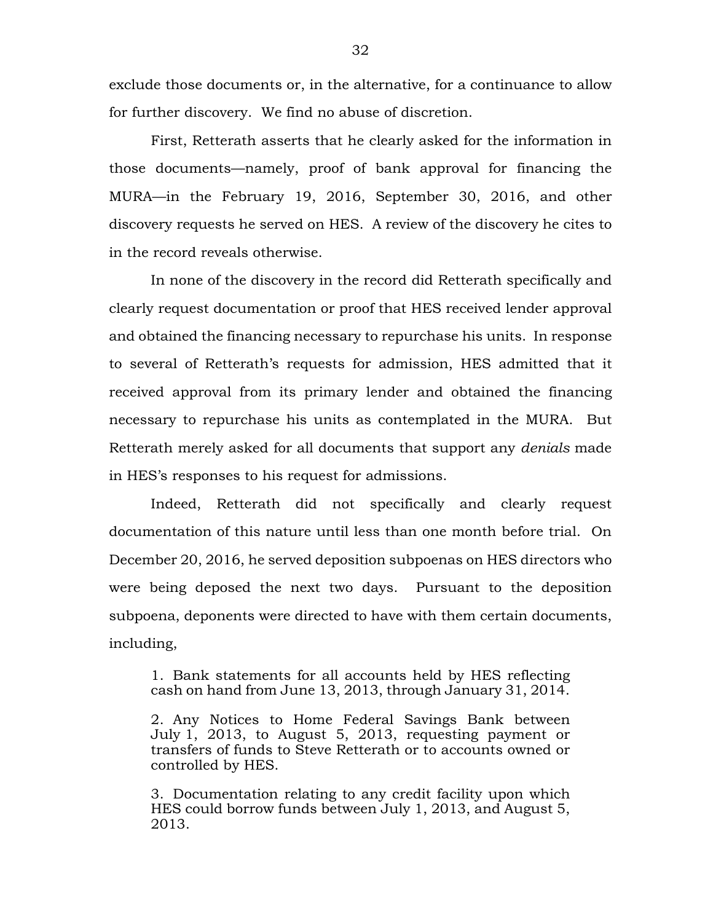exclude those documents or, in the alternative, for a continuance to allow for further discovery. We find no abuse of discretion.

First, Retterath asserts that he clearly asked for the information in those documents—namely, proof of bank approval for financing the MURA—in the February 19, 2016, September 30, 2016, and other discovery requests he served on HES. A review of the discovery he cites to in the record reveals otherwise.

In none of the discovery in the record did Retterath specifically and clearly request documentation or proof that HES received lender approval and obtained the financing necessary to repurchase his units. In response to several of Retterath's requests for admission, HES admitted that it received approval from its primary lender and obtained the financing necessary to repurchase his units as contemplated in the MURA. But Retterath merely asked for all documents that support any *denials* made in HES's responses to his request for admissions.

Indeed, Retterath did not specifically and clearly request documentation of this nature until less than one month before trial. On December 20, 2016, he served deposition subpoenas on HES directors who were being deposed the next two days. Pursuant to the deposition subpoena, deponents were directed to have with them certain documents, including,

1. Bank statements for all accounts held by HES reflecting cash on hand from June 13, 2013, through January 31, 2014.

2. Any Notices to Home Federal Savings Bank between July 1, 2013, to August 5, 2013, requesting payment or transfers of funds to Steve Retterath or to accounts owned or controlled by HES.

3. Documentation relating to any credit facility upon which HES could borrow funds between July 1, 2013, and August 5, 2013.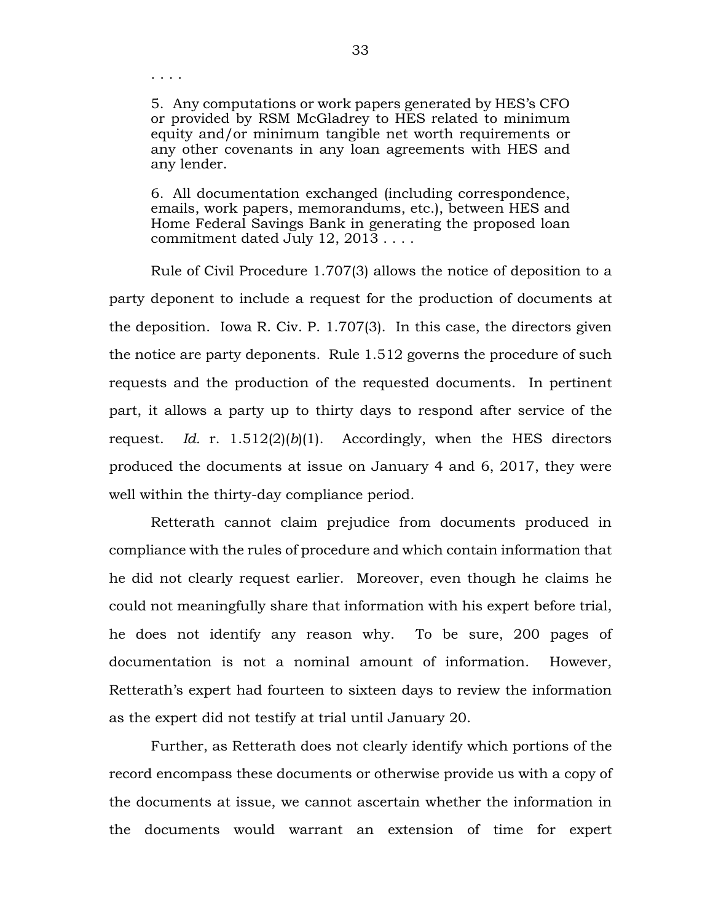. . . .

5. Any computations or work papers generated by HES's CFO or provided by RSM McGladrey to HES related to minimum equity and/or minimum tangible net worth requirements or any other covenants in any loan agreements with HES and any lender.

6. All documentation exchanged (including correspondence, emails, work papers, memorandums, etc.), between HES and Home Federal Savings Bank in generating the proposed loan commitment dated July 12, 2013 . . . .

Rule of Civil Procedure 1.707(3) allows the notice of deposition to a party deponent to include a request for the production of documents at the deposition. Iowa R. Civ. P. 1.707(3). In this case, the directors given the notice are party deponents. Rule 1.512 governs the procedure of such requests and the production of the requested documents. In pertinent part, it allows a party up to thirty days to respond after service of the request. *Id.* r. 1.512(2)(*b*)(1). Accordingly, when the HES directors produced the documents at issue on January 4 and 6, 2017, they were well within the thirty-day compliance period.

Retterath cannot claim prejudice from documents produced in compliance with the rules of procedure and which contain information that he did not clearly request earlier. Moreover, even though he claims he could not meaningfully share that information with his expert before trial, he does not identify any reason why. To be sure, 200 pages of documentation is not a nominal amount of information. However, Retterath's expert had fourteen to sixteen days to review the information as the expert did not testify at trial until January 20.

Further, as Retterath does not clearly identify which portions of the record encompass these documents or otherwise provide us with a copy of the documents at issue, we cannot ascertain whether the information in the documents would warrant an extension of time for expert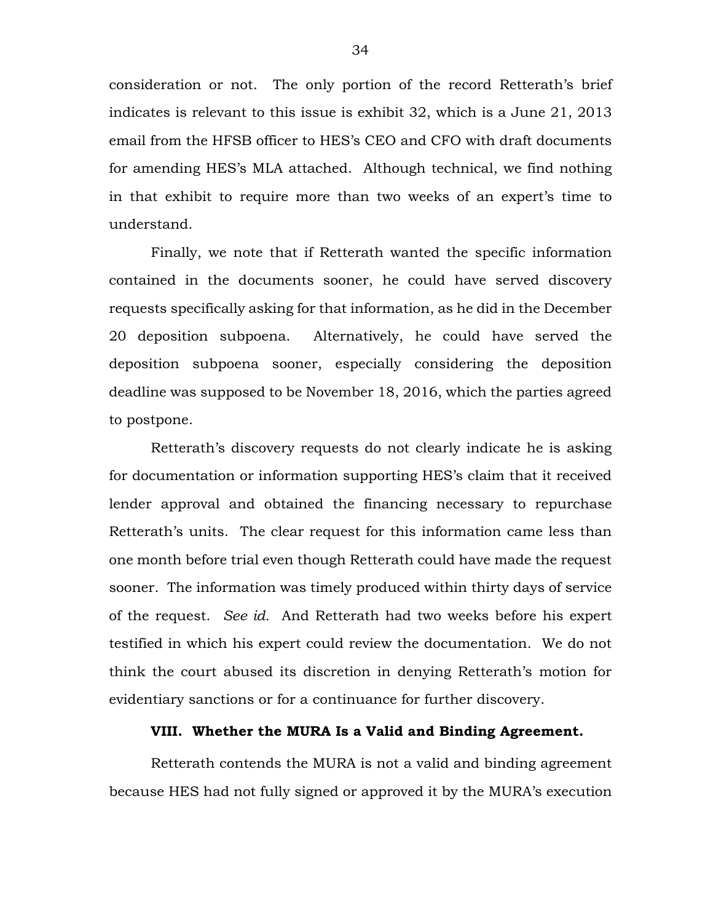consideration or not. The only portion of the record Retterath's brief indicates is relevant to this issue is exhibit 32, which is a June 21, 2013 email from the HFSB officer to HES's CEO and CFO with draft documents for amending HES's MLA attached. Although technical, we find nothing in that exhibit to require more than two weeks of an expert's time to understand.

Finally, we note that if Retterath wanted the specific information contained in the documents sooner, he could have served discovery requests specifically asking for that information, as he did in the December 20 deposition subpoena. Alternatively, he could have served the deposition subpoena sooner, especially considering the deposition deadline was supposed to be November 18, 2016, which the parties agreed to postpone.

Retterath's discovery requests do not clearly indicate he is asking for documentation or information supporting HES's claim that it received lender approval and obtained the financing necessary to repurchase Retterath's units. The clear request for this information came less than one month before trial even though Retterath could have made the request sooner. The information was timely produced within thirty days of service of the request. *See id.* And Retterath had two weeks before his expert testified in which his expert could review the documentation. We do not think the court abused its discretion in denying Retterath's motion for evidentiary sanctions or for a continuance for further discovery.

## **VIII. Whether the MURA Is a Valid and Binding Agreement.**

Retterath contends the MURA is not a valid and binding agreement because HES had not fully signed or approved it by the MURA's execution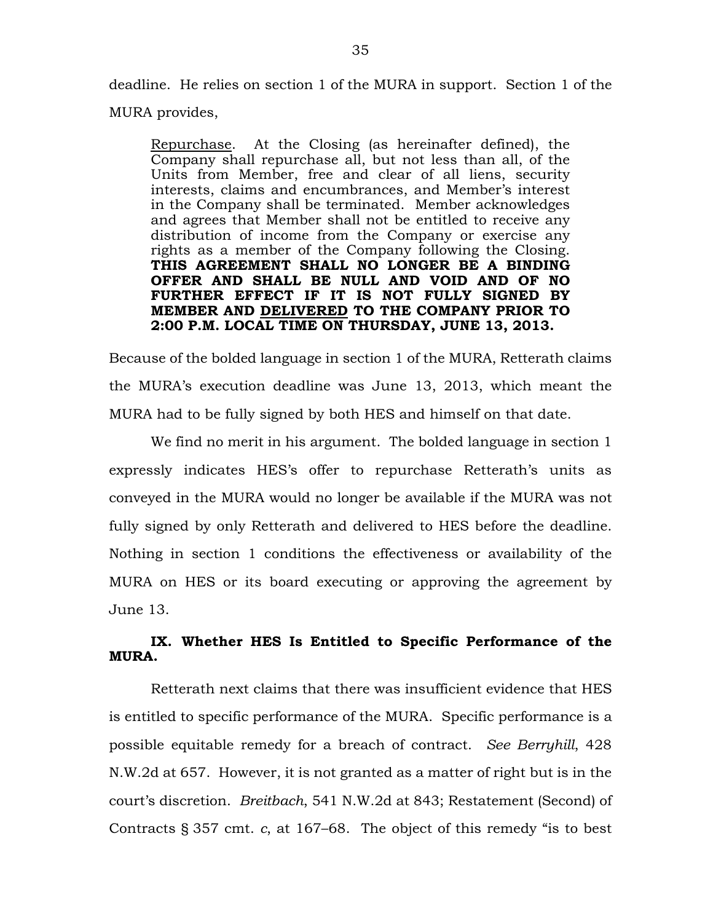deadline. He relies on section 1 of the MURA in support. Section 1 of the MURA provides,

Repurchase. At the Closing (as hereinafter defined), the Company shall repurchase all, but not less than all, of the Units from Member, free and clear of all liens, security interests, claims and encumbrances, and Member's interest in the Company shall be terminated. Member acknowledges and agrees that Member shall not be entitled to receive any distribution of income from the Company or exercise any rights as a member of the Company following the Closing. **THIS AGREEMENT SHALL NO LONGER BE A BINDING OFFER AND SHALL BE NULL AND VOID AND OF NO FURTHER EFFECT IF IT IS NOT FULLY SIGNED BY MEMBER AND DELIVERED TO THE COMPANY PRIOR TO 2:00 P.M. LOCAL TIME ON THURSDAY, JUNE 13, 2013.**

Because of the bolded language in section 1 of the MURA, Retterath claims the MURA's execution deadline was June 13, 2013, which meant the MURA had to be fully signed by both HES and himself on that date.

We find no merit in his argument. The bolded language in section 1 expressly indicates HES's offer to repurchase Retterath's units as conveyed in the MURA would no longer be available if the MURA was not fully signed by only Retterath and delivered to HES before the deadline. Nothing in section 1 conditions the effectiveness or availability of the MURA on HES or its board executing or approving the agreement by June 13.

# **IX. Whether HES Is Entitled to Specific Performance of the MURA.**

Retterath next claims that there was insufficient evidence that HES is entitled to specific performance of the MURA. Specific performance is a possible equitable remedy for a breach of contract. *See Berryhill*, 428 N.W.2d at 657. However, it is not granted as a matter of right but is in the court's discretion. *Breitbach*, 541 N.W.2d at 843; Restatement (Second) of Contracts § 357 cmt. *c*, at 167–68. The object of this remedy "is to best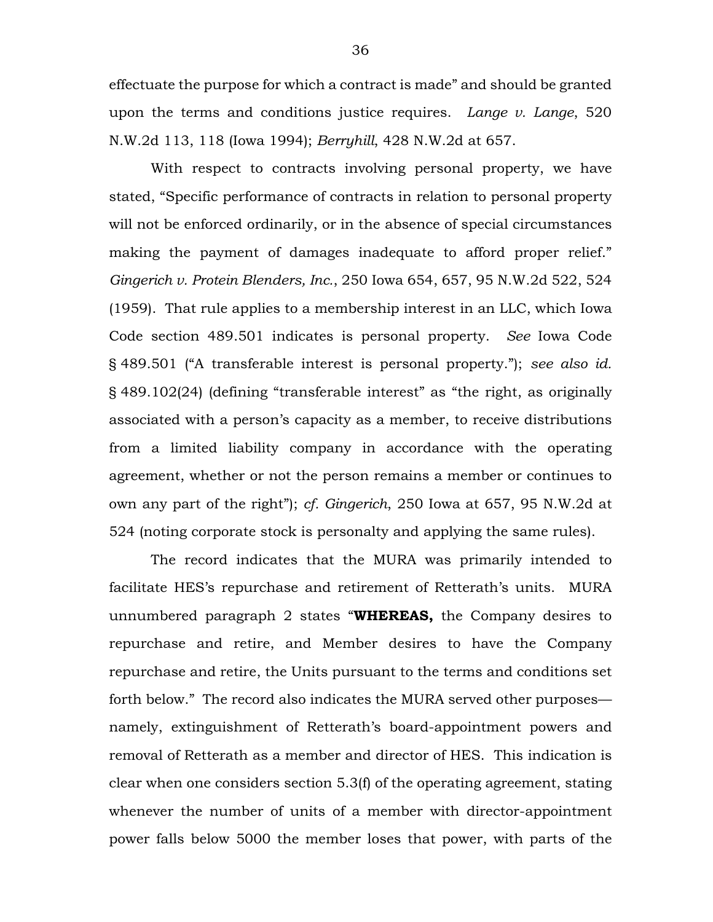effectuate the purpose for which a contract is made" and should be granted upon the terms and conditions justice requires. *Lange v. Lange*, 520 N.W.2d 113, 118 (Iowa 1994); *Berryhill*, 428 N.W.2d at 657.

With respect to contracts involving personal property, we have stated, "Specific performance of contracts in relation to personal property will not be enforced ordinarily, or in the absence of special circumstances making the payment of damages inadequate to afford proper relief." *Gingerich v. Protein Blenders, Inc.*, 250 Iowa 654, 657, 95 N.W.2d 522, 524 (1959). That rule applies to a membership interest in an LLC, which Iowa Code section 489.501 indicates is personal property. *See* Iowa Code § 489.501 ("A transferable interest is personal property."); *see also id.* § 489.102(24) (defining "transferable interest" as "the right, as originally associated with a person's capacity as a member, to receive distributions from a limited liability company in accordance with the operating agreement, whether or not the person remains a member or continues to own any part of the right"); *cf. Gingerich*, 250 Iowa at 657, 95 N.W.2d at 524 (noting corporate stock is personalty and applying the same rules).

The record indicates that the MURA was primarily intended to facilitate HES's repurchase and retirement of Retterath's units. MURA unnumbered paragraph 2 states "**WHEREAS,** the Company desires to repurchase and retire, and Member desires to have the Company repurchase and retire, the Units pursuant to the terms and conditions set forth below." The record also indicates the MURA served other purposes namely, extinguishment of Retterath's board-appointment powers and removal of Retterath as a member and director of HES. This indication is clear when one considers section 5.3(f) of the operating agreement, stating whenever the number of units of a member with director-appointment power falls below 5000 the member loses that power, with parts of the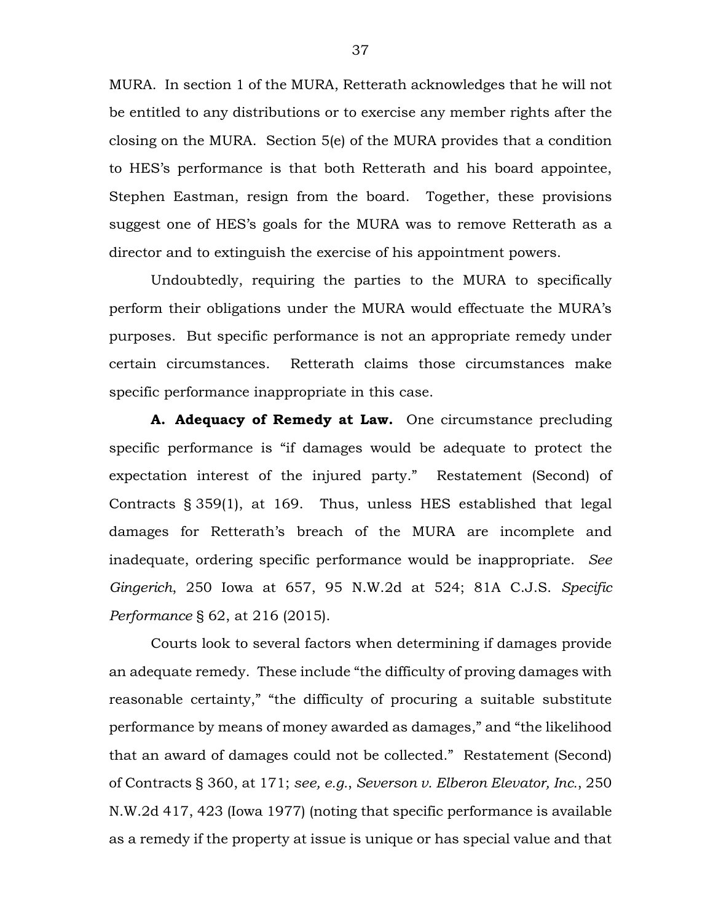MURA. In section 1 of the MURA, Retterath acknowledges that he will not be entitled to any distributions or to exercise any member rights after the closing on the MURA. Section 5(e) of the MURA provides that a condition to HES's performance is that both Retterath and his board appointee, Stephen Eastman, resign from the board. Together, these provisions suggest one of HES's goals for the MURA was to remove Retterath as a director and to extinguish the exercise of his appointment powers.

Undoubtedly, requiring the parties to the MURA to specifically perform their obligations under the MURA would effectuate the MURA's purposes. But specific performance is not an appropriate remedy under certain circumstances. Retterath claims those circumstances make specific performance inappropriate in this case.

**A. Adequacy of Remedy at Law.** One circumstance precluding specific performance is "if damages would be adequate to protect the expectation interest of the injured party." Restatement (Second) of Contracts § 359(1), at 169. Thus, unless HES established that legal damages for Retterath's breach of the MURA are incomplete and inadequate, ordering specific performance would be inappropriate. *See Gingerich*, 250 Iowa at 657, 95 N.W.2d at 524; 81A C.J.S. *Specific Performance* § 62, at 216 (2015).

Courts look to several factors when determining if damages provide an adequate remedy. These include "the difficulty of proving damages with reasonable certainty," "the difficulty of procuring a suitable substitute performance by means of money awarded as damages," and "the likelihood that an award of damages could not be collected." Restatement (Second) of Contracts § 360, at 171; *see, e.g.*, *Severson v. Elberon Elevator, Inc.*, 250 N.W.2d 417, 423 (Iowa 1977) (noting that specific performance is available as a remedy if the property at issue is unique or has special value and that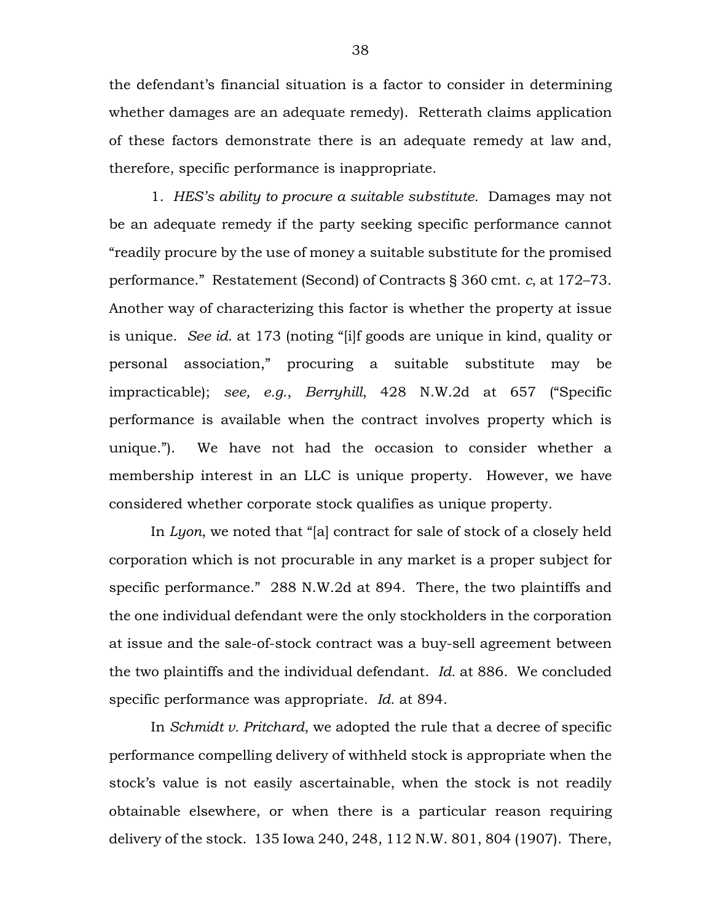the defendant's financial situation is a factor to consider in determining whether damages are an adequate remedy). Retterath claims application of these factors demonstrate there is an adequate remedy at law and, therefore, specific performance is inappropriate.

1. *HES's ability to procure a suitable substitute.* Damages may not be an adequate remedy if the party seeking specific performance cannot "readily procure by the use of money a suitable substitute for the promised performance." Restatement (Second) of Contracts § 360 cmt. *c*, at 172–73. Another way of characterizing this factor is whether the property at issue is unique. *See id.* at 173 (noting "[i]f goods are unique in kind, quality or personal association," procuring a suitable substitute may be impracticable); *see, e.g.*, *Berryhill*, 428 N.W.2d at 657 ("Specific performance is available when the contract involves property which is unique."). We have not had the occasion to consider whether a membership interest in an LLC is unique property. However, we have considered whether corporate stock qualifies as unique property.

In *Lyon*, we noted that "[a] contract for sale of stock of a closely held corporation which is not procurable in any market is a proper subject for specific performance." 288 N.W.2d at 894. There, the two plaintiffs and the one individual defendant were the only stockholders in the corporation at issue and the sale-of-stock contract was a buy-sell agreement between the two plaintiffs and the individual defendant. *Id.* at 886. We concluded specific performance was appropriate. *Id.* at 894.

In *Schmidt v. Pritchard*, we adopted the rule that a decree of specific performance compelling delivery of withheld stock is appropriate when the stock's value is not easily ascertainable, when the stock is not readily obtainable elsewhere, or when there is a particular reason requiring delivery of the stock. 135 Iowa 240, 248, 112 N.W. 801, 804 (1907). There,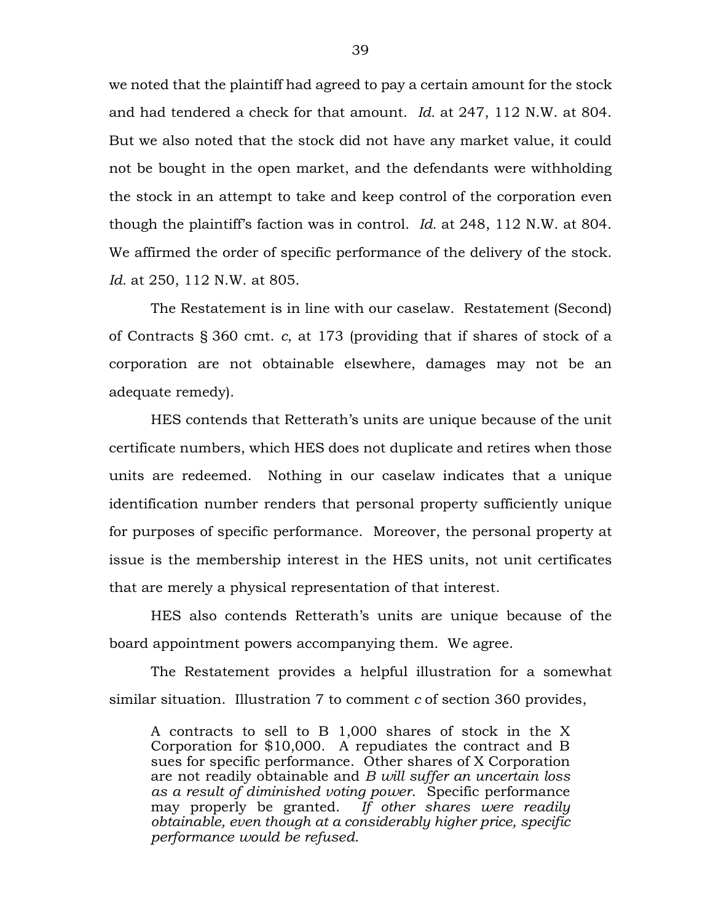we noted that the plaintiff had agreed to pay a certain amount for the stock and had tendered a check for that amount. *Id.* at 247, 112 N.W. at 804. But we also noted that the stock did not have any market value, it could not be bought in the open market, and the defendants were withholding the stock in an attempt to take and keep control of the corporation even though the plaintiff's faction was in control. *Id.* at 248, 112 N.W. at 804. We affirmed the order of specific performance of the delivery of the stock. *Id.* at 250, 112 N.W. at 805.

The Restatement is in line with our caselaw. Restatement (Second) of Contracts § 360 cmt. *c*, at 173 (providing that if shares of stock of a corporation are not obtainable elsewhere, damages may not be an adequate remedy).

HES contends that Retterath's units are unique because of the unit certificate numbers, which HES does not duplicate and retires when those units are redeemed. Nothing in our caselaw indicates that a unique identification number renders that personal property sufficiently unique for purposes of specific performance. Moreover, the personal property at issue is the membership interest in the HES units, not unit certificates that are merely a physical representation of that interest.

HES also contends Retterath's units are unique because of the board appointment powers accompanying them. We agree.

The Restatement provides a helpful illustration for a somewhat similar situation. Illustration 7 to comment *c* of section 360 provides,

A contracts to sell to B 1,000 shares of stock in the X Corporation for \$10,000. A repudiates the contract and B sues for specific performance. Other shares of X Corporation are not readily obtainable and *B will suffer an uncertain loss as a result of diminished voting power*. Specific performance may properly be granted. *If other shares were readily obtainable, even though at a considerably higher price, specific performance would be refused*.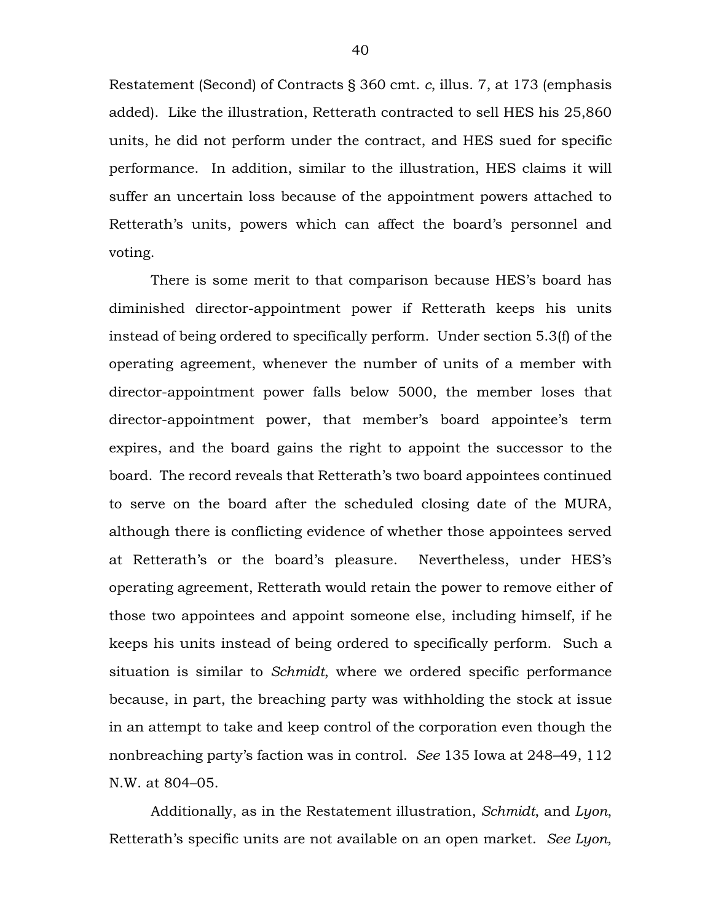Restatement (Second) of Contracts § 360 cmt. *c*, illus. 7, at 173 (emphasis added). Like the illustration, Retterath contracted to sell HES his 25,860 units, he did not perform under the contract, and HES sued for specific performance. In addition, similar to the illustration, HES claims it will suffer an uncertain loss because of the appointment powers attached to Retterath's units, powers which can affect the board's personnel and voting.

There is some merit to that comparison because HES's board has diminished director-appointment power if Retterath keeps his units instead of being ordered to specifically perform. Under section 5.3(f) of the operating agreement, whenever the number of units of a member with director-appointment power falls below 5000, the member loses that director-appointment power, that member's board appointee's term expires, and the board gains the right to appoint the successor to the board. The record reveals that Retterath's two board appointees continued to serve on the board after the scheduled closing date of the MURA, although there is conflicting evidence of whether those appointees served at Retterath's or the board's pleasure. Nevertheless, under HES's operating agreement, Retterath would retain the power to remove either of those two appointees and appoint someone else, including himself, if he keeps his units instead of being ordered to specifically perform. Such a situation is similar to *Schmidt*, where we ordered specific performance because, in part, the breaching party was withholding the stock at issue in an attempt to take and keep control of the corporation even though the nonbreaching party's faction was in control. *See* 135 Iowa at 248–49, 112 N.W. at 804–05.

Additionally, as in the Restatement illustration, *Schmidt*, and *Lyon*, Retterath's specific units are not available on an open market. *See Lyon*,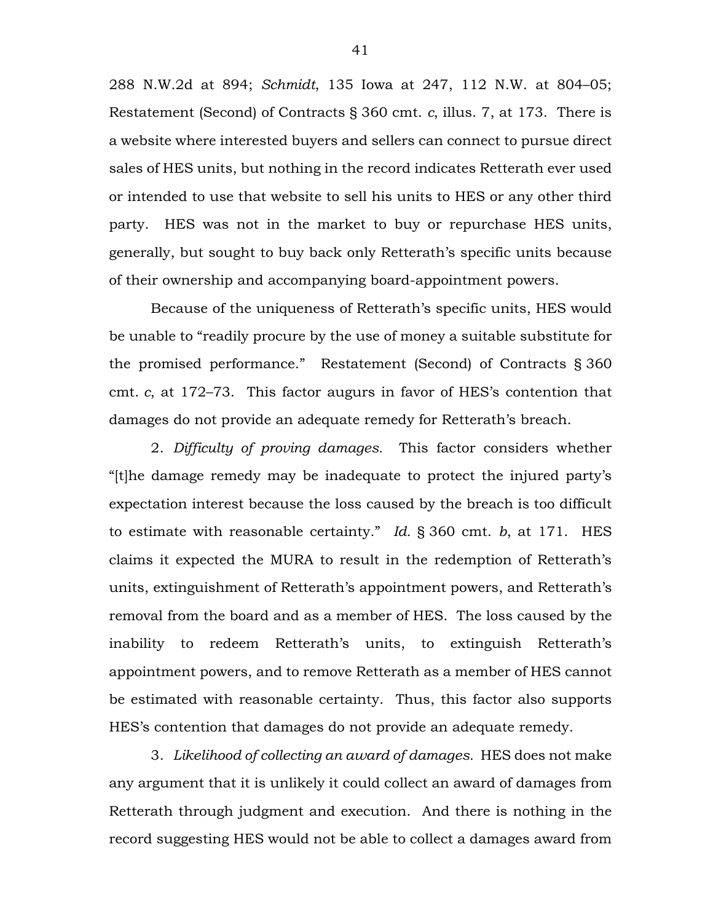288 N.W.2d at 894; *Schmidt*, 135 Iowa at 247, 112 N.W. at 804–05; Restatement (Second) of Contracts § 360 cmt. *c*, illus. 7, at 173. There is a website where interested buyers and sellers can connect to pursue direct sales of HES units, but nothing in the record indicates Retterath ever used or intended to use that website to sell his units to HES or any other third party. HES was not in the market to buy or repurchase HES units, generally, but sought to buy back only Retterath's specific units because of their ownership and accompanying board-appointment powers.

Because of the uniqueness of Retterath's specific units, HES would be unable to "readily procure by the use of money a suitable substitute for the promised performance." Restatement (Second) of Contracts § 360 cmt. *c*, at 172–73. This factor augurs in favor of HES's contention that damages do not provide an adequate remedy for Retterath's breach.

2. *Difficulty of proving damages.* This factor considers whether "[t]he damage remedy may be inadequate to protect the injured party's expectation interest because the loss caused by the breach is too difficult to estimate with reasonable certainty." *Id.* § 360 cmt. *b*, at 171. HES claims it expected the MURA to result in the redemption of Retterath's units, extinguishment of Retterath's appointment powers, and Retterath's removal from the board and as a member of HES. The loss caused by the inability to redeem Retterath's units, to extinguish Retterath's appointment powers, and to remove Retterath as a member of HES cannot be estimated with reasonable certainty. Thus, this factor also supports HES's contention that damages do not provide an adequate remedy.

3. *Likelihood of collecting an award of damages.* HES does not make any argument that it is unlikely it could collect an award of damages from Retterath through judgment and execution. And there is nothing in the record suggesting HES would not be able to collect a damages award from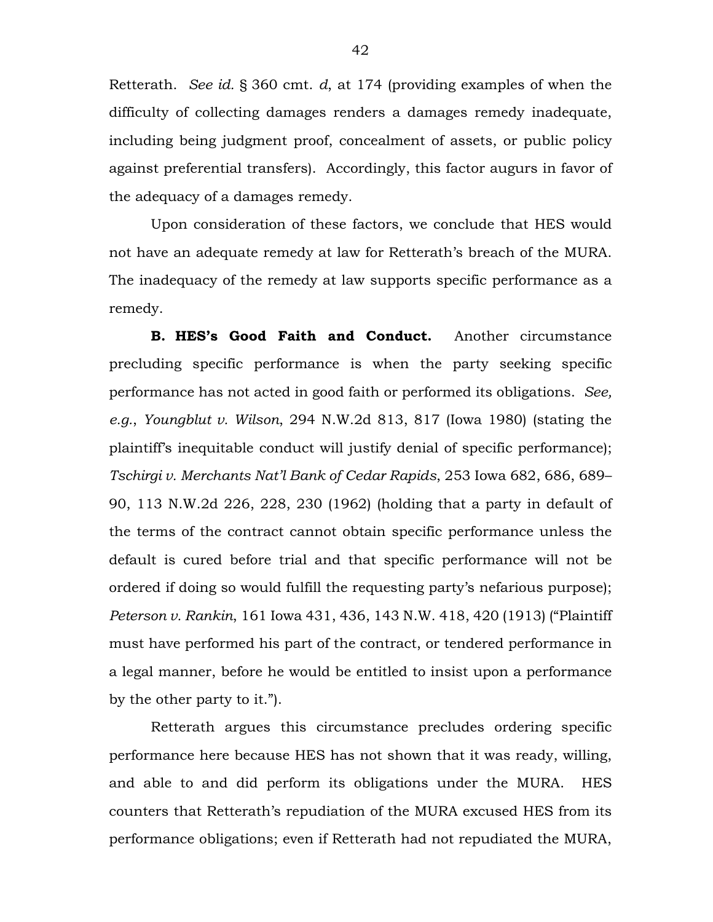Retterath. *See id.* § 360 cmt. *d*, at 174 (providing examples of when the difficulty of collecting damages renders a damages remedy inadequate, including being judgment proof, concealment of assets, or public policy against preferential transfers). Accordingly, this factor augurs in favor of the adequacy of a damages remedy.

Upon consideration of these factors, we conclude that HES would not have an adequate remedy at law for Retterath's breach of the MURA. The inadequacy of the remedy at law supports specific performance as a remedy.

**B. HES's Good Faith and Conduct.** Another circumstance precluding specific performance is when the party seeking specific performance has not acted in good faith or performed its obligations. *See, e.g.*, *Youngblut v. Wilson*, 294 N.W.2d 813, 817 (Iowa 1980) (stating the plaintiff's inequitable conduct will justify denial of specific performance); *Tschirgi v. Merchants Nat'l Bank of Cedar Rapids*, 253 Iowa 682, 686, 689– 90, 113 N.W.2d 226, 228, 230 (1962) (holding that a party in default of the terms of the contract cannot obtain specific performance unless the default is cured before trial and that specific performance will not be ordered if doing so would fulfill the requesting party's nefarious purpose); *Peterson v. Rankin*, 161 Iowa 431, 436, 143 N.W. 418, 420 (1913) ("Plaintiff must have performed his part of the contract, or tendered performance in a legal manner, before he would be entitled to insist upon a performance by the other party to it.").

Retterath argues this circumstance precludes ordering specific performance here because HES has not shown that it was ready, willing, and able to and did perform its obligations under the MURA. HES counters that Retterath's repudiation of the MURA excused HES from its performance obligations; even if Retterath had not repudiated the MURA,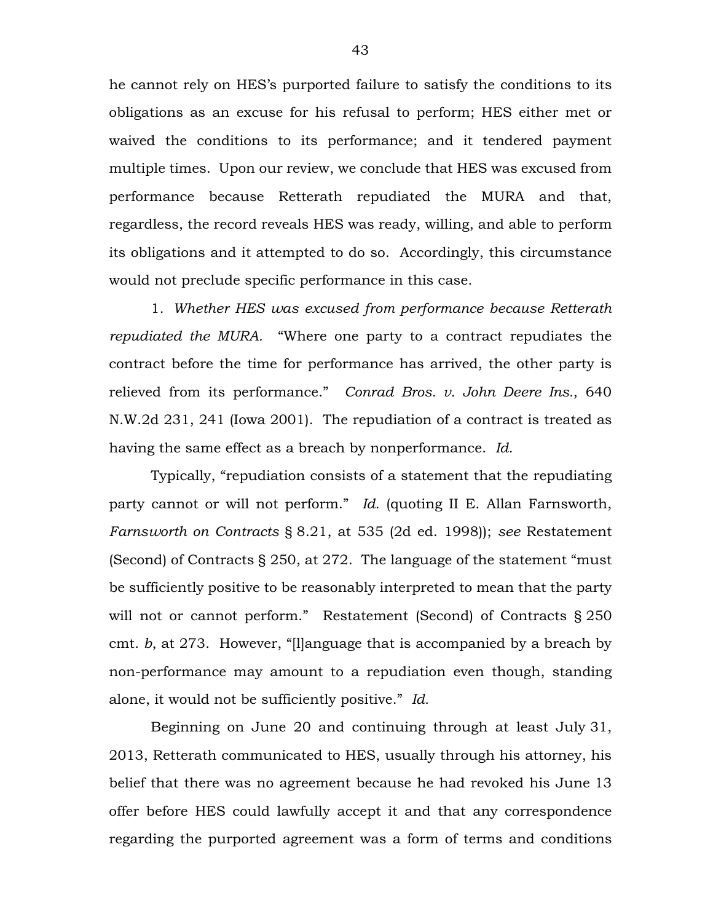he cannot rely on HES's purported failure to satisfy the conditions to its obligations as an excuse for his refusal to perform; HES either met or waived the conditions to its performance; and it tendered payment multiple times. Upon our review, we conclude that HES was excused from performance because Retterath repudiated the MURA and that, regardless, the record reveals HES was ready, willing, and able to perform its obligations and it attempted to do so. Accordingly, this circumstance would not preclude specific performance in this case.

1. *Whether HES was excused from performance because Retterath repudiated the MURA.* "Where one party to a contract repudiates the contract before the time for performance has arrived, the other party is relieved from its performance." *Conrad Bros. v. John Deere Ins.*, 640 N.W.2d 231, 241 (Iowa 2001). The repudiation of a contract is treated as having the same effect as a breach by nonperformance. *Id.*

Typically, "repudiation consists of a statement that the repudiating party cannot or will not perform." *Id.* (quoting II E. Allan Farnsworth, *Farnsworth on Contracts* § 8.21, at 535 (2d ed. 1998)); *see* Restatement (Second) of Contracts § 250, at 272. The language of the statement "must be sufficiently positive to be reasonably interpreted to mean that the party will not or cannot perform." Restatement (Second) of Contracts § 250 cmt. *b*, at 273. However, "[l]anguage that is accompanied by a breach by non-performance may amount to a repudiation even though, standing alone, it would not be sufficiently positive." *Id.*

Beginning on June 20 and continuing through at least July 31, 2013, Retterath communicated to HES, usually through his attorney, his belief that there was no agreement because he had revoked his June 13 offer before HES could lawfully accept it and that any correspondence regarding the purported agreement was a form of terms and conditions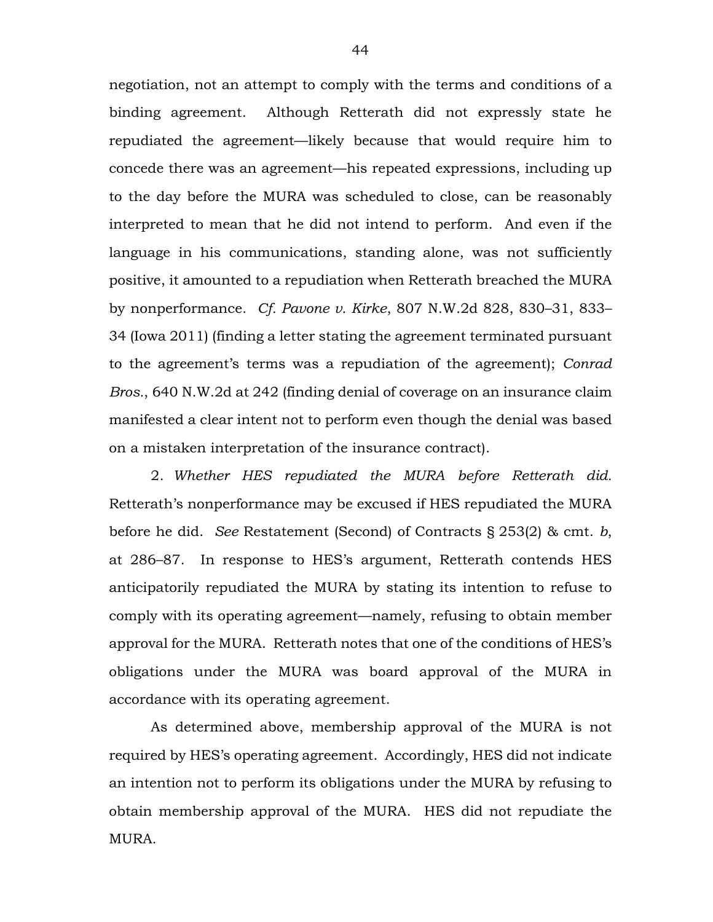negotiation, not an attempt to comply with the terms and conditions of a binding agreement. Although Retterath did not expressly state he repudiated the agreement—likely because that would require him to concede there was an agreement—his repeated expressions, including up to the day before the MURA was scheduled to close, can be reasonably interpreted to mean that he did not intend to perform. And even if the language in his communications, standing alone, was not sufficiently positive, it amounted to a repudiation when Retterath breached the MURA by nonperformance. *Cf. Pavone v. Kirke*, 807 N.W.2d 828, 830–31, 833– 34 (Iowa 2011) (finding a letter stating the agreement terminated pursuant to the agreement's terms was a repudiation of the agreement); *Conrad Bros.*, 640 N.W.2d at 242 (finding denial of coverage on an insurance claim manifested a clear intent not to perform even though the denial was based on a mistaken interpretation of the insurance contract).

2. *Whether HES repudiated the MURA before Retterath did.* Retterath's nonperformance may be excused if HES repudiated the MURA before he did. *See* Restatement (Second) of Contracts § 253(2) & cmt. *b*, at 286–87. In response to HES's argument, Retterath contends HES anticipatorily repudiated the MURA by stating its intention to refuse to comply with its operating agreement—namely, refusing to obtain member approval for the MURA. Retterath notes that one of the conditions of HES's obligations under the MURA was board approval of the MURA in accordance with its operating agreement.

As determined above, membership approval of the MURA is not required by HES's operating agreement. Accordingly, HES did not indicate an intention not to perform its obligations under the MURA by refusing to obtain membership approval of the MURA. HES did not repudiate the MURA.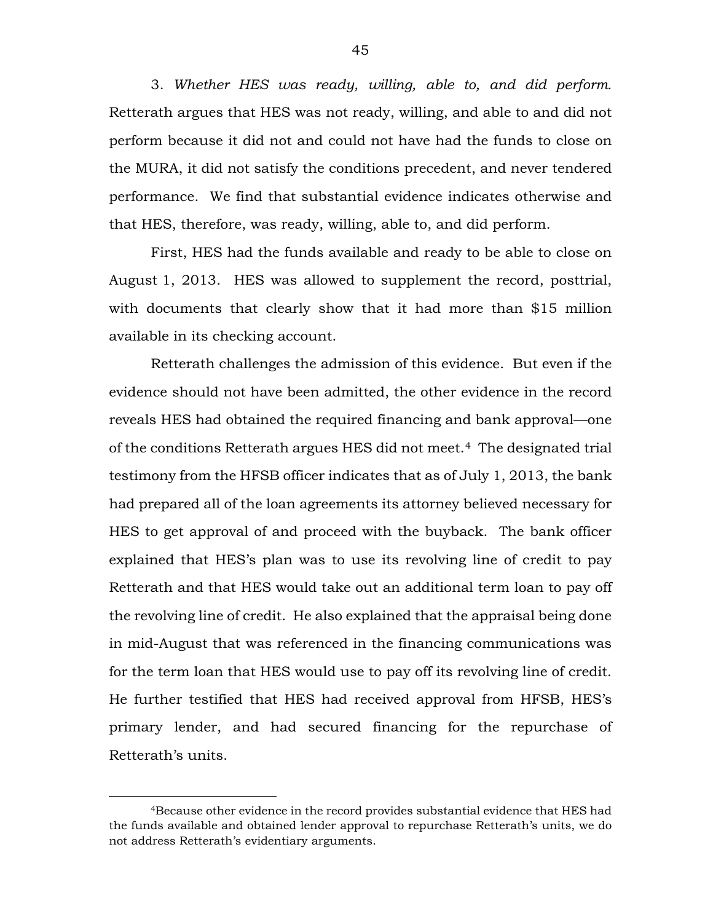3. *Whether HES was ready, willing, able to, and did perform.* Retterath argues that HES was not ready, willing, and able to and did not perform because it did not and could not have had the funds to close on the MURA, it did not satisfy the conditions precedent, and never tendered performance. We find that substantial evidence indicates otherwise and that HES, therefore, was ready, willing, able to, and did perform.

First, HES had the funds available and ready to be able to close on August 1, 2013. HES was allowed to supplement the record, posttrial, with documents that clearly show that it had more than \$15 million available in its checking account.

Retterath challenges the admission of this evidence. But even if the evidence should not have been admitted, the other evidence in the record reveals HES had obtained the required financing and bank approval—one of the conditions Retterath argues HES did not meet.[4](#page-44-0) The designated trial testimony from the HFSB officer indicates that as of July 1, 2013, the bank had prepared all of the loan agreements its attorney believed necessary for HES to get approval of and proceed with the buyback. The bank officer explained that HES's plan was to use its revolving line of credit to pay Retterath and that HES would take out an additional term loan to pay off the revolving line of credit. He also explained that the appraisal being done in mid-August that was referenced in the financing communications was for the term loan that HES would use to pay off its revolving line of credit. He further testified that HES had received approval from HFSB, HES's primary lender, and had secured financing for the repurchase of Retterath's units.

<span id="page-44-0"></span> <sup>4</sup>Because other evidence in the record provides substantial evidence that HES had the funds available and obtained lender approval to repurchase Retterath's units, we do not address Retterath's evidentiary arguments.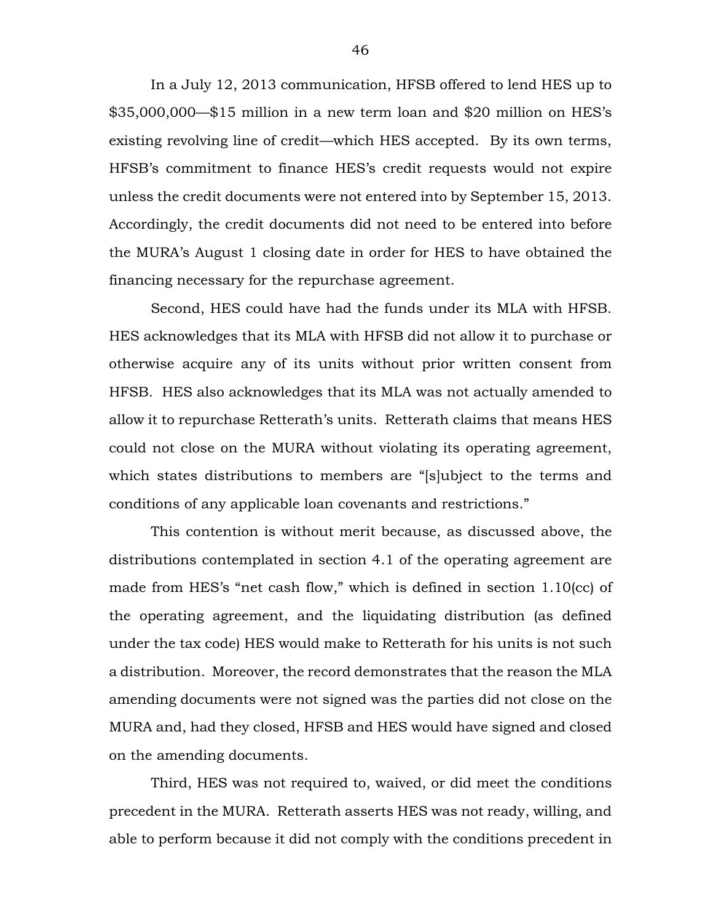In a July 12, 2013 communication, HFSB offered to lend HES up to \$35,000,000—\$15 million in a new term loan and \$20 million on HES's existing revolving line of credit—which HES accepted. By its own terms, HFSB's commitment to finance HES's credit requests would not expire unless the credit documents were not entered into by September 15, 2013. Accordingly, the credit documents did not need to be entered into before the MURA's August 1 closing date in order for HES to have obtained the financing necessary for the repurchase agreement.

Second, HES could have had the funds under its MLA with HFSB. HES acknowledges that its MLA with HFSB did not allow it to purchase or otherwise acquire any of its units without prior written consent from HFSB. HES also acknowledges that its MLA was not actually amended to allow it to repurchase Retterath's units. Retterath claims that means HES could not close on the MURA without violating its operating agreement, which states distributions to members are "[s]ubject to the terms and conditions of any applicable loan covenants and restrictions."

This contention is without merit because, as discussed above, the distributions contemplated in section 4.1 of the operating agreement are made from HES's "net cash flow," which is defined in section 1.10(cc) of the operating agreement, and the liquidating distribution (as defined under the tax code) HES would make to Retterath for his units is not such a distribution. Moreover, the record demonstrates that the reason the MLA amending documents were not signed was the parties did not close on the MURA and, had they closed, HFSB and HES would have signed and closed on the amending documents.

Third, HES was not required to, waived, or did meet the conditions precedent in the MURA. Retterath asserts HES was not ready, willing, and able to perform because it did not comply with the conditions precedent in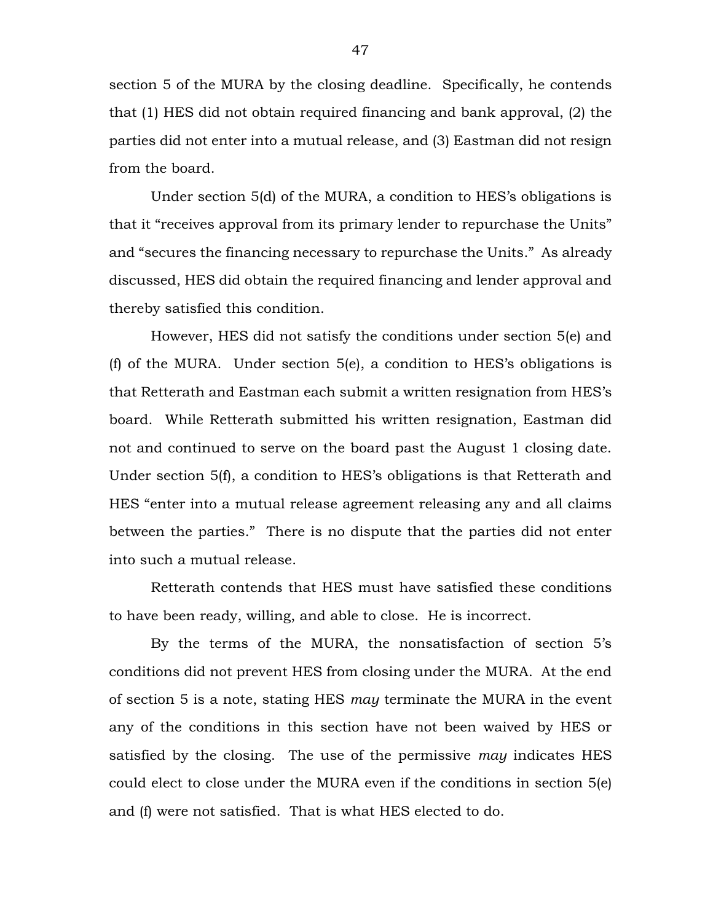section 5 of the MURA by the closing deadline. Specifically, he contends that (1) HES did not obtain required financing and bank approval, (2) the parties did not enter into a mutual release, and (3) Eastman did not resign from the board.

Under section 5(d) of the MURA, a condition to HES's obligations is that it "receives approval from its primary lender to repurchase the Units" and "secures the financing necessary to repurchase the Units." As already discussed, HES did obtain the required financing and lender approval and thereby satisfied this condition.

However, HES did not satisfy the conditions under section 5(e) and (f) of the MURA. Under section 5(e), a condition to HES's obligations is that Retterath and Eastman each submit a written resignation from HES's board. While Retterath submitted his written resignation, Eastman did not and continued to serve on the board past the August 1 closing date. Under section 5(f), a condition to HES's obligations is that Retterath and HES "enter into a mutual release agreement releasing any and all claims between the parties." There is no dispute that the parties did not enter into such a mutual release.

Retterath contends that HES must have satisfied these conditions to have been ready, willing, and able to close. He is incorrect.

By the terms of the MURA, the nonsatisfaction of section 5's conditions did not prevent HES from closing under the MURA. At the end of section 5 is a note, stating HES *may* terminate the MURA in the event any of the conditions in this section have not been waived by HES or satisfied by the closing. The use of the permissive *may* indicates HES could elect to close under the MURA even if the conditions in section 5(e) and (f) were not satisfied. That is what HES elected to do.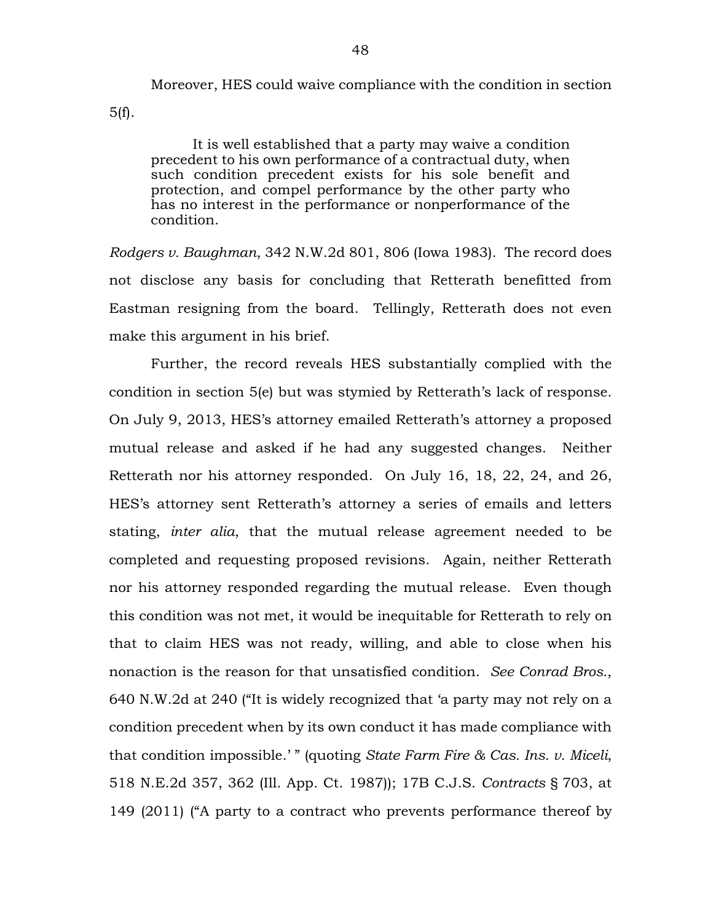Moreover, HES could waive compliance with the condition in section

5(f).

It is well established that a party may waive a condition precedent to his own performance of a contractual duty, when such condition precedent exists for his sole benefit and protection, and compel performance by the other party who has no interest in the performance or nonperformance of the condition.

*Rodgers v. Baughman*, 342 N.W.2d 801, 806 (Iowa 1983). The record does not disclose any basis for concluding that Retterath benefitted from Eastman resigning from the board. Tellingly, Retterath does not even make this argument in his brief.

Further, the record reveals HES substantially complied with the condition in section 5(e) but was stymied by Retterath's lack of response. On July 9, 2013, HES's attorney emailed Retterath's attorney a proposed mutual release and asked if he had any suggested changes. Neither Retterath nor his attorney responded. On July 16, 18, 22, 24, and 26, HES's attorney sent Retterath's attorney a series of emails and letters stating, *inter alia*, that the mutual release agreement needed to be completed and requesting proposed revisions. Again, neither Retterath nor his attorney responded regarding the mutual release. Even though this condition was not met, it would be inequitable for Retterath to rely on that to claim HES was not ready, willing, and able to close when his nonaction is the reason for that unsatisfied condition. *See Conrad Bros.*, 640 N.W.2d at 240 ("It is widely recognized that 'a party may not rely on a condition precedent when by its own conduct it has made compliance with that condition impossible.' " (quoting *State Farm Fire & Cas. Ins. v. Miceli*, 518 N.E.2d 357, 362 (Ill. App. Ct. 1987)); 17B C.J.S. *Contracts* § 703, at 149 (2011) ("A party to a contract who prevents performance thereof by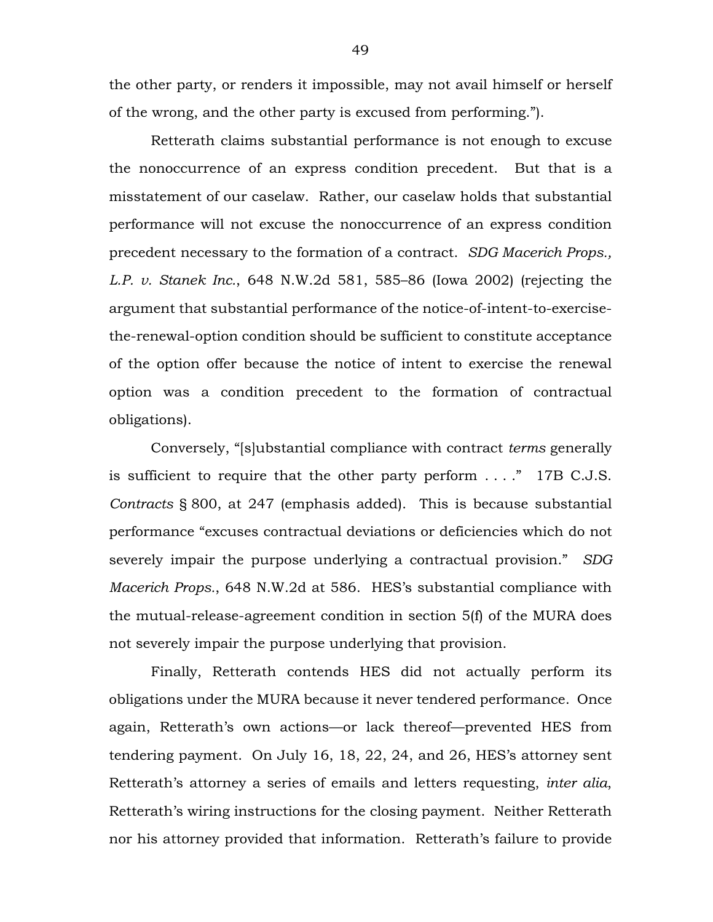the other party, or renders it impossible, may not avail himself or herself of the wrong, and the other party is excused from performing.").

Retterath claims substantial performance is not enough to excuse the nonoccurrence of an express condition precedent. But that is a misstatement of our caselaw. Rather, our caselaw holds that substantial performance will not excuse the nonoccurrence of an express condition precedent necessary to the formation of a contract. *SDG Macerich Props., L.P. v. Stanek Inc.*, 648 N.W.2d 581, 585–86 (Iowa 2002) (rejecting the argument that substantial performance of the notice-of-intent-to-exercisethe-renewal-option condition should be sufficient to constitute acceptance of the option offer because the notice of intent to exercise the renewal option was a condition precedent to the formation of contractual obligations).

Conversely, "[s]ubstantial compliance with contract *terms* generally is sufficient to require that the other party perform . . . ." 17B C.J.S. *Contracts* § 800, at 247 (emphasis added). This is because substantial performance "excuses contractual deviations or deficiencies which do not severely impair the purpose underlying a contractual provision." *SDG Macerich Props.*, 648 N.W.2d at 586. HES's substantial compliance with the mutual-release-agreement condition in section 5(f) of the MURA does not severely impair the purpose underlying that provision.

Finally, Retterath contends HES did not actually perform its obligations under the MURA because it never tendered performance. Once again, Retterath's own actions—or lack thereof—prevented HES from tendering payment. On July 16, 18, 22, 24, and 26, HES's attorney sent Retterath's attorney a series of emails and letters requesting, *inter alia*, Retterath's wiring instructions for the closing payment. Neither Retterath nor his attorney provided that information. Retterath's failure to provide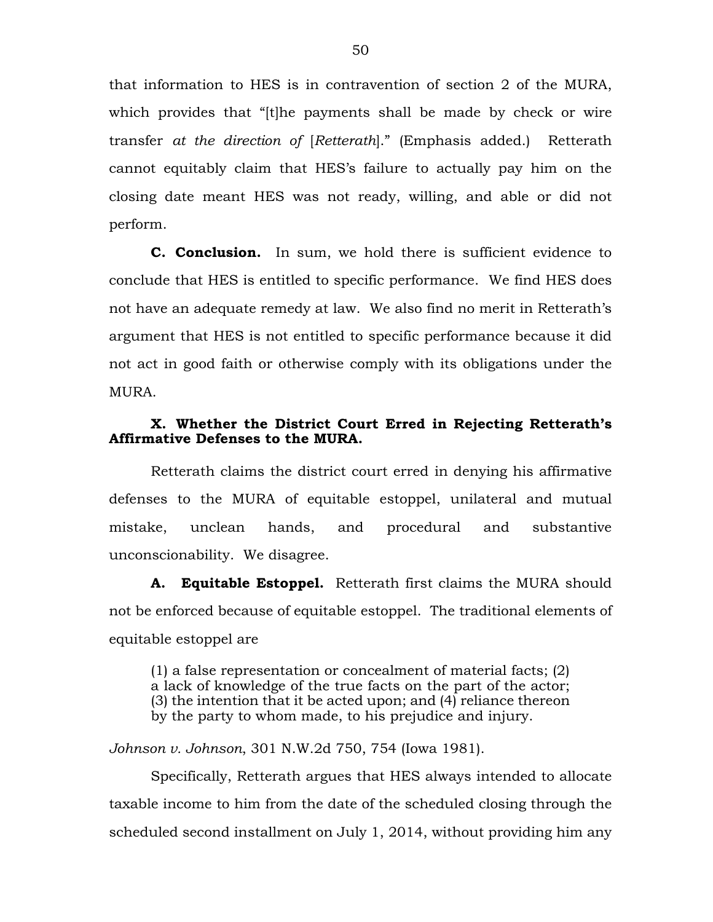that information to HES is in contravention of section 2 of the MURA, which provides that "[t]he payments shall be made by check or wire transfer *at the direction of* [*Retterath*]." (Emphasis added.) Retterath cannot equitably claim that HES's failure to actually pay him on the closing date meant HES was not ready, willing, and able or did not perform.

**C. Conclusion.** In sum, we hold there is sufficient evidence to conclude that HES is entitled to specific performance. We find HES does not have an adequate remedy at law. We also find no merit in Retterath's argument that HES is not entitled to specific performance because it did not act in good faith or otherwise comply with its obligations under the MURA.

# **X. Whether the District Court Erred in Rejecting Retterath's Affirmative Defenses to the MURA.**

Retterath claims the district court erred in denying his affirmative defenses to the MURA of equitable estoppel, unilateral and mutual mistake, unclean hands, and procedural and substantive unconscionability. We disagree.

**A. Equitable Estoppel.** Retterath first claims the MURA should not be enforced because of equitable estoppel. The traditional elements of equitable estoppel are

(1) a false representation or concealment of material facts; (2) a lack of knowledge of the true facts on the part of the actor; (3) the intention that it be acted upon; and (4) reliance thereon by the party to whom made, to his prejudice and injury.

*Johnson v. Johnson*, 301 N.W.2d 750, 754 (Iowa 1981).

Specifically, Retterath argues that HES always intended to allocate taxable income to him from the date of the scheduled closing through the scheduled second installment on July 1, 2014, without providing him any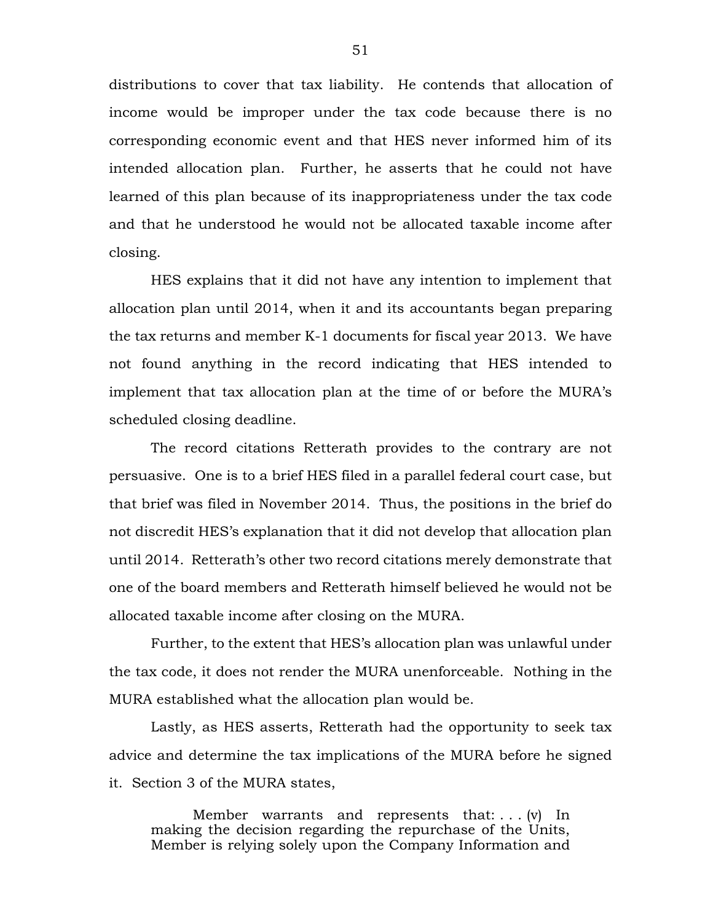distributions to cover that tax liability. He contends that allocation of income would be improper under the tax code because there is no corresponding economic event and that HES never informed him of its intended allocation plan. Further, he asserts that he could not have learned of this plan because of its inappropriateness under the tax code and that he understood he would not be allocated taxable income after closing.

HES explains that it did not have any intention to implement that allocation plan until 2014, when it and its accountants began preparing the tax returns and member K-1 documents for fiscal year 2013. We have not found anything in the record indicating that HES intended to implement that tax allocation plan at the time of or before the MURA's scheduled closing deadline.

The record citations Retterath provides to the contrary are not persuasive. One is to a brief HES filed in a parallel federal court case, but that brief was filed in November 2014. Thus, the positions in the brief do not discredit HES's explanation that it did not develop that allocation plan until 2014. Retterath's other two record citations merely demonstrate that one of the board members and Retterath himself believed he would not be allocated taxable income after closing on the MURA.

Further, to the extent that HES's allocation plan was unlawful under the tax code, it does not render the MURA unenforceable. Nothing in the MURA established what the allocation plan would be.

Lastly, as HES asserts, Retterath had the opportunity to seek tax advice and determine the tax implications of the MURA before he signed it. Section 3 of the MURA states,

Member warrants and represents that:  $\dots$  (v) In making the decision regarding the repurchase of the Units, Member is relying solely upon the Company Information and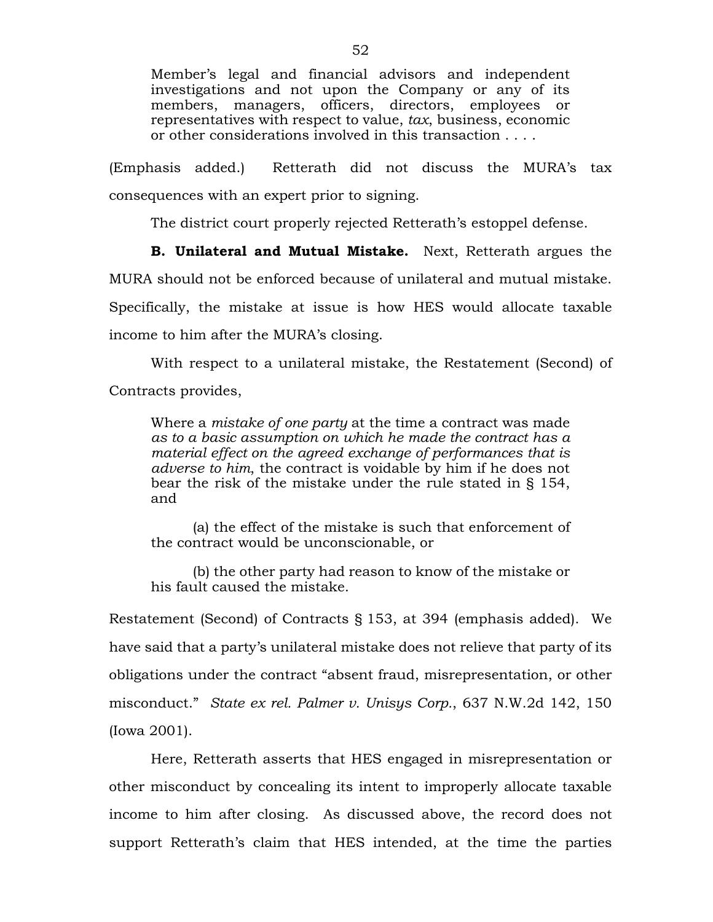Member's legal and financial advisors and independent investigations and not upon the Company or any of its members, managers, officers, directors, employees or representatives with respect to value, *tax*, business, economic or other considerations involved in this transaction . . . .

(Emphasis added.) Retterath did not discuss the MURA's tax consequences with an expert prior to signing.

The district court properly rejected Retterath's estoppel defense.

**B. Unilateral and Mutual Mistake.** Next, Retterath argues the MURA should not be enforced because of unilateral and mutual mistake. Specifically, the mistake at issue is how HES would allocate taxable income to him after the MURA's closing.

With respect to a unilateral mistake, the Restatement (Second) of Contracts provides,

Where a *mistake of one party* at the time a contract was made *as to a basic assumption on which he made the contract has a material effect on the agreed exchange of performances that is adverse to him*, the contract is voidable by him if he does not bear the risk of the mistake under the rule stated in § 154, and

(a) the effect of the mistake is such that enforcement of the contract would be unconscionable, or

(b) the other party had reason to know of the mistake or his fault caused the mistake.

Restatement (Second) of Contracts § 153, at 394 (emphasis added). We have said that a party's unilateral mistake does not relieve that party of its obligations under the contract "absent fraud, misrepresentation, or other misconduct." *State ex rel. Palmer v. Unisys Corp.*, 637 N.W.2d 142, 150 (Iowa 2001).

Here, Retterath asserts that HES engaged in misrepresentation or other misconduct by concealing its intent to improperly allocate taxable income to him after closing. As discussed above, the record does not support Retterath's claim that HES intended, at the time the parties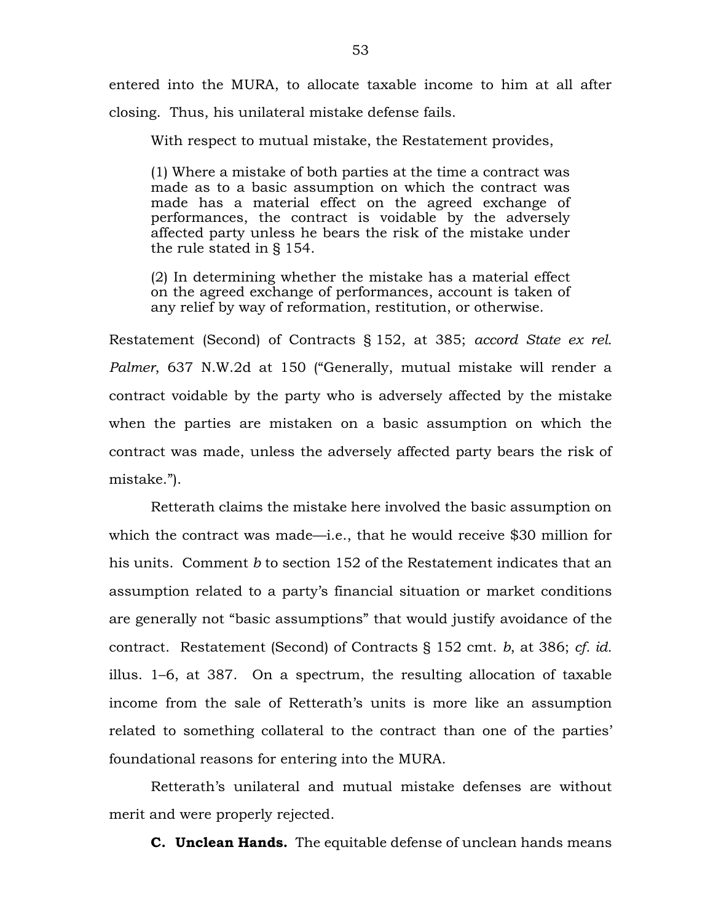entered into the MURA, to allocate taxable income to him at all after closing. Thus, his unilateral mistake defense fails.

With respect to mutual mistake, the Restatement provides,

(1) Where a mistake of both parties at the time a contract was made as to a basic assumption on which the contract was made has a material effect on the agreed exchange of performances, the contract is voidable by the adversely affected party unless he bears the risk of the mistake under the rule stated in § 154.

(2) In determining whether the mistake has a material effect on the agreed exchange of performances, account is taken of any relief by way of reformation, restitution, or otherwise.

Restatement (Second) of Contracts § 152, at 385; *accord State ex rel. Palmer*, 637 N.W.2d at 150 ("Generally, mutual mistake will render a contract voidable by the party who is adversely affected by the mistake when the parties are mistaken on a basic assumption on which the contract was made, unless the adversely affected party bears the risk of mistake.").

Retterath claims the mistake here involved the basic assumption on which the contract was made—i.e., that he would receive \$30 million for his units. Comment *b* to section 152 of the Restatement indicates that an assumption related to a party's financial situation or market conditions are generally not "basic assumptions" that would justify avoidance of the contract. Restatement (Second) of Contracts § 152 cmt. *b*, at 386; *cf. id.* illus. 1–6, at 387. On a spectrum, the resulting allocation of taxable income from the sale of Retterath's units is more like an assumption related to something collateral to the contract than one of the parties' foundational reasons for entering into the MURA.

Retterath's unilateral and mutual mistake defenses are without merit and were properly rejected.

**C. Unclean Hands.** The equitable defense of unclean hands means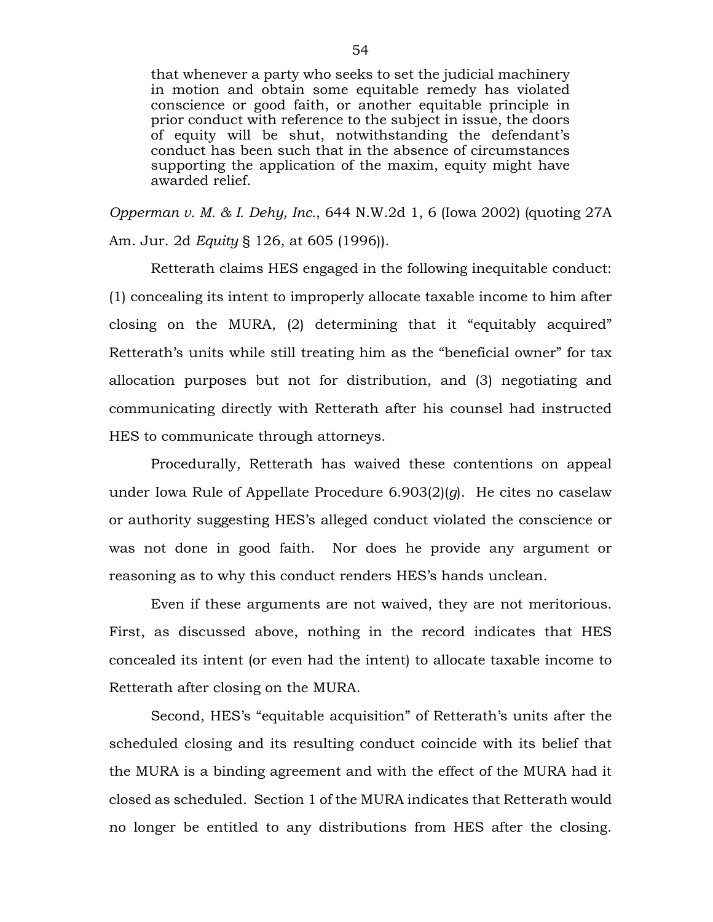that whenever a party who seeks to set the judicial machinery in motion and obtain some equitable remedy has violated conscience or good faith, or another equitable principle in prior conduct with reference to the subject in issue, the doors of equity will be shut, notwithstanding the defendant's conduct has been such that in the absence of circumstances supporting the application of the maxim, equity might have awarded relief.

*Opperman v. M. & I. Dehy, Inc.*, 644 N.W.2d 1, 6 (Iowa 2002) (quoting 27A Am. Jur. 2d *Equity* § 126, at 605 (1996)).

Retterath claims HES engaged in the following inequitable conduct: (1) concealing its intent to improperly allocate taxable income to him after closing on the MURA, (2) determining that it "equitably acquired" Retterath's units while still treating him as the "beneficial owner" for tax allocation purposes but not for distribution, and (3) negotiating and communicating directly with Retterath after his counsel had instructed HES to communicate through attorneys.

Procedurally, Retterath has waived these contentions on appeal under Iowa Rule of Appellate Procedure 6.903(2)(*g*). He cites no caselaw or authority suggesting HES's alleged conduct violated the conscience or was not done in good faith. Nor does he provide any argument or reasoning as to why this conduct renders HES's hands unclean.

Even if these arguments are not waived, they are not meritorious. First, as discussed above, nothing in the record indicates that HES concealed its intent (or even had the intent) to allocate taxable income to Retterath after closing on the MURA.

Second, HES's "equitable acquisition" of Retterath's units after the scheduled closing and its resulting conduct coincide with its belief that the MURA is a binding agreement and with the effect of the MURA had it closed as scheduled. Section 1 of the MURA indicates that Retterath would no longer be entitled to any distributions from HES after the closing.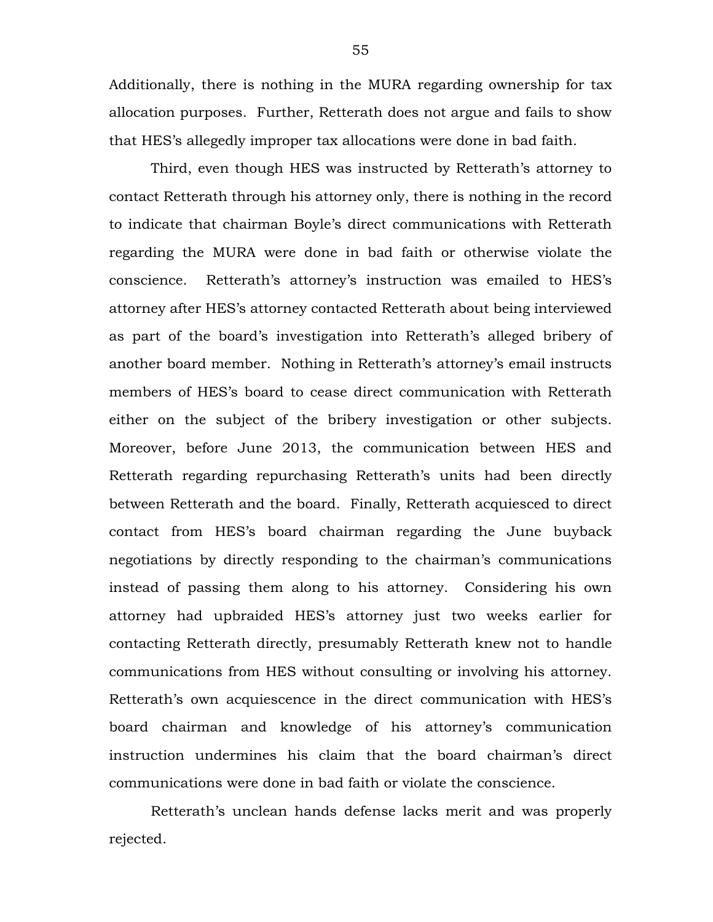Additionally, there is nothing in the MURA regarding ownership for tax allocation purposes. Further, Retterath does not argue and fails to show that HES's allegedly improper tax allocations were done in bad faith.

Third, even though HES was instructed by Retterath's attorney to contact Retterath through his attorney only, there is nothing in the record to indicate that chairman Boyle's direct communications with Retterath regarding the MURA were done in bad faith or otherwise violate the conscience. Retterath's attorney's instruction was emailed to HES's attorney after HES's attorney contacted Retterath about being interviewed as part of the board's investigation into Retterath's alleged bribery of another board member. Nothing in Retterath's attorney's email instructs members of HES's board to cease direct communication with Retterath either on the subject of the bribery investigation or other subjects. Moreover, before June 2013, the communication between HES and Retterath regarding repurchasing Retterath's units had been directly between Retterath and the board. Finally, Retterath acquiesced to direct contact from HES's board chairman regarding the June buyback negotiations by directly responding to the chairman's communications instead of passing them along to his attorney. Considering his own attorney had upbraided HES's attorney just two weeks earlier for contacting Retterath directly, presumably Retterath knew not to handle communications from HES without consulting or involving his attorney. Retterath's own acquiescence in the direct communication with HES's board chairman and knowledge of his attorney's communication instruction undermines his claim that the board chairman's direct communications were done in bad faith or violate the conscience.

Retterath's unclean hands defense lacks merit and was properly rejected.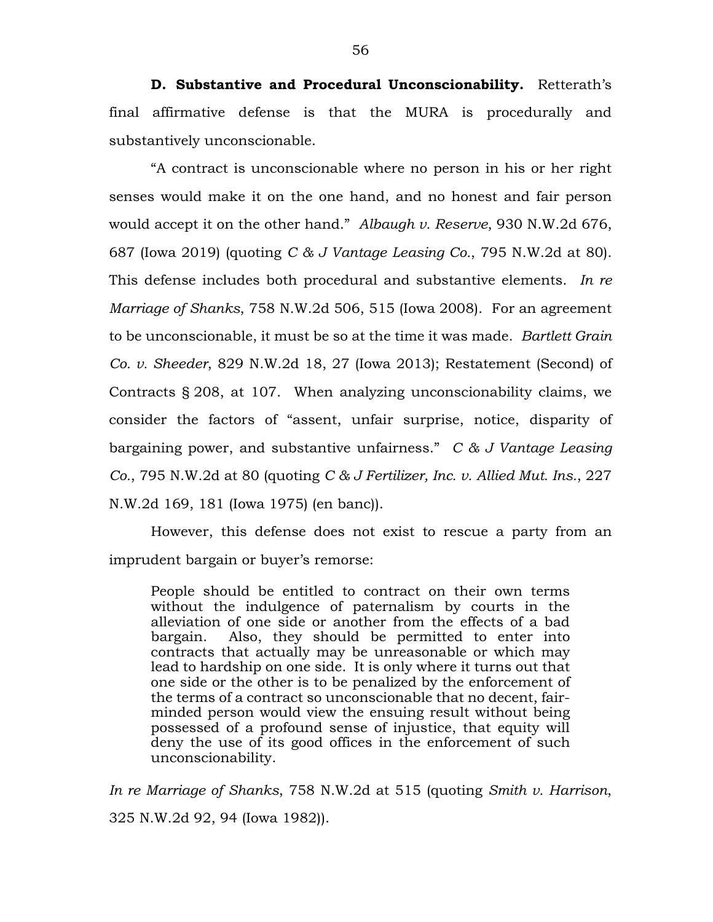**D. Substantive and Procedural Unconscionability.** Retterath's final affirmative defense is that the MURA is procedurally and substantively unconscionable.

"A contract is unconscionable where no person in his or her right senses would make it on the one hand, and no honest and fair person would accept it on the other hand." *Albaugh v. Reserve*, 930 N.W.2d 676, 687 (Iowa 2019) (quoting *C & J Vantage Leasing Co.*, 795 N.W.2d at 80). This defense includes both procedural and substantive elements. *In re Marriage of Shanks*, 758 N.W.2d 506, 515 (Iowa 2008). For an agreement to be unconscionable, it must be so at the time it was made. *Bartlett Grain Co. v. Sheeder*, 829 N.W.2d 18, 27 (Iowa 2013); Restatement (Second) of Contracts § 208, at 107. When analyzing unconscionability claims, we consider the factors of "assent, unfair surprise, notice, disparity of bargaining power, and substantive unfairness." *C & J Vantage Leasing Co.*, 795 N.W.2d at 80 (quoting *C & J Fertilizer, Inc. v. Allied Mut. Ins.*, 227 N.W.2d 169, 181 (Iowa 1975) (en banc)).

However, this defense does not exist to rescue a party from an imprudent bargain or buyer's remorse:

People should be entitled to contract on their own terms without the indulgence of paternalism by courts in the alleviation of one side or another from the effects of a bad bargain. Also, they should be permitted to enter into contracts that actually may be unreasonable or which may lead to hardship on one side. It is only where it turns out that one side or the other is to be penalized by the enforcement of the terms of a contract so unconscionable that no decent, fairminded person would view the ensuing result without being possessed of a profound sense of injustice, that equity will deny the use of its good offices in the enforcement of such unconscionability.

*In re Marriage of Shanks*, 758 N.W.2d at 515 (quoting *Smith v. Harrison*, 325 N.W.2d 92, 94 (Iowa 1982)).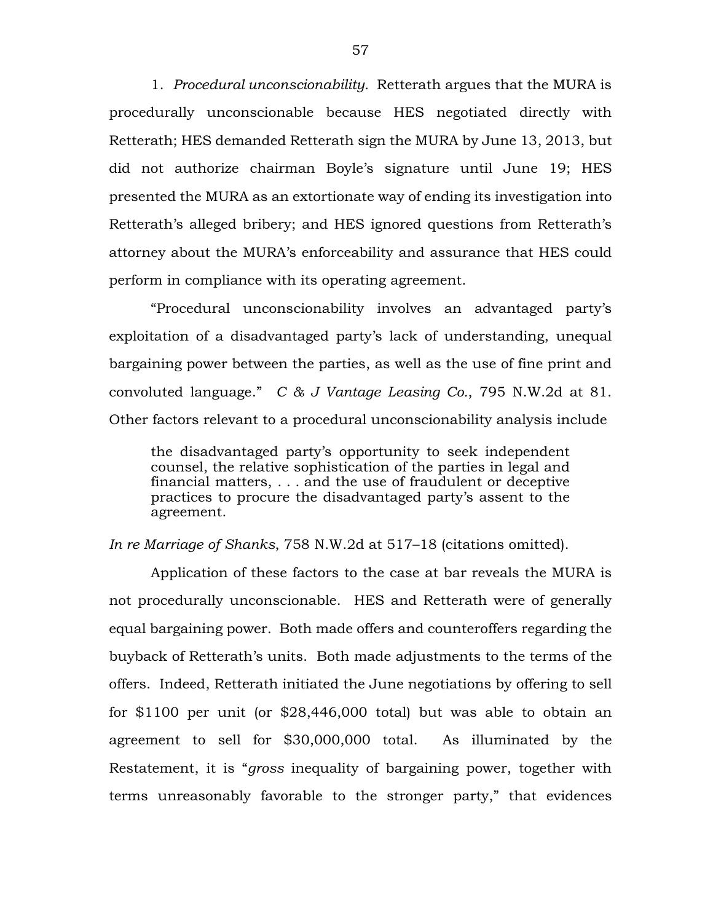1. *Procedural unconscionability.* Retterath argues that the MURA is procedurally unconscionable because HES negotiated directly with Retterath; HES demanded Retterath sign the MURA by June 13, 2013, but did not authorize chairman Boyle's signature until June 19; HES presented the MURA as an extortionate way of ending its investigation into Retterath's alleged bribery; and HES ignored questions from Retterath's attorney about the MURA's enforceability and assurance that HES could perform in compliance with its operating agreement.

"Procedural unconscionability involves an advantaged party's exploitation of a disadvantaged party's lack of understanding, unequal bargaining power between the parties, as well as the use of fine print and convoluted language." *C & J Vantage Leasing Co.*, 795 N.W.2d at 81. Other factors relevant to a procedural unconscionability analysis include

the disadvantaged party's opportunity to seek independent counsel, the relative sophistication of the parties in legal and financial matters, . . . and the use of fraudulent or deceptive practices to procure the disadvantaged party's assent to the agreement.

*In re Marriage of Shanks*, 758 N.W.2d at 517–18 (citations omitted).

Application of these factors to the case at bar reveals the MURA is not procedurally unconscionable. HES and Retterath were of generally equal bargaining power. Both made offers and counteroffers regarding the buyback of Retterath's units. Both made adjustments to the terms of the offers. Indeed, Retterath initiated the June negotiations by offering to sell for \$1100 per unit (or \$28,446,000 total) but was able to obtain an agreement to sell for \$30,000,000 total. As illuminated by the Restatement, it is "*gross* inequality of bargaining power, together with terms unreasonably favorable to the stronger party," that evidences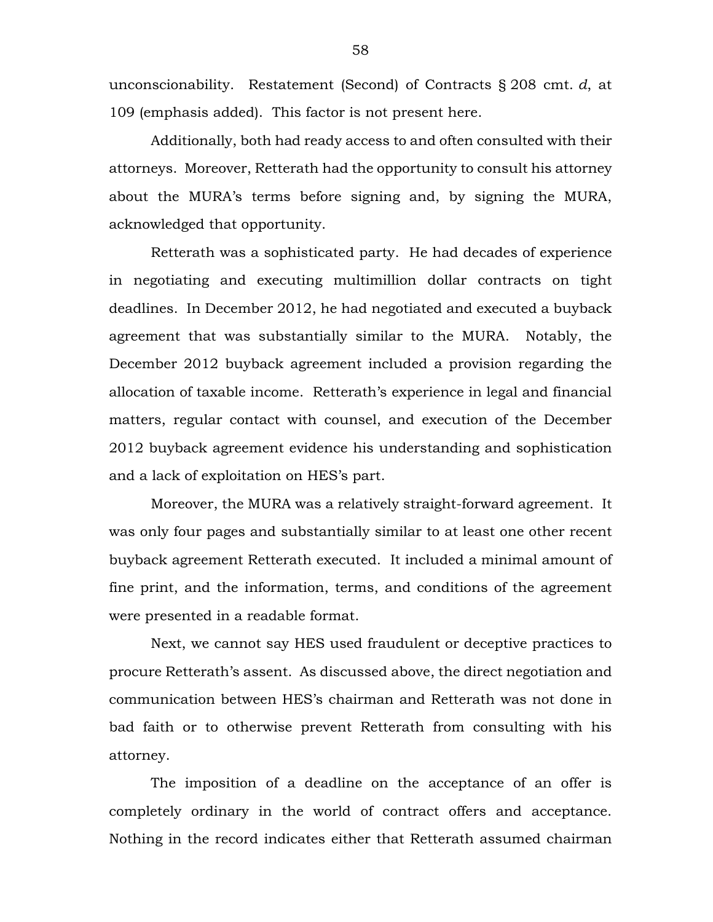unconscionability. Restatement (Second) of Contracts § 208 cmt. *d*, at 109 (emphasis added). This factor is not present here.

Additionally, both had ready access to and often consulted with their attorneys. Moreover, Retterath had the opportunity to consult his attorney about the MURA's terms before signing and, by signing the MURA, acknowledged that opportunity.

Retterath was a sophisticated party. He had decades of experience in negotiating and executing multimillion dollar contracts on tight deadlines. In December 2012, he had negotiated and executed a buyback agreement that was substantially similar to the MURA. Notably, the December 2012 buyback agreement included a provision regarding the allocation of taxable income. Retterath's experience in legal and financial matters, regular contact with counsel, and execution of the December 2012 buyback agreement evidence his understanding and sophistication and a lack of exploitation on HES's part.

Moreover, the MURA was a relatively straight-forward agreement. It was only four pages and substantially similar to at least one other recent buyback agreement Retterath executed. It included a minimal amount of fine print, and the information, terms, and conditions of the agreement were presented in a readable format.

Next, we cannot say HES used fraudulent or deceptive practices to procure Retterath's assent. As discussed above, the direct negotiation and communication between HES's chairman and Retterath was not done in bad faith or to otherwise prevent Retterath from consulting with his attorney.

The imposition of a deadline on the acceptance of an offer is completely ordinary in the world of contract offers and acceptance. Nothing in the record indicates either that Retterath assumed chairman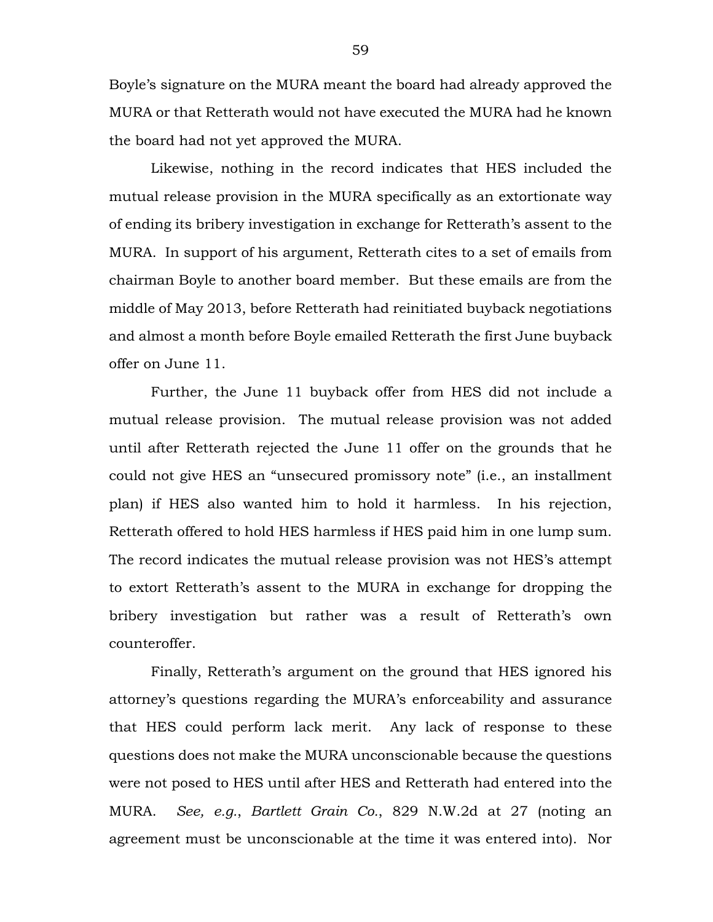Boyle's signature on the MURA meant the board had already approved the MURA or that Retterath would not have executed the MURA had he known the board had not yet approved the MURA.

Likewise, nothing in the record indicates that HES included the mutual release provision in the MURA specifically as an extortionate way of ending its bribery investigation in exchange for Retterath's assent to the MURA. In support of his argument, Retterath cites to a set of emails from chairman Boyle to another board member. But these emails are from the middle of May 2013, before Retterath had reinitiated buyback negotiations and almost a month before Boyle emailed Retterath the first June buyback offer on June 11.

Further, the June 11 buyback offer from HES did not include a mutual release provision. The mutual release provision was not added until after Retterath rejected the June 11 offer on the grounds that he could not give HES an "unsecured promissory note" (i.e., an installment plan) if HES also wanted him to hold it harmless. In his rejection, Retterath offered to hold HES harmless if HES paid him in one lump sum. The record indicates the mutual release provision was not HES's attempt to extort Retterath's assent to the MURA in exchange for dropping the bribery investigation but rather was a result of Retterath's own counteroffer.

Finally, Retterath's argument on the ground that HES ignored his attorney's questions regarding the MURA's enforceability and assurance that HES could perform lack merit. Any lack of response to these questions does not make the MURA unconscionable because the questions were not posed to HES until after HES and Retterath had entered into the MURA. *See, e.g.*, *Bartlett Grain Co.*, 829 N.W.2d at 27 (noting an agreement must be unconscionable at the time it was entered into). Nor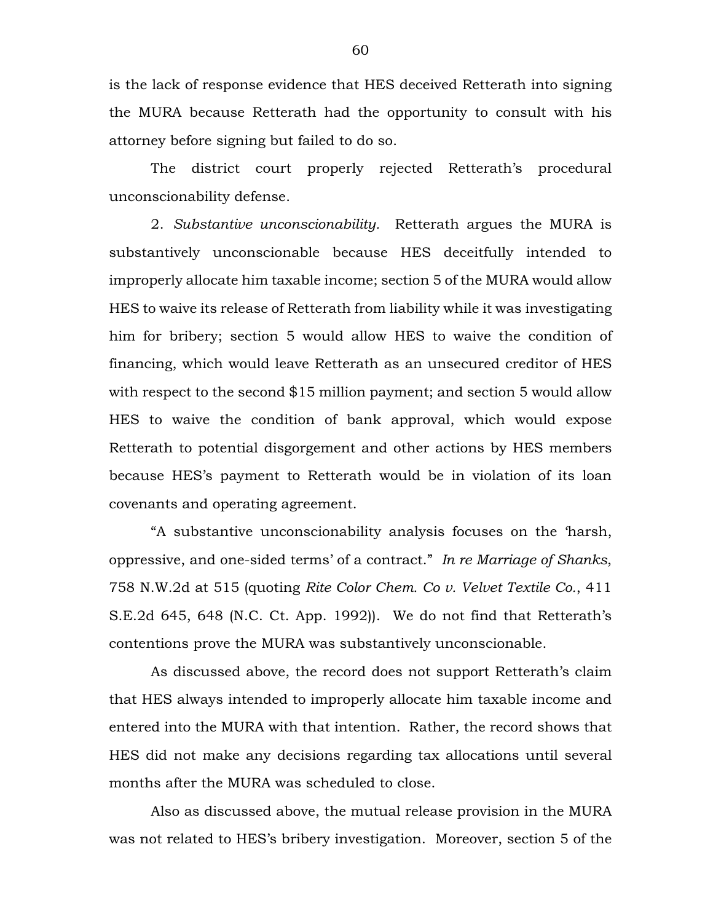is the lack of response evidence that HES deceived Retterath into signing the MURA because Retterath had the opportunity to consult with his attorney before signing but failed to do so.

The district court properly rejected Retterath's procedural unconscionability defense.

2. *Substantive unconscionability.* Retterath argues the MURA is substantively unconscionable because HES deceitfully intended to improperly allocate him taxable income; section 5 of the MURA would allow HES to waive its release of Retterath from liability while it was investigating him for bribery; section 5 would allow HES to waive the condition of financing, which would leave Retterath as an unsecured creditor of HES with respect to the second \$15 million payment; and section 5 would allow HES to waive the condition of bank approval, which would expose Retterath to potential disgorgement and other actions by HES members because HES's payment to Retterath would be in violation of its loan covenants and operating agreement.

"A substantive unconscionability analysis focuses on the 'harsh, oppressive, and one-sided terms' of a contract." *In re Marriage of Shanks*, 758 N.W.2d at 515 (quoting *Rite Color Chem. Co v. Velvet Textile Co.*, 411 S.E.2d 645, 648 (N.C. Ct. App. 1992)). We do not find that Retterath's contentions prove the MURA was substantively unconscionable.

As discussed above, the record does not support Retterath's claim that HES always intended to improperly allocate him taxable income and entered into the MURA with that intention. Rather, the record shows that HES did not make any decisions regarding tax allocations until several months after the MURA was scheduled to close.

Also as discussed above, the mutual release provision in the MURA was not related to HES's bribery investigation. Moreover, section 5 of the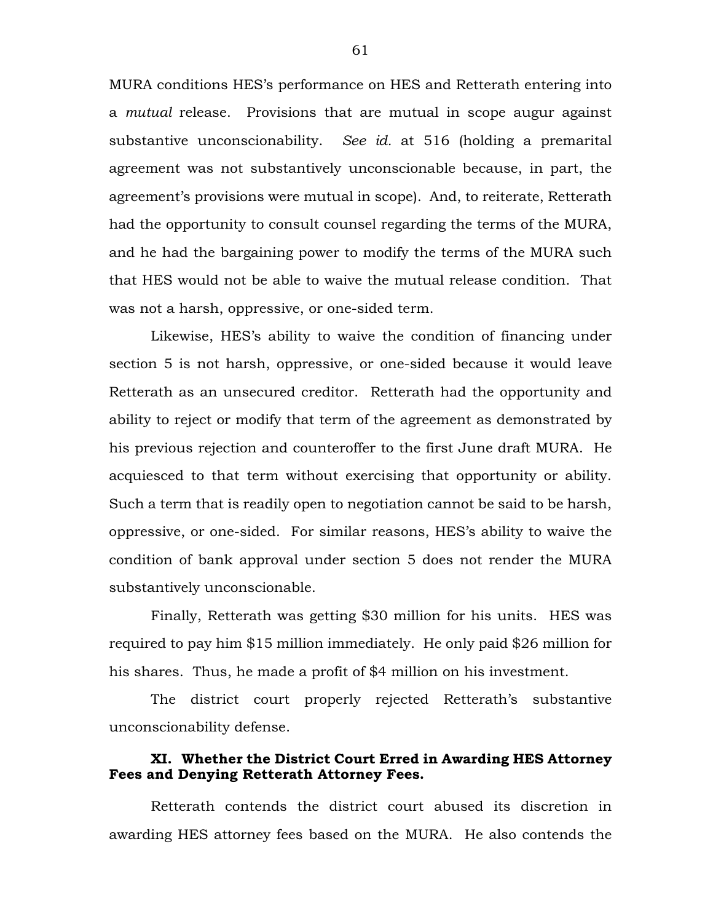MURA conditions HES's performance on HES and Retterath entering into a *mutual* release. Provisions that are mutual in scope augur against substantive unconscionability. *See id.* at 516 (holding a premarital agreement was not substantively unconscionable because, in part, the agreement's provisions were mutual in scope). And, to reiterate, Retterath had the opportunity to consult counsel regarding the terms of the MURA, and he had the bargaining power to modify the terms of the MURA such that HES would not be able to waive the mutual release condition. That was not a harsh, oppressive, or one-sided term.

Likewise, HES's ability to waive the condition of financing under section 5 is not harsh, oppressive, or one-sided because it would leave Retterath as an unsecured creditor. Retterath had the opportunity and ability to reject or modify that term of the agreement as demonstrated by his previous rejection and counteroffer to the first June draft MURA. He acquiesced to that term without exercising that opportunity or ability. Such a term that is readily open to negotiation cannot be said to be harsh, oppressive, or one-sided. For similar reasons, HES's ability to waive the condition of bank approval under section 5 does not render the MURA substantively unconscionable.

Finally, Retterath was getting \$30 million for his units. HES was required to pay him \$15 million immediately. He only paid \$26 million for his shares. Thus, he made a profit of \$4 million on his investment.

The district court properly rejected Retterath's substantive unconscionability defense.

## **XI. Whether the District Court Erred in Awarding HES Attorney Fees and Denying Retterath Attorney Fees.**

Retterath contends the district court abused its discretion in awarding HES attorney fees based on the MURA. He also contends the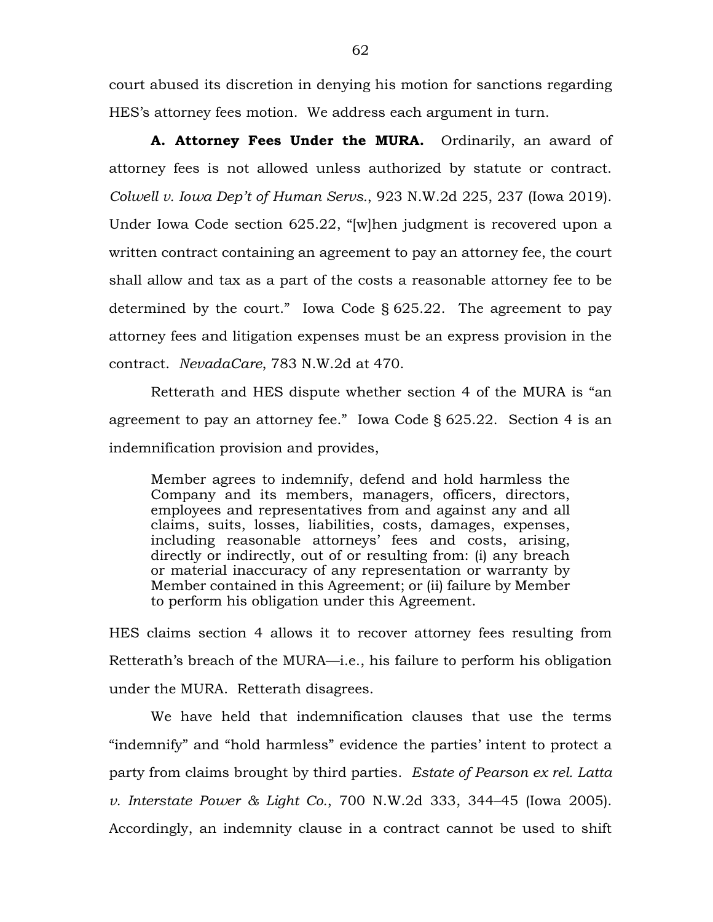court abused its discretion in denying his motion for sanctions regarding HES's attorney fees motion. We address each argument in turn.

**A. Attorney Fees Under the MURA.** Ordinarily, an award of attorney fees is not allowed unless authorized by statute or contract. *Colwell v. Iowa Dep't of Human Servs.*, 923 N.W.2d 225, 237 (Iowa 2019). Under Iowa Code section 625.22, "[w]hen judgment is recovered upon a written contract containing an agreement to pay an attorney fee, the court shall allow and tax as a part of the costs a reasonable attorney fee to be determined by the court." Iowa Code  $\S$  625.22. The agreement to pay attorney fees and litigation expenses must be an express provision in the contract. *NevadaCare*, 783 N.W.2d at 470.

Retterath and HES dispute whether section 4 of the MURA is "an agreement to pay an attorney fee." Iowa Code § 625.22. Section 4 is an indemnification provision and provides,

Member agrees to indemnify, defend and hold harmless the Company and its members, managers, officers, directors, employees and representatives from and against any and all claims, suits, losses, liabilities, costs, damages, expenses, including reasonable attorneys' fees and costs, arising, directly or indirectly, out of or resulting from: (i) any breach or material inaccuracy of any representation or warranty by Member contained in this Agreement; or (ii) failure by Member to perform his obligation under this Agreement.

HES claims section 4 allows it to recover attorney fees resulting from Retterath's breach of the MURA—i.e., his failure to perform his obligation under the MURA. Retterath disagrees.

We have held that indemnification clauses that use the terms "indemnify" and "hold harmless" evidence the parties' intent to protect a party from claims brought by third parties. *Estate of Pearson ex rel. Latta v. Interstate Power & Light Co.*, 700 N.W.2d 333, 344–45 (Iowa 2005). Accordingly, an indemnity clause in a contract cannot be used to shift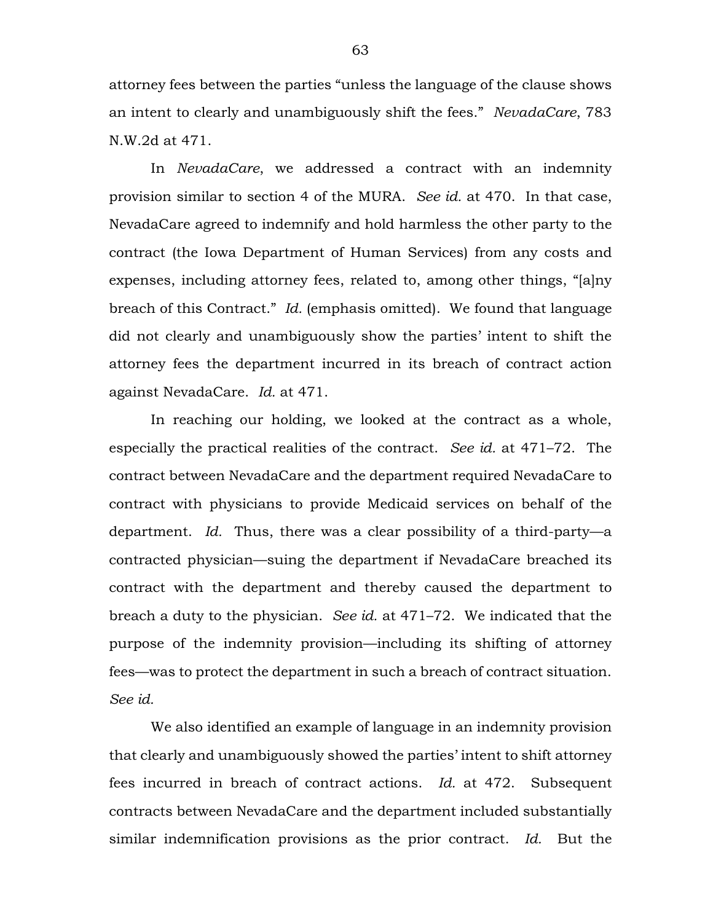attorney fees between the parties "unless the language of the clause shows an intent to clearly and unambiguously shift the fees." *NevadaCare*, 783 N.W.2d at 471.

In *NevadaCare*, we addressed a contract with an indemnity provision similar to section 4 of the MURA. *See id.* at 470. In that case, NevadaCare agreed to indemnify and hold harmless the other party to the contract (the Iowa Department of Human Services) from any costs and expenses, including attorney fees, related to, among other things, "[a]ny breach of this Contract." *Id.* (emphasis omitted). We found that language did not clearly and unambiguously show the parties' intent to shift the attorney fees the department incurred in its breach of contract action against NevadaCare. *Id.* at 471.

In reaching our holding, we looked at the contract as a whole, especially the practical realities of the contract. *See id.* at 471–72. The contract between NevadaCare and the department required NevadaCare to contract with physicians to provide Medicaid services on behalf of the department. *Id.* Thus, there was a clear possibility of a third-party—a contracted physician—suing the department if NevadaCare breached its contract with the department and thereby caused the department to breach a duty to the physician. *See id.* at 471–72. We indicated that the purpose of the indemnity provision—including its shifting of attorney fees—was to protect the department in such a breach of contract situation. *See id.*

We also identified an example of language in an indemnity provision that clearly and unambiguously showed the parties' intent to shift attorney fees incurred in breach of contract actions. *Id.* at 472. Subsequent contracts between NevadaCare and the department included substantially similar indemnification provisions as the prior contract. *Id.* But the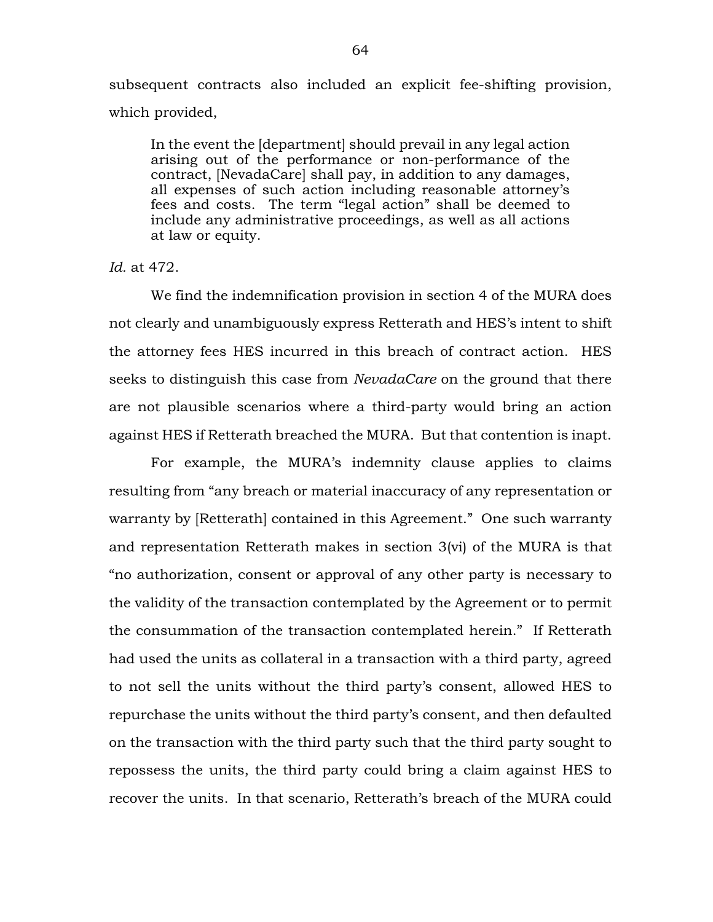subsequent contracts also included an explicit fee-shifting provision, which provided,

In the event the [department] should prevail in any legal action arising out of the performance or non-performance of the contract, [NevadaCare] shall pay, in addition to any damages, all expenses of such action including reasonable attorney's fees and costs. The term "legal action" shall be deemed to include any administrative proceedings, as well as all actions at law or equity.

### *Id.* at 472.

We find the indemnification provision in section 4 of the MURA does not clearly and unambiguously express Retterath and HES's intent to shift the attorney fees HES incurred in this breach of contract action. HES seeks to distinguish this case from *NevadaCare* on the ground that there are not plausible scenarios where a third-party would bring an action against HES if Retterath breached the MURA. But that contention is inapt.

For example, the MURA's indemnity clause applies to claims resulting from "any breach or material inaccuracy of any representation or warranty by [Retterath] contained in this Agreement." One such warranty and representation Retterath makes in section 3(vi) of the MURA is that "no authorization, consent or approval of any other party is necessary to the validity of the transaction contemplated by the Agreement or to permit the consummation of the transaction contemplated herein." If Retterath had used the units as collateral in a transaction with a third party, agreed to not sell the units without the third party's consent, allowed HES to repurchase the units without the third party's consent, and then defaulted on the transaction with the third party such that the third party sought to repossess the units, the third party could bring a claim against HES to recover the units. In that scenario, Retterath's breach of the MURA could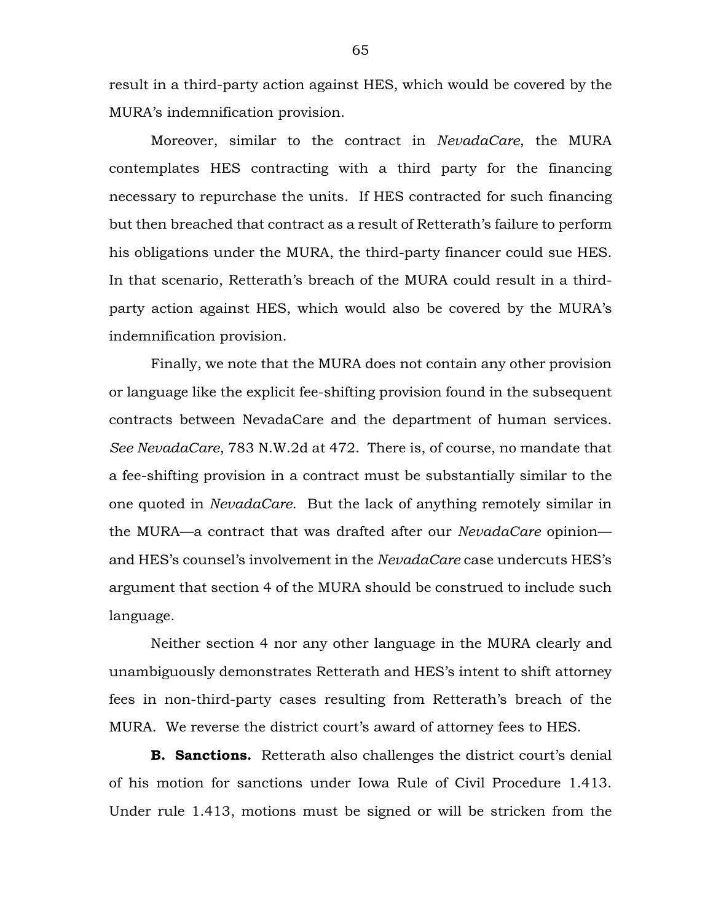result in a third-party action against HES, which would be covered by the MURA's indemnification provision.

Moreover, similar to the contract in *NevadaCare*, the MURA contemplates HES contracting with a third party for the financing necessary to repurchase the units. If HES contracted for such financing but then breached that contract as a result of Retterath's failure to perform his obligations under the MURA, the third-party financer could sue HES. In that scenario, Retterath's breach of the MURA could result in a thirdparty action against HES, which would also be covered by the MURA's indemnification provision.

Finally, we note that the MURA does not contain any other provision or language like the explicit fee-shifting provision found in the subsequent contracts between NevadaCare and the department of human services. *See NevadaCare*, 783 N.W.2d at 472. There is, of course, no mandate that a fee-shifting provision in a contract must be substantially similar to the one quoted in *NevadaCare*. But the lack of anything remotely similar in the MURA—a contract that was drafted after our *NevadaCare* opinion and HES's counsel's involvement in the *NevadaCare* case undercuts HES's argument that section 4 of the MURA should be construed to include such language.

Neither section 4 nor any other language in the MURA clearly and unambiguously demonstrates Retterath and HES's intent to shift attorney fees in non-third-party cases resulting from Retterath's breach of the MURA. We reverse the district court's award of attorney fees to HES.

**B. Sanctions.** Retterath also challenges the district court's denial of his motion for sanctions under Iowa Rule of Civil Procedure 1.413. Under rule 1.413, motions must be signed or will be stricken from the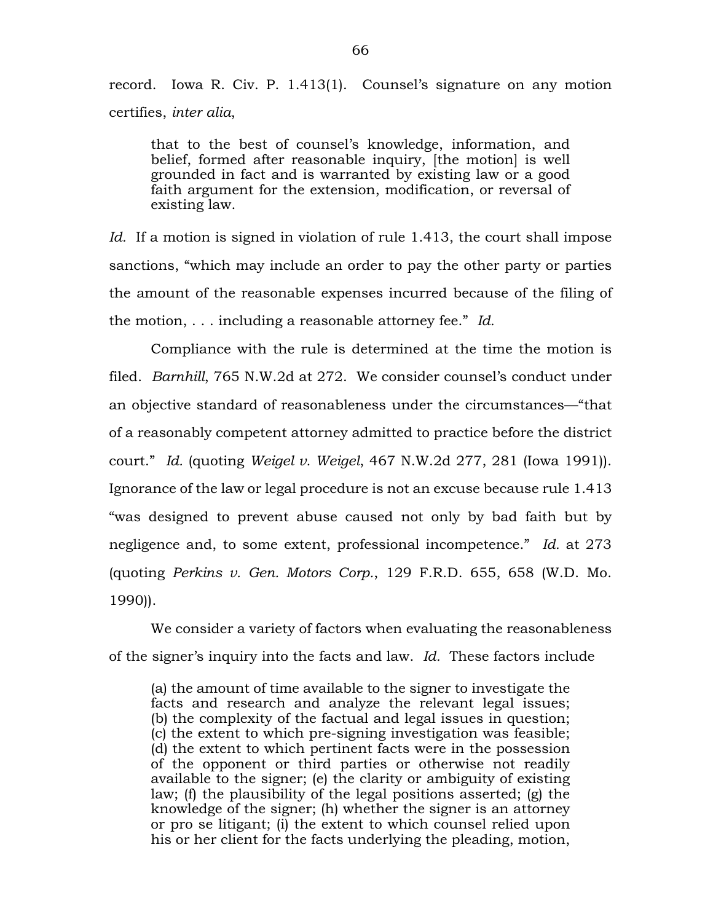record. Iowa R. Civ. P. 1.413(1). Counsel's signature on any motion certifies, *inter alia*,

that to the best of counsel's knowledge, information, and belief, formed after reasonable inquiry, [the motion] is well grounded in fact and is warranted by existing law or a good faith argument for the extension, modification, or reversal of existing law.

*Id.* If a motion is signed in violation of rule 1.413, the court shall impose sanctions, "which may include an order to pay the other party or parties the amount of the reasonable expenses incurred because of the filing of the motion, . . . including a reasonable attorney fee." *Id.*

Compliance with the rule is determined at the time the motion is filed. *Barnhill*, 765 N.W.2d at 272. We consider counsel's conduct under an objective standard of reasonableness under the circumstances—"that of a reasonably competent attorney admitted to practice before the district court." *Id.* (quoting *Weigel v. Weigel*, 467 N.W.2d 277, 281 (Iowa 1991)). Ignorance of the law or legal procedure is not an excuse because rule 1.413 "was designed to prevent abuse caused not only by bad faith but by negligence and, to some extent, professional incompetence." *Id.* at 273 (quoting *Perkins v. Gen. Motors Corp.*, 129 F.R.D. 655, 658 (W.D. Mo. 1990)).

We consider a variety of factors when evaluating the reasonableness of the signer's inquiry into the facts and law. *Id.* These factors include

(a) the amount of time available to the signer to investigate the facts and research and analyze the relevant legal issues; (b) the complexity of the factual and legal issues in question; (c) the extent to which pre-signing investigation was feasible; (d) the extent to which pertinent facts were in the possession of the opponent or third parties or otherwise not readily available to the signer; (e) the clarity or ambiguity of existing law; (f) the plausibility of the legal positions asserted; (g) the knowledge of the signer; (h) whether the signer is an attorney or pro se litigant; (i) the extent to which counsel relied upon his or her client for the facts underlying the pleading, motion,